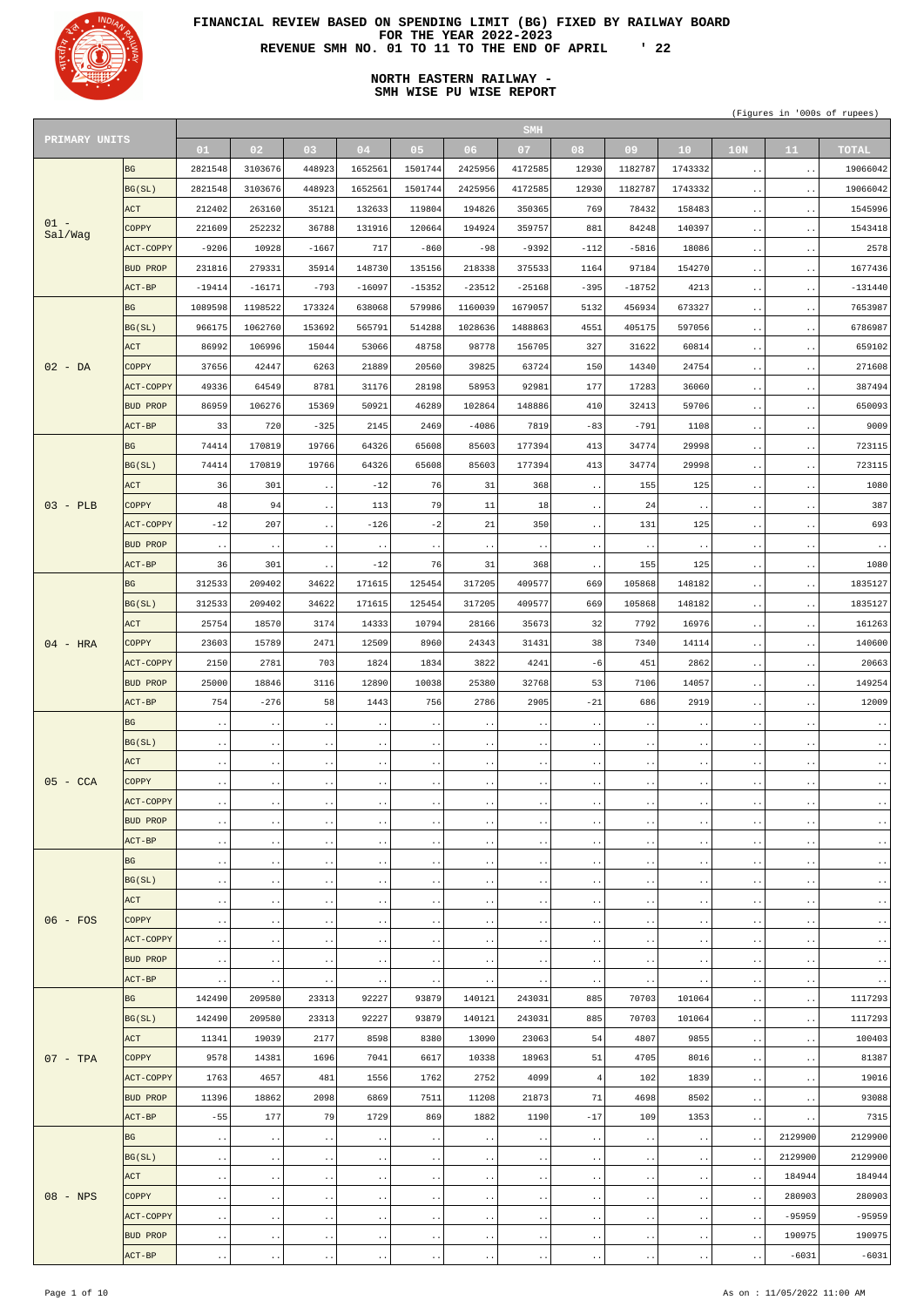

# **NORTH EASTERN RAILWAY - SMH WISE PU WISE REPORT**

|               |                 |                        |                        |                        |                        |                        |                        | <b>SMH</b>             |                                              |                        |                        |                        |                        |                        |
|---------------|-----------------|------------------------|------------------------|------------------------|------------------------|------------------------|------------------------|------------------------|----------------------------------------------|------------------------|------------------------|------------------------|------------------------|------------------------|
| PRIMARY UNITS |                 | 01                     | 02 <sub>1</sub>        | 03                     | 04                     | 05                     | 06 <sub>1</sub>        | 07                     | 08                                           | 09                     | 10 <sub>1</sub>        | 10 <sub>N</sub>        | 11                     | <b>TOTAL</b>           |
|               | BG              | 2821548                | 3103676                | 448923                 | 1652561                | 1501744                | 2425956                | 4172585                | 12930                                        | 1182787                | 1743332                | $\ddot{\phantom{1}}$ . | $\sim$ $\sim$          | 19066042               |
|               | BG(SL)          | 2821548                | 3103676                | 448923                 | 1652561                | 1501744                | 2425956                | 4172585                | 12930                                        | 1182787                | 1743332                | $\sim$ $\sim$          | $\ddotsc$              | 19066042               |
|               | ACT             | 212402                 | 263160                 | 35121                  | 132633                 | 119804                 | 194826                 | 350365                 | 769                                          | 78432                  | 158483                 |                        |                        | 1545996                |
| $01 -$        |                 |                        |                        |                        |                        |                        |                        |                        |                                              |                        |                        | $\ddotsc$              | $\ddot{\phantom{1}}$ . |                        |
| Sal/Wag       | COPPY           | 221609                 | 252232                 | 36788                  | 131916                 | 120664                 | 194924                 | 359757                 | 881                                          | 84248                  | 140397                 | $\sim$ $\sim$          | $\ddot{\phantom{0}}$   | 1543418                |
|               | ACT-COPPY       | $-9206$                | 10928                  | $-1667$                | 717                    | $-860$                 | $-98$                  | $-9392$                | $-112$                                       | $-5816$                | 18086                  | $\ddotsc$              | $\ddot{\phantom{1}}$ . | 2578                   |
|               | <b>BUD PROP</b> | 231816                 | 279331                 | 35914                  | 148730                 | 135156                 | 218338                 | 375533                 | 1164                                         | 97184                  | 154270                 | $\sim$ $\sim$          | $\ddot{\phantom{0}}$   | 1677436                |
|               | ACT-BP          | $-19414$               | $-16171$               | $-793$                 | $-16097$               | $-15352$               | $-23512$               | $-25168$               | $-395$                                       | $-18752$               | 4213                   | $\ddotsc$              | $\ddot{\phantom{1}}$ . | $-131440$              |
|               | <b>BG</b>       | 1089598                | 1198522                | 173324                 | 638068                 | 579986                 | 1160039                | 1679057                | 5132                                         | 456934                 | 673327                 | $\sim$ $\sim$          | $\ddot{\phantom{0}}$   | 7653987                |
|               | BG(SL)          | 966175                 | 1062760                | 153692                 | 565791                 | 514288                 | 1028636                | 1488863                | 4551                                         | 405175                 | 597056                 | $\ddotsc$              | $\ddot{\phantom{1}}$ . | 6786987                |
|               | <b>ACT</b>      | 86992                  | 106996                 | 15044                  | 53066                  | 48758                  | 98778                  | 156705                 | 327                                          | 31622                  | 60814                  | $\sim$ $\sim$          | $\ddot{\phantom{0}}$   | 659102                 |
| $02 - DA$     | <b>COPPY</b>    | 37656                  | 42447                  | 6263                   | 21889                  | 20560                  | 39825                  | 63724                  | 150                                          | 14340                  | 24754                  |                        |                        | 271608                 |
|               |                 |                        |                        |                        |                        |                        |                        |                        |                                              |                        |                        | $\ddotsc$              | $\ddot{\phantom{1}}$ . |                        |
|               | ACT-COPPY       | 49336                  | 64549                  | 8781                   | 31176                  | 28198                  | 58953                  | 92981                  | 177                                          | 17283                  | 36060                  | $\sim$ $\sim$          | $\ddot{\phantom{0}}$   | 387494                 |
|               | <b>BUD PROP</b> | 86959                  | 106276                 | 15369                  | 50921                  | 46289                  | 102864                 | 148886                 | 410                                          | 32413                  | 59706                  | $\ddotsc$              | $\ddot{\phantom{1}}$ . | 650093                 |
|               | ACT-BP          | 33                     | 720                    | $-325$                 | 2145                   | 2469                   | $-4086$                | 7819                   | $-83$                                        | $-791$                 | 1108                   | $\sim$ $\sim$          | $\ddot{\phantom{0}}$   | 9009                   |
|               | <b>BG</b>       | 74414                  | 170819                 | 19766                  | 64326                  | 65608                  | 85603                  | 177394                 | 413                                          | 34774                  | 29998                  | $\ddotsc$              | $\ddot{\phantom{0}}$   | 723115                 |
|               | BG(SL)          | 74414                  | 170819                 | 19766                  | 64326                  | 65608                  | 85603                  | 177394                 | 413                                          | 34774                  | 29998                  | $\sim$ $\sim$          | $\ddot{\phantom{0}}$   | 723115                 |
|               | ACT             | 36                     | 301                    | $\ddot{\phantom{1}}$ . | $-12$                  | 76                     | 31                     | 368                    | $\ddot{\phantom{1}}$ .                       | 155                    | 125                    | $\ddotsc$              | $\ddot{\phantom{0}}$   | 1080                   |
| $03 - PLB$    | <b>COPPY</b>    | 48                     | 94                     | $\ddot{\phantom{1}}$ . | 113                    | 79                     | 11                     | 18                     | $\ddot{\phantom{a}}$ .                       | 24                     | $\ddotsc$              | $\ddotsc$              | $\ddot{\phantom{0}}$   | 387                    |
|               | ACT-COPPY       | $-12$                  | 207                    | $\ddot{\phantom{1}}$ . | $-126$                 | $-2$                   | 21                     | 350                    | $\ddot{\phantom{1}}$ .                       | 131                    | 125                    | $\ddotsc$              | $\ddot{\phantom{0}}$   | 693                    |
|               | <b>BUD PROP</b> |                        |                        |                        |                        |                        |                        |                        |                                              |                        |                        |                        |                        |                        |
|               |                 | $\ddot{\phantom{1}}$ . | $\ddot{\phantom{1}}$ . | $\ddot{\phantom{1}}$ . | $\ddot{\phantom{1}}$ . | $\ddot{\phantom{0}}$   | $\ddot{\phantom{1}}$ . | $\ddot{\phantom{1}}$ . | $\ddot{\phantom{0}}$ .                       | $\ddot{\phantom{1}}$ . | $\ddotsc$              | $\ddotsc$              | $\ddot{\phantom{1}}$ . | $\ddot{\phantom{1}}$ . |
|               | ACT-BP          | 36                     | 301                    | $\ddot{\phantom{0}}$   | $-12$                  | 76                     | 31                     | 368                    | $\ddot{\phantom{1}}$ .                       | 155                    | 125                    | $\ddotsc$              | $\bullet$ .            | 1080                   |
|               | BG              | 312533                 | 209402                 | 34622                  | 171615                 | 125454                 | 317205                 | 409577                 | 669                                          | 105868                 | 148182                 | $\ddot{\phantom{1}}$ . | $\ddot{\phantom{0}}$   | 1835127                |
|               | BG(SL)          | 312533                 | 209402                 | 34622                  | 171615                 | 125454                 | 317205                 | 409577                 | 669                                          | 105868                 | 148182                 | $\ddot{\phantom{1}}$ . | $\ddot{\phantom{0}}$   | 1835127                |
|               | ACT             | 25754                  | 18570                  | 3174                   | 14333                  | 10794                  | 28166                  | 35673                  | 32                                           | 7792                   | 16976                  |                        | $\ddot{\phantom{0}}$   | 161263                 |
| $04 - HRA$    | <b>COPPY</b>    | 23603                  | 15789                  | 2471                   | 12509                  | 8960                   | 24343                  | 31431                  | 38                                           | 7340                   | 14114                  |                        |                        | 140600                 |
|               | ACT-COPPY       | 2150                   | 2781                   | 703                    | 1824                   | 1834                   | 3822                   | 4241                   | $-6$                                         | 451                    | 2862                   | $\ddot{\phantom{1}}$ . | $\ddot{\phantom{0}}$   | 20663                  |
|               | <b>BUD PROP</b> | 25000                  | 18846                  | 3116                   | 12890                  | 10038                  | 25380                  | 32768                  | 53                                           | 7106                   | 14057                  | $\ddot{\phantom{0}}$   | $\bullet$              | 149254                 |
|               |                 |                        |                        |                        |                        |                        |                        |                        |                                              |                        |                        |                        |                        |                        |
|               | ACT-BP          |                        | $-276$                 | 58                     | 1443                   | 756                    | 2786                   | 2905                   |                                              | 686                    | 2919                   |                        |                        | 12009                  |
|               |                 | 754                    |                        |                        |                        |                        |                        |                        | $-21$                                        |                        |                        | $\ddot{\phantom{1}}$ . | $\ddot{\phantom{0}}$   |                        |
|               | <b>BG</b>       | $\ddot{\phantom{1}}$ . | $\ddot{\phantom{1}}$   |                        | $\ddot{\phantom{1}}$ . | $\bullet$ .            | $\ddot{\phantom{0}}$   | $\ddot{\phantom{1}}$ . | $\ddot{\phantom{0}}$                         | $\ddot{\phantom{0}}$   | $\ddot{\phantom{1}}$ . |                        |                        | $\ddot{\phantom{0}}$ . |
|               | BG(SL)          | $\ddot{\phantom{a}}$ . | $\ddot{\phantom{0}}$ . | $\ddot{\phantom{1}}$ . | $\ddotsc$              | $\ddot{\phantom{1}}$ . | $\ddot{\phantom{1}}$ . | $\ddot{\phantom{1}}$ . | $\bullet\hspace{0.4mm}\bullet\hspace{0.4mm}$ | $\bullet$ . $\bullet$  | $\ddotsc$              | $\ddot{\phantom{a}}$ . | $\ddot{\phantom{0}}$   | $\ddot{\phantom{1}}$ . |
|               | <b>ACT</b>      | $\ddot{\phantom{1}}$ . | $\ddot{\phantom{0}}$   |                        | $\ddot{\phantom{1}}$ . | $\ddot{\phantom{0}}$   | $\ddotsc$              | $\ddot{\phantom{1}}$ . | $\ddot{\phantom{a}}$ .                       | $\ddot{\phantom{0}}$   | $\ddot{\phantom{1}}$ . |                        |                        | $\ddot{\phantom{1}}$ . |
| $05 - CCA$    | <b>COPPY</b>    | $\ddot{\phantom{0}}$ . | $\ddot{\phantom{0}}$ . | $\ddot{\phantom{1}}$ . | $\ddotsc$              | $\ddot{\phantom{1}}$ . | $\ddot{\phantom{1}}$ . | $\ddot{\phantom{1}}$ . | $\bullet\hspace{0.4mm}\bullet\hspace{0.4mm}$ | $\bullet$ . $\bullet$  | $\ddotsc$              | $\ddot{\phantom{1}}$ . | $\bullet$ .            | $\ddot{\phantom{1}}$ . |
|               | ACT-COPPY       | $\ddot{\phantom{1}}$ . | $\ddot{\phantom{0}}$   | $\ddot{\phantom{0}}$   | $\ddot{\phantom{1}}$ . | $\ddot{\phantom{0}}$   | $\ddotsc$              | $\ddot{\phantom{1}}$ . | $\ddot{\phantom{a}}$ .                       | $\ddot{\phantom{0}}$   | $\ddot{\phantom{1}}$ . |                        |                        | $\ddot{\phantom{0}}$ . |
|               | <b>BUD PROP</b> | $\ddot{\phantom{a}}$ . | $\ddot{\phantom{0}}$ . | $\ddot{\phantom{1}}$ . | $\ddotsc$              | $\ddot{\phantom{1}}$ . | $\ddot{\phantom{a}}$ . | $\ddot{\phantom{1}}$ . | $\bullet\hspace{0.4mm}\bullet\hspace{0.4mm}$ | $\bullet$ . $\bullet$  | $\ddotsc$              | $\ddot{\phantom{a}}$ . | $\bullet$              | $\ddot{\phantom{1}}$ . |
|               | $ACT-BP$        | $\ddot{\phantom{1}}$ . | $\ddot{\phantom{0}}$   | $\ddot{\phantom{0}}$   | $\ddot{\phantom{1}}$ . | $\ddot{\phantom{0}}$   | $\ddotsc$              | $\ddot{\phantom{1}}$ . | $\ddot{\phantom{a}}$ .                       | $\ddot{\phantom{0}}$   | $\ddot{\phantom{1}}$ . |                        |                        | $\ddot{\phantom{1}}$ . |
|               | BG              | $\ddot{\phantom{0}}$ . | $\ddot{\phantom{0}}$ . | $\ddot{\phantom{1}}$ . | $\ddotsc$              | $\ddot{\phantom{1}}$ . | $\ddot{\phantom{a}}$ . | $\ddot{\phantom{1}}$ . | $\ddot{\phantom{a}}$ .                       | $\bullet$ . $\bullet$  | $\ddot{\phantom{1}}$ . | $\ddot{\phantom{a}}$ . | $\bullet$              | $\ddot{\phantom{1}}$ . |
|               | BG(SL)          | $\ddot{\phantom{1}}$ . | $\ddot{\phantom{0}}$   | $\ddot{\phantom{0}}$   | $\ddot{\phantom{1}}$ . | $\ddot{\phantom{0}}$   | $\ddotsc$              | $\ddot{\phantom{1}}$ . | $\ddot{\phantom{1}}$ .                       | $\ddot{\phantom{0}}$   | $\ddot{\phantom{1}}$ . |                        | $\bullet$              | $\ddot{\phantom{1}}$ . |
|               |                 |                        |                        |                        |                        |                        |                        |                        |                                              |                        |                        |                        | $\bullet$              |                        |
|               | ACT             | $\ddot{\phantom{0}}$ . | $\ddot{\phantom{0}}$ . | $\ddotsc$              | $\ddotsc$              | $\ddot{\phantom{1}}$ . | $\ddot{\phantom{a}}$ . | $\ddot{\phantom{1}}$ . | $\ddot{\phantom{a}}$ .                       | $\bullet$ . $\bullet$  | $\ddot{\phantom{1}}$ . | $\ddot{\phantom{a}}$ . |                        | $\ddot{\phantom{1}}$ . |
| $06 - FOS$    | <b>COPPY</b>    | $\ddot{\phantom{1}}$ . | $\ddot{\phantom{0}}$   | $\ddot{\phantom{0}}$   | $\ddot{\phantom{1}}$ . | $\ddot{\phantom{0}}$   | $\ddotsc$              | $\ddot{\phantom{1}}$ . | $\ddot{\phantom{1}}$ .                       | $\ddot{\phantom{0}}$   | $\ddot{\phantom{1}}$ . |                        | $\bullet$ .            | $\ddot{\phantom{1}}$ . |
|               | ACT-COPPY       | $\ddot{\phantom{0}}$ . | $\ddot{\phantom{0}}$ . | $\ddot{\phantom{0}}$   | $\ddotsc$              | $\ddot{\phantom{0}}$   | $\ddot{\phantom{a}}$ . | $\ddot{\phantom{1}}$ . | $\ddot{\phantom{a}}$ .                       | $\ddot{\phantom{0}}$ . | $\ddot{\phantom{1}}$ . | $\ddot{\phantom{a}}$ . |                        | $\ddot{\phantom{1}}$ . |
|               | <b>BUD PROP</b> | $\ddot{\phantom{1}}$ . | $\ddot{\phantom{0}}$ . | $\ddot{\phantom{0}}$   | $\ddot{\phantom{1}}$ . | $\ddot{\phantom{0}}$   | $\ddotsc$              | $\ddot{\phantom{1}}$ . | $\ddot{\phantom{1}}$ .                       | $\ddot{\phantom{0}}$   | $\ddot{\phantom{1}}$ . | $\ddot{\phantom{0}}$   | $\bullet$ .            | $\ddot{\phantom{1}}$ . |
|               | ACT-BP          | $\ddot{\phantom{1}}$ . | $\ddot{\phantom{0}}$   |                        | $\ddot{\phantom{0}}$   | $\ddot{\phantom{0}}$   |                        | $\ddot{\phantom{1}}$ . | $\ddot{\phantom{a}}$ .                       |                        | $\ddot{\phantom{1}}$ . | $\ddot{\phantom{a}}$ . |                        | $\ddot{\phantom{1}}$ . |
|               | <b>BG</b>       | 142490                 | 209580                 | 23313                  | 92227                  | 93879                  | 140121                 | 243031                 | 885                                          | 70703                  | 101064                 | $\ddot{\phantom{0}}$   | $\bullet$ .            | 1117293                |
|               | BG(SL)          | 142490                 | 209580                 | 23313                  | 92227                  | 93879                  | 140121                 | 243031                 | 885                                          | 70703                  | 101064                 | $\ddot{\phantom{a}}$ . |                        | 1117293                |
|               | ACT             | 11341                  | 19039                  | 2177                   | 8598                   | 8380                   | 13090                  | 23063                  | 54                                           | 4807                   | 9855                   | $\ddot{\phantom{0}}$   | $\bullet$ .            | 100403                 |
| $07 - TPA$    | COPPY           | 9578                   | 14381                  | 1696                   | 7041                   | 6617                   | 10338                  | 18963                  | 51                                           | 4705                   | 8016                   | $\ddot{\phantom{a}}$ . | $\bullet$              | 81387                  |
|               | ACT-COPPY       | 1763                   | 4657                   | 481                    | 1556                   | 1762                   | 2752                   | 4099                   | $\overline{4}$                               | 102                    | 1839                   | $\ddot{\phantom{1}}$ . | $\ddot{\phantom{1}}$ . | 19016                  |
|               |                 |                        |                        |                        |                        |                        |                        |                        |                                              |                        |                        |                        |                        |                        |
|               | <b>BUD PROP</b> | 11396                  | 18862                  | 2098                   | 6869                   | 7511                   | 11208                  | 21873                  | 71                                           | 4698                   | 8502                   |                        |                        | 93088                  |
|               | $ACT-BP$        | $-55$                  | 177                    | 79                     | 1729                   | 869                    | 1882                   | 1190                   | $-17$                                        | 109                    | 1353                   | $\ddot{\phantom{1}}$ . | $\ddot{\phantom{0}}$   | 7315                   |
|               | BG              | $\ddot{\phantom{0}}$ . | $\bullet$ $\bullet$    | $\ddot{\phantom{1}}$ . | $\ddot{\phantom{1}}$ . | $\ddot{\phantom{1}}$ . | $\ddot{\phantom{1}}$ . | $\ddot{\phantom{1}}$ . | $\ddot{\phantom{1}}$ .                       | $\bullet$ . $\bullet$  | $\ddot{\phantom{a}}$ . | $\ddot{\phantom{1}}$ . | 2129900                | 2129900                |
|               | BG(SL)          | $\ddot{\phantom{0}}$ . | $\bullet$ $\bullet$    | $\bullet$ . $\bullet$  | $\ddotsc$              | $\ddot{\phantom{1}}$ . | $\bullet$ $\bullet$    | $\ddot{\phantom{1}}$ . | $\bullet$ . $\bullet$                        | $\bullet$ $\bullet$    | $\ddot{\phantom{1}}$ . | $\ddot{\phantom{1}}$ . | 2129900                | 2129900                |
|               | ACT             | $\ddot{\phantom{1}}$ . | $\bullet$ $\bullet$    | $\ddot{\phantom{1}}$ . | $\ddot{\phantom{1}}$ . | $\ddot{\phantom{1}}$ . | $\bullet$ $\bullet$    | $\ddot{\phantom{1}}$ . | $\ddot{\phantom{1}}$ .                       | $\ddot{\phantom{1}}$ . | $\ddot{\phantom{1}}$ . | $\ddot{\phantom{0}}$   | 184944                 | 184944                 |
| $08 - NPS$    | <b>COPPY</b>    | $\ddot{\phantom{0}}$ . | $\bullet$ $\bullet$    | $\ddot{\phantom{0}}$ . | $\ddotsc$              | $\ddot{\phantom{1}}$ . | $\ddot{\phantom{1}}$ . | $\ddot{\phantom{1}}$ . | $\ddot{\phantom{0}}$ .                       | $\ddot{\phantom{1}}$ . | $\ddot{\phantom{1}}$ . | $\ddot{\phantom{1}}$ . | 280903                 | 280903                 |
|               | ACT-COPPY       | $\ddot{\phantom{1}}$ . | $\bullet$ $\bullet$    | $\ddot{\phantom{1}}$ . | $\ddot{\phantom{1}}$ . | $\ddot{\phantom{1}}$ . | $\bullet$ $\bullet$    | $\ddot{\phantom{1}}$ . | $\ddot{\phantom{a}}$ .                       | $\ddot{\phantom{1}}$ . | $\ddot{\phantom{1}}$ . | $\ddot{\phantom{0}}$   | $-95959$               | $-95959$               |
|               | <b>BUD PROP</b> | $\ddot{\phantom{0}}$ . | $\bullet$ $\bullet$    | $\ddot{\phantom{1}}$ . | $\ddot{\phantom{0}}$ . | $\ddot{\phantom{0}}$ . | $\ddot{\phantom{1}}$ . | $\ddot{\phantom{1}}$ . | $\ddot{\phantom{1}}$ .                       | $\ddot{\phantom{1}}$ . | $\ddot{\phantom{1}}$ . | $\ddot{\phantom{1}}$ . | 190975                 | 190975                 |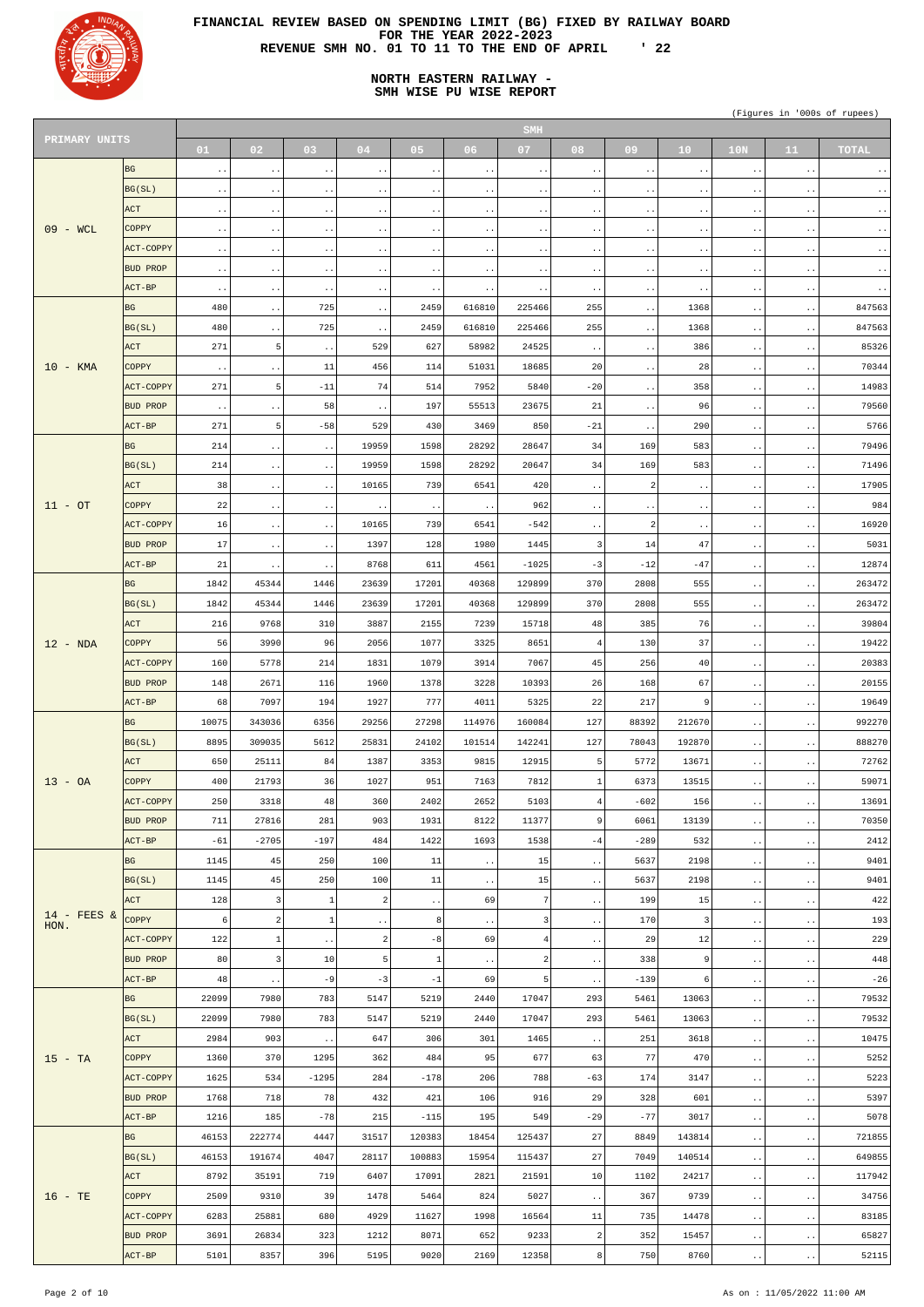

# **NORTH EASTERN RAILWAY - SMH WISE PU WISE REPORT**

| PRIMARY UNITS |                  |                        |                                       |                        |                        |                        |                        | <b>SMH</b>             |                        |                        |                        |                        |                        |                        |
|---------------|------------------|------------------------|---------------------------------------|------------------------|------------------------|------------------------|------------------------|------------------------|------------------------|------------------------|------------------------|------------------------|------------------------|------------------------|
|               |                  | 01                     | 02 <sub>1</sub>                       | 03                     | 04                     | 05                     | 06 <sub>1</sub>        | 07                     | 08                     | 09                     | 10                     | 10N                    | 11 <sub>1</sub>        | <b>TOTAL</b>           |
|               | <b>BG</b>        | $\ddot{\phantom{1}}$ . | $\bullet$ . $\bullet$                 | $\ddot{\phantom{0}}$   | $\ddot{\phantom{1}}$ . | $\ddotsc$              | $\ddotsc$              | $\ddot{\phantom{1}}$ . | $\ddotsc$              | $\ddot{\phantom{1}}$ . | $\ddot{\phantom{1}}$ . | $\ddot{\phantom{1}}$ . | $\ddot{\phantom{1}}$ . | $\ddot{\phantom{0}}$ . |
|               | BG(SL)           | $\ddot{\phantom{1}}$ . | $\sim$ $\sim$                         | $\ddot{\phantom{0}}$   | $\ddot{\phantom{1}}$ . | $\ddotsc$              | $\ddot{\phantom{0}}$   | $\ddot{\phantom{1}}$ . | $\ddotsc$              | $\ddot{\phantom{0}}$   | $\ddot{\phantom{1}}$ . | $\ddot{\phantom{0}}$   | $\ddot{\phantom{0}}$ . | $\ddot{\phantom{0}}$ . |
|               | <b>ACT</b>       | $\ddot{\phantom{1}}$ . | $\bullet$ $\bullet$                   | $\ddot{\phantom{a}}$ . | $\ddot{\phantom{1}}$ . | $\bullet$ $\bullet$    | $\ddot{\phantom{a}}$ . | $\ddot{\phantom{1}}$ . | $\ddotsc$              | $\ddot{\phantom{1}}$ . | $\ddot{\phantom{1}}$ . | $\ddot{\phantom{1}}$ . | $\ddot{\phantom{a}}$ . | $\bullet$ $\bullet$    |
| $09 - WCL$    | <b>COPPY</b>     |                        |                                       |                        |                        |                        |                        |                        |                        |                        |                        |                        |                        |                        |
|               |                  | $\bullet$ $\bullet$    | $\sim$ $\sim$                         | $\ddot{\phantom{0}}$   | $\ddot{\phantom{1}}$ . | $\ddotsc$              | $\ddot{\phantom{0}}$   | $\ddot{\phantom{1}}$ . | $\ddotsc$              | $\ddot{\phantom{0}}$   | $\ddot{\phantom{1}}$ . | $\ddot{\phantom{0}}$   | $\ddot{\phantom{a}}$ . | $\ddot{\phantom{0}}$ . |
|               | ACT-COPPY        | $\sim$ $\sim$          | $\bullet$ $\bullet$                   | $\ddot{\phantom{a}}$ . | $\ddot{\phantom{1}}$ . | $\sim$ $\sim$          | $\ddot{\phantom{a}}$ . | $\ddot{\phantom{1}}$ . | $\ddotsc$              | $\ddot{\phantom{1}}$ . | $\ddot{\phantom{1}}$ . | $\ddot{\phantom{1}}$ . | $\ddot{\phantom{a}}$ . | $\bullet$ $\bullet$    |
|               | <b>BUD PROP</b>  | $\bullet$ $\bullet$    | $\sim$ $\sim$                         | $\ddot{\phantom{1}}$ . | $\ddot{\phantom{1}}$ . | $\ddotsc$              | $\ddot{\phantom{0}}$   | $\ddot{\phantom{1}}$ . | $\ddot{\phantom{1}}$ . | $\ddot{\phantom{1}}$ . | $\ddot{\phantom{1}}$ . | $\ddot{\phantom{0}}$   | $\ddot{\phantom{a}}$ . | $\ddot{\phantom{0}}$ . |
|               | $ACT-BP$         | $\sim$ $\sim$          | $\bullet$ $\bullet$                   | $\ddot{\phantom{a}}$ . | $\ddot{\phantom{1}}$ . | $\ddot{\phantom{1}}$ . |                        | $\ddot{\phantom{1}}$ . | $\ddotsc$              | $\sim$ $\sim$          | $\ddot{\phantom{1}}$ . | $\ddot{\phantom{a}}$ . | $\ddot{\phantom{a}}$ . | $\ddot{\phantom{0}}$ . |
|               | <b>BG</b>        | 480                    | $\ddotsc$                             | 725                    | $\ddot{\phantom{1}}$ . | 2459                   | 616810                 | 225466                 | 255                    | $\ddot{\phantom{1}}$ . | 1368                   | $\ddot{\phantom{1}}$ . | $\ddot{\phantom{1}}$ . | 847563                 |
|               | BG(SL)           | 480                    | $\bullet$ $\bullet$                   | 725                    | $\ddot{\phantom{1}}$ . | 2459                   | 616810                 | 225466                 | 255                    | $\bullet$ $\bullet$    | 1368                   | $\ddot{\phantom{a}}$ . | $\ddot{\phantom{1}}$ . | 847563                 |
|               | <b>ACT</b>       | 271                    | 5 <sub>5</sub>                        | $\ddot{\phantom{1}}$ . | 529                    | 627                    | 58982                  | 24525                  | $\ddot{\phantom{1}}$ . | $\ddot{\phantom{1}}$ . | 386                    | $\ddot{\phantom{1}}$ . | $\ddot{\phantom{1}}$ . | 85326                  |
| $10 - KMA$    | <b>COPPY</b>     | $\sim$ $\sim$          | $\bullet$ $\bullet$                   | 11                     | 456                    | 114                    | 51031                  | 18685                  | 20                     | $\bullet$ $\bullet$    | 28                     | $\ddot{\phantom{1}}$ . | $\ddot{\phantom{a}}$ . | 70344                  |
|               | <b>ACT-COPPY</b> | 271                    | 5 <sup>1</sup>                        | $-11$                  | 74                     | 514                    | 7952                   | 5840                   | $-20$                  | $\ddot{\phantom{1}}$ . | 358                    | $\ddot{\phantom{1}}$ . | $\ddot{\phantom{1}}$ . | 14983                  |
|               | <b>BUD PROP</b>  |                        |                                       | 58                     |                        | 197                    | 55513                  | 23675                  | 21                     |                        | 96                     |                        |                        | 79560                  |
|               | $ACT-BP$         | $\sim$ $\sim$<br>271   | $\bullet$ $\bullet$<br>5 <sup>1</sup> | $-58$                  | $\ddot{\phantom{1}}$ . | 430                    | 3469                   | 850                    |                        | $\ddot{\phantom{0}}$   | 290                    | $\ddot{\phantom{1}}$ . | $\ddot{\phantom{a}}$ . | 5766                   |
|               |                  |                        |                                       |                        | 529                    |                        |                        |                        | $-21$                  | $\ddot{\phantom{1}}$ . |                        | $\ddot{\phantom{1}}$ . | $\ddot{\phantom{1}}$ . |                        |
|               | <b>BG</b>        | 214                    | $\bullet$ $\bullet$                   | $\ddot{\phantom{1}}$ . | 19959                  | 1598                   | 28292                  | 28647                  | 34                     | 169                    | 583                    | $\ddot{\phantom{1}}$ . | $\ddot{\phantom{a}}$ . | 79496                  |
|               | BG(SL)           | 214                    | $\sim$ $\sim$                         | $\ddot{\phantom{1}}$ . | 19959                  | 1598                   | 28292                  | 20647                  | 34                     | 169                    | 583                    | $\ddot{\phantom{1}}$ . | $\ddot{\phantom{1}}$ . | 71496                  |
|               | <b>ACT</b>       | 38                     | $\sim$ $\sim$                         | $\ddot{\phantom{1}}$ . | 10165                  | 739                    | 6541                   | 420                    | $\ddot{\phantom{1}}$ . | $\sqrt{2}$             | $\ddot{\phantom{1}}$ . | $\ddot{\phantom{1}}$ . | $\ddot{\phantom{a}}$ . | 17905                  |
| $11 - OT$     | <b>COPPY</b>     | 22                     | $\sim$ $\sim$                         | $\ddot{\phantom{1}}$ . | $\ddot{\phantom{1}}$ . | $\ddot{\phantom{1}}$ . | $\ddot{\phantom{0}}$   | 962                    | $\ddot{\phantom{1}}$ . | $\bullet$ .            | $\ddot{\phantom{1}}$ . | $\ddot{\phantom{1}}$ . | $\ddot{\phantom{1}}$ . | 984                    |
|               | ACT-COPPY        | 16                     | $\sim$ $\sim$                         | $\ddot{\phantom{1}}$ . | 10165                  | 739                    | 6541                   | $-542$                 | $\bullet$ . $\bullet$  | $\overline{c}$         | $\ddot{\phantom{1}}$ . | $\ddot{\phantom{1}}$ . | $\ddot{\phantom{1}}$ . | 16920                  |
|               | <b>BUD PROP</b>  | 17                     | $\sim$ $\sim$                         | $\ddot{\phantom{1}}$ . | 1397                   | 128                    | 1980                   | 1445                   | $\overline{3}$         | 14                     | 47                     | $\ddot{\phantom{1}}$ . | $\ddot{\phantom{1}}$ . | 5031                   |
|               | $ACT-BP$         | 21                     | $\sim$ $\sim$                         | $\ddot{\phantom{0}}$   | 8768                   | 611                    | 4561                   | $-1025$                | $-3$                   | $-12$                  | $-47$                  | $\ddot{\phantom{a}}$ . | $\ddot{\phantom{1}}$ . | 12874                  |
|               | <b>BG</b>        | 1842                   | 45344                                 | 1446                   | 23639                  | 17201                  | 40368                  | 129899                 | 370                    | 2808                   | 555                    | $\ddot{\phantom{1}}$ . | $\ddot{\phantom{1}}$ . | 263472                 |
|               | BG(SL)           | 1842                   | 45344                                 | 1446                   | 23639                  | 17201                  | 40368                  | 129899                 | 370                    | 2808                   | 555                    | $\ddot{\phantom{1}}$ . | $\ddot{\phantom{1}}$ . | 263472                 |
|               | <b>ACT</b>       | 216                    | 9768                                  | 310                    | 3887                   | 2155                   | 7239                   | 15718                  | 48                     | 385                    | 76                     |                        |                        | 39804                  |
|               | <b>COPPY</b>     |                        | 3990                                  |                        |                        | 1077                   | 3325                   | 8651                   |                        | 130                    |                        | $\ddot{\phantom{0}}$   | $\ddot{\phantom{0}}$   |                        |
| $12 - NDA$    |                  | 56                     |                                       | 96                     | 2056                   |                        |                        |                        | $\vert 4 \vert$        |                        | 37                     | $\ddot{\phantom{1}}$ . | $\ddot{\phantom{1}}$ . | 19422                  |
|               | <b>ACT-COPPY</b> | 160                    | 5778                                  | 214                    | 1831                   | 1079                   | 3914                   | 7067                   | 45                     | 256                    | 40                     | $\ddot{\phantom{1}}$ . | $\ddot{\phantom{1}}$ . | 20383                  |
|               | <b>BUD PROP</b>  | 148                    | 2671                                  | 116                    | 1960                   | 1378                   | 3228                   | 10393                  | 26                     | 168                    | 67                     | $\ddot{\phantom{1}}$ . | $\ddot{\phantom{1}}$ . | 20155                  |
|               | $ACT-BP$         | 68                     | 7097                                  | 194                    | 1927                   | 777                    | 4011                   | 5325                   | 22                     | 217                    | 9                      | $\ddot{\phantom{a}}$ . | $\ddot{\phantom{1}}$ . | 19649                  |
|               | <b>BG</b>        | 10075                  | 343036                                | 6356                   | 29256                  | 27298                  | 114976                 | 160084                 | 127                    | 88392                  | 212670                 | $\ddot{\phantom{1}}$ . | $\ddot{\phantom{1}}$ . | 992270                 |
|               | BG(SL)           | 8895                   | 309035                                | 5612                   | 25831                  | 24102                  | 101514                 | 142241                 | 127                    | 78043                  | 192870                 | $\ddot{\phantom{1}}$ . | $\ddot{\phantom{1}}$ . | 888270                 |
|               | <b>ACT</b>       | 650                    | 25111                                 | 84                     | 1387                   | 3353                   | 9815                   | 12915                  | 5 <sup>1</sup>         | 5772                   | 13671                  | $\ddot{\phantom{a}}$ . | $\ddot{\phantom{1}}$ . | 72762                  |
| $13 - OA$     | <b>COPPY</b>     | 400                    | 21793                                 | 36                     | 1027                   | 951                    | 7163                   | 7812                   | 1                      | 6373                   | 13515                  | $\ddot{\phantom{1}}$ . | $\ddot{\phantom{1}}$ . | 59071                  |
|               | ACT-COPPY        | 250                    | 3318                                  | 48                     | 360                    | 2402                   | 2652                   | 5103                   | 4                      | $-602$                 | 156                    | $\ddot{\phantom{1}}$ . | $\ddot{\phantom{1}}$ . | 13691                  |
|               | <b>BUD PROP</b>  | 711                    | 27816                                 | 281                    | 903                    | 1931                   | 8122                   | 11377                  | 9 <sub>1</sub>         | 6061                   | 13139                  | $\ddot{\phantom{1}}$ . | $\ddot{\phantom{1}}$ . | 70350                  |
|               | $ACT-BP$         | $-61$                  | $-2705$                               | $-197$                 | 484                    | 1422                   | 1693                   | 1538                   | $-4$                   | $-289$                 | 532                    | $\ddot{\phantom{1}}$ . | $\ddot{\phantom{1}}$ . | 2412                   |
|               | <b>BG</b>        | 1145                   | 45                                    | 250                    | 100                    | 11                     | $\ddot{\phantom{0}}$   | 15                     | $\bullet$ . $\bullet$  | 5637                   | 2198                   | $\ddot{\phantom{1}}$ . | $\ddot{\phantom{1}}$ . | 9401                   |
|               | BG(SL)           | 1145                   | 45                                    | 250                    | 100                    | 11                     |                        | 15                     |                        | 5637                   | 2198                   |                        |                        | 9401                   |
|               |                  |                        |                                       |                        |                        |                        | $\ddot{\phantom{0}}$   |                        | $\ddot{\phantom{1}}$ . |                        |                        | $\ddot{\phantom{a}}$ . | $\ddot{\phantom{1}}$ . |                        |
| $14$ - FEES & | <b>ACT</b>       | 128                    | $\overline{\mathbf{3}}$               | $\mathbf{1}$           | 2                      | $\ddot{\phantom{1}}$ . | 69                     | 7                      | $\ddot{\phantom{1}}$ . | 199                    | 15                     | $\ddot{\phantom{a}}$ . | $\ddot{\phantom{a}}$ . | 422                    |
| HON.          | COPPY            | 6                      | $\overline{a}$                        | $\mathbf{1}$           | $\ddot{\phantom{1}}$ . | 8                      | $\ddot{\phantom{0}}$   | 3                      | $\ddot{\phantom{1}}$ . | 170                    | $\overline{3}$         | $\ddot{\phantom{1}}$ . | $\ddot{\phantom{1}}$ . | 193                    |
|               | ACT-COPPY        | 122                    | $\mathbf{1}$                          | $\ddot{\phantom{1}}$ . | 2                      | $-8$                   | 69                     | 4                      | $\ddot{\phantom{1}}$ . | 29                     | 12                     | $\ddot{\phantom{a}}$ . | $\ddot{\phantom{a}}$ . | 229                    |
|               | <b>BUD PROP</b>  | 80                     | $\overline{\mathbf{3}}$               | 10                     | 5                      | $\mathbf{1}$           | $\ddot{\phantom{0}}$   | 2                      | $\ddot{\phantom{1}}$ . | 338                    | 9                      | $\ddot{\phantom{1}}$ . | $\ddot{\phantom{1}}$ . | 448                    |
|               | $ACT-BP$         | 48                     | $\ddot{\phantom{0}}$                  | $-9$                   | $-3$                   | $-1$                   | 69                     | 5                      | $\ddot{\phantom{1}}$   | $-139$                 | 6                      | $\ddot{\phantom{a}}$ . | $\ddot{\phantom{a}}$ . | $-26$                  |
|               | <b>BG</b>        | 22099                  | 7980                                  | 783                    | 5147                   | 5219                   | 2440                   | 17047                  | 293                    | 5461                   | 13063                  | $\ddot{\phantom{1}}$ . | $\ddot{\phantom{1}}$ . | 79532                  |
|               | BG(SL)           | 22099                  | 7980                                  | 783                    | 5147                   | 5219                   | 2440                   | 17047                  | 293                    | 5461                   | 13063                  | $\ddot{\phantom{1}}$ . | $\ddot{\phantom{1}}$ . | 79532                  |
|               | <b>ACT</b>       | 2984                   | 903                                   | $\ddot{\phantom{1}}$ . | 647                    | 306                    | 301                    | 1465                   | $\ddot{\phantom{1}}$ . | 251                    | 3618                   | $\ddot{\phantom{1}}$ . | $\ddot{\phantom{1}}$ . | 10475                  |
| $15 - TA$     | <b>COPPY</b>     | 1360                   | 370                                   | 1295                   | 362                    | 484                    | 95                     | 677                    | 63                     | 77                     | 470                    | $\ddot{\phantom{a}}$ . | $\ddot{\phantom{1}}$ . | 5252                   |
|               | ACT-COPPY        | 1625                   | 534                                   | $-1295$                | 284                    | $-178$                 | 206                    | 788                    | $-63$                  | 174                    | 3147                   | $\ddot{\phantom{a}}$ . | $\ddot{\phantom{1}}$ . | 5223                   |
|               | <b>BUD PROP</b>  | 1768                   | 718                                   | 78                     | 432                    | 421                    | 106                    | 916                    | 29                     | 328                    | 601                    | $\ddot{\phantom{1}}$ . | $\ddot{\phantom{0}}$   | 5397                   |
|               | $ACT-BP$         | 1216                   | 185                                   | $-78$                  | 215                    | $-115$                 | 195                    | 549                    | $-29$                  | $-77$                  | 3017                   | $\ddot{\phantom{1}}$ . |                        | 5078                   |
|               | <b>BG</b>        | 46153                  | 222774                                | 4447                   | 31517                  | 120383                 | 18454                  | 125437                 | 27                     | 8849                   | 143814                 |                        | $\ddot{\phantom{1}}$ . | 721855                 |
|               |                  |                        |                                       |                        |                        |                        |                        |                        |                        |                        |                        | $\epsilon$ .           | $\ddot{\phantom{1}}$ . |                        |
|               | BG(SL)           | 46153                  | 191674                                | 4047                   | 28117                  | 100883                 | 15954                  | 115437                 | 27                     | 7049                   | 140514                 | $\sim$ $\sim$          | $\ddot{\phantom{1}}$ . | 649855                 |
|               | ACT              | 8792                   | 35191                                 | 719                    | 6407                   | 17091                  | 2821                   | 21591                  | 10                     | 1102                   | 24217                  | $\sim$ $\sim$          | $\ddot{\phantom{1}}$ . | 117942                 |
| $16 - TE$     | COPPY            | 2509                   | 9310                                  | 39                     | 1478                   | 5464                   | 824                    | 5027                   | $\ddot{\phantom{1}}$ . | 367                    | 9739                   | $\ddot{\phantom{1}}$ . | $\ddot{\phantom{1}}$ . | 34756                  |
|               | ACT-COPPY        | 6283                   | 25881                                 | 680                    | 4929                   | 11627                  | 1998                   | 16564                  | 11                     | 735                    | 14478                  | $\sim$ $\sim$          | $\ddot{\phantom{1}}$ . | 83185                  |
|               | <b>BUD PROP</b>  | 3691                   | 26834                                 | 323                    | 1212                   | 8071                   | 652                    | 9233                   | $\sqrt{2}$             | 352                    | 15457                  | $\ddot{\phantom{1}}$ . | $\ddot{\phantom{1}}$ . | 65827                  |
|               | ACT-BP           | 5101                   | 8357                                  | 396                    | 5195                   | 9020                   | 2169                   | 12358                  | $\bf 8$                | 750                    | 8760                   | $\Box$                 | $\sim$ $\sim$          | 52115                  |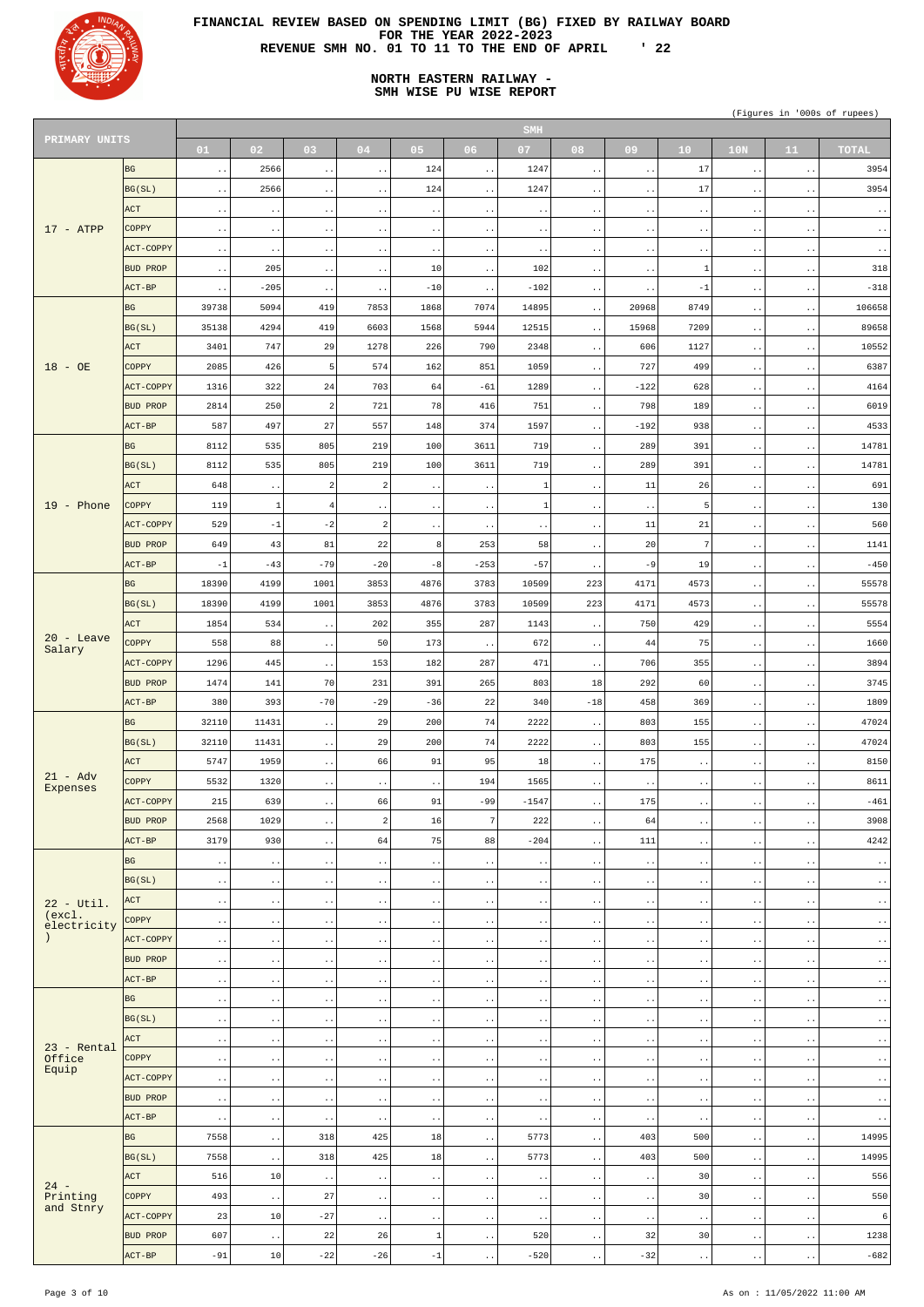

# **NORTH EASTERN RAILWAY - SMH WISE PU WISE REPORT**

| PRIMARY UNITS          |                  |                        |                        |                        |                              |                            |                        | <b>SMH</b>             |                        |                        |                        |                        |                        |                         |
|------------------------|------------------|------------------------|------------------------|------------------------|------------------------------|----------------------------|------------------------|------------------------|------------------------|------------------------|------------------------|------------------------|------------------------|-------------------------|
|                        |                  | 01                     | 02                     | 03                     | 04                           | 0 <sub>5</sub>             | 06                     | 07                     | 08                     | 09                     | 10 <sup>°</sup>        | 10N                    | 11                     | <b>TOTAL</b>            |
|                        | <b>BG</b>        | $\ddot{\phantom{1}}$ . | 2566                   | $\bullet$ . $\bullet$  | $\sim$ $\sim$                | 124                        | $\ddot{\phantom{1}}$ . | 1247                   | $\bullet$ .            | $\sim$ $\sim$          | 17                     | $\ddotsc$              | $\sim$ $\sim$          | 3954                    |
|                        | BG(SL)           | $\cdot$ .              | 2566                   | $\bullet$ $\bullet$    | $\ddot{\phantom{1}}$ .       | 124                        | $\ddot{\phantom{1}}$ . | 1247                   | $\bullet$ $\bullet$    | $\ddot{\phantom{0}}$ . | 17                     | $\cdot$ .              | $\sim$ $\sim$          | 3954                    |
|                        | ACT              |                        |                        |                        |                              |                            |                        |                        |                        |                        |                        |                        |                        |                         |
|                        |                  | $\cdot$ .              | $\bullet$ .            | $\bullet$ $\bullet$    | $\ddot{\phantom{a}}$ .       | $\ddot{\phantom{0}}$ .     | $\ddot{\phantom{1}}$ . | $\cdot$ .              | $\bullet$ $\bullet$    | $\bullet$ .            | $\ddot{\phantom{a}}$ . | $\bullet$ $\bullet$    | $\ddot{\phantom{1}}$ . | $\sim$ $\sim$           |
| $17 - ATP$             | <b>COPPY</b>     | $\cdot$ .              | $\ddot{\phantom{a}}$ . | $\ddot{\phantom{1}}$ . | $\ddot{\phantom{1}}$ .       | $\ddot{\phantom{0}}$ .     | $\sim$ $\sim$          | $\cdot$ .              | $\bullet$ .            | $\ddot{\phantom{0}}$ . | $\ddot{\phantom{1}}$ . | $\cdot$ .              | $\ddot{\phantom{1}}$ . | $\sim$ $\sim$           |
|                        | ACT-COPPY        | $\ddot{\phantom{1}}$ . | $\bullet$ .            | $\bullet$ . $\bullet$  | $\ddot{\phantom{a}}$ .       | $\ddot{\phantom{0}}$ .     | $\sim$ $\sim$          | $\cdot$ .              | $\bullet$ $\bullet$    | $\bullet$ .            | $\ddot{\phantom{1}}$ . | $\bullet$ $\bullet$    | $\sim$ $\sim$          | $\sim$ $\sim$           |
|                        | BUD PROP         | $\ddot{\phantom{1}}$ . | 205                    | $\ddot{\phantom{1}}$ . | $\ddot{\phantom{1}}$ .       | 10                         | $\ddot{\phantom{a}}$ . | 102                    | $\bullet$ $\bullet$    | $\ddot{\phantom{0}}$ . | -1                     | $\cdot$ .              | $\sim$ $\sim$          | 318                     |
|                        | ACT-BP           | $\ddot{\phantom{1}}$ . | $-205$                 | $\ddot{\phantom{a}}$ . | $\ddot{\phantom{a}}$ .       | $-10$                      | $\ddot{\phantom{0}}$   | $-102$                 | $\bullet$ $\bullet$    | $\ddot{\phantom{0}}$   | $-1$                   | $\ddot{\phantom{1}}$ . | $\bullet$ . $\bullet$  | $-318$                  |
|                        | <b>BG</b>        | 39738                  | 5094                   | 419                    | 7853                         | 1868                       | 7074                   | 14895                  | $\bullet$ $\bullet$    | 20968                  | 8749                   | $\cdot$ .              | $\ddot{\phantom{1}}$ . | 106658                  |
|                        | BG(SL)           | 35138                  | 4294                   | 419                    | 6603                         | 1568                       | 5944                   | 12515                  | $\bullet$ . $\bullet$  | 15968                  | 7209                   | $\ddot{\phantom{1}}$ . | $\ddot{\phantom{1}}$ . | 89658                   |
|                        | ACT              | 3401                   | 747                    | 29                     | 1278                         | 226                        | 790                    | 2348                   | $\ddotsc$              | 606                    | 1127                   | $\cdot$ .              | $\ddot{\phantom{1}}$ . | 10552                   |
| $18 - OB$              | <b>COPPY</b>     | 2085                   | 426                    | 5                      | 574                          | 162                        | 851                    | 1059                   | $\bullet$ $\bullet$    | 727                    | 499                    | $\ddot{\phantom{1}}$ . | $\sim$ $\sim$          | 6387                    |
|                        | <b>ACT-COPPY</b> | 1316                   | 322                    | 24                     | 703                          | 64                         | $-61$                  | 1289                   |                        | $-122$                 | 628                    |                        |                        | 4164                    |
|                        |                  |                        |                        |                        |                              |                            |                        |                        | $\ddotsc$              |                        |                        | $\ddotsc$              | $\ddot{\phantom{1}}$ . |                         |
|                        | BUD PROP         | 2814                   | 250                    | 2                      | 721                          | 78                         | 416                    | 751                    | $\ddotsc$              | 798                    | 189                    | $\ddot{\phantom{0}}$ . | $\sim$ $\sim$          | 6019                    |
|                        | ACT-BP           | 587                    | 497                    | 27                     | 557                          | 148                        | 374                    | 1597                   | $\ddot{\phantom{1}}$ . | $-192$                 | 938                    | $\ddotsc$              | $\ddot{\phantom{1}}$ . | 4533                    |
|                        | <b>BG</b>        | 8112                   | 535                    | 805                    | 219                          | 100                        | 3611                   | 719                    | $\ddotsc$              | 289                    | 391                    | $\ddot{\phantom{0}}$ . | $\ddot{\phantom{1}}$ . | 14781                   |
|                        | BG(SL)           | 8112                   | 535                    | 805                    | 219                          | 100                        | 3611                   | 719                    | $\ddot{\phantom{1}}$ . | 289                    | 391                    | $\ddotsc$              | $\sim$ $\sim$          | 14781                   |
|                        | ACT              | 648                    | $\bullet$ .            | 2                      | $\overline{c}$               | $\ddot{\phantom{0}}$ .     | $\ddot{\phantom{1}}$ . | -1                     | $\bullet$ $\bullet$    | 11                     | 26                     | $\ddot{\phantom{0}}$ . | $\sim$ $\sim$          | 691                     |
| $19$ - Phone           | <b>COPPY</b>     | 119                    | $\mathbf{1}$           | 4                      | $\sim$ $\sim$                | $\ddot{\phantom{a}}$ .     | $\sim$ $\sim$          | $\mathbf{1}$           | $\bullet$ $\bullet$    | $\ddot{\phantom{1}}$ . | -5                     | $\ddotsc$              | $\sim$ $\sim$          | 130                     |
|                        | <b>ACT-COPPY</b> | 529                    | $-1$                   | $-2$                   | $\overline{a}$               | $\ddot{\phantom{0}}$ .     | $\ddotsc$              | $\cdot$ .              | $\bullet$ .            | 11                     | 21                     | $\ddot{\phantom{0}}$ . | $\ddot{\phantom{1}}$ . | 560                     |
|                        | <b>BUD PROP</b>  | 649                    | 43                     | 81                     | 22                           | 8                          | 253                    | 58                     | $\ddotsc$              | 20                     | -7                     | $\ddot{\phantom{1}}$ . | $\sim$ $\sim$          | 1141                    |
|                        | ACT-BP           | $-1$                   | $-43$                  | $-79$                  | $-20$                        | $-8$                       | $-253$                 | $-57$                  |                        | $-9$                   | 19                     |                        |                        | $-450$                  |
|                        |                  |                        |                        |                        |                              |                            |                        |                        | $\ddot{\phantom{0}}$ . |                        |                        | $\ddot{\phantom{0}}$ . | $\ddot{\phantom{1}}$ . |                         |
|                        | <b>BG</b>        | 18390                  | 4199                   | 1001                   | 3853                         | 4876                       | 3783                   | 10509                  | 223                    | 4171                   | 4573                   | $\ddot{\phantom{1}}$ . | $\ddot{\phantom{1}}$ . | 55578                   |
|                        | BG(SL)           | 18390                  | 4199                   | 1001                   | 3853                         | 4876                       | 3783                   | 10509                  | 223                    | 4171                   | 4573                   | $\ddot{\phantom{0}}$ . | $\ddot{\phantom{1}}$ . | 55578                   |
|                        | <b>ACT</b>       | 1854                   | 534                    | $\ddot{\phantom{0}}$   | 202                          | 355                        | 287                    | 1143                   | $\bullet$ .            | 750                    | 429                    | $\bullet$ .            | $\ddot{\phantom{0}}$   | 5554                    |
| $20 -$ Leave<br>Salary | COPPY            | 558                    | 88                     | $\ddot{\phantom{1}}$ . | 50                           | 173                        | $\ddot{\phantom{0}}$   | 672                    | $\ddotsc$              | 44                     | 75                     | $\ddot{\phantom{1}}$ . | $\ddot{\phantom{1}}$ . | 1660                    |
|                        | <b>ACT-COPPY</b> | 1296                   | 445                    | $\bullet$ . $\bullet$  | 153                          | 182                        | 287                    | 471                    | $\ddot{\phantom{1}}$ . | 706                    | 355                    | $\ddot{\phantom{1}}$ . | $\bullet$ $\bullet$    | 3894                    |
|                        | <b>BUD PROP</b>  | 1474                   | 141                    | 70                     | 231                          | 391                        | 265                    | 803                    | 18                     | 292                    | 60                     | $\ddot{\phantom{1}}$ . | $\ddot{\phantom{1}}$ . | 3745                    |
|                        | ACT-BP           | 380                    | 393                    | $-70$                  | $-29$                        | $-36$                      | 22                     | 340                    | $-18$                  | 458                    | 369                    | $\ddot{\phantom{1}}$ . | $\bullet$ $\bullet$    | 1809                    |
|                        | <b>BG</b>        | 32110                  | 11431                  | $\ddot{\phantom{1}}$ . | 29                           | 200                        | 74                     | 2222                   | $\ddotsc$              | 803                    | 155                    | $\ddot{\phantom{1}}$ . | $\ddot{\phantom{1}}$ . | 47024                   |
|                        | BG(SL)           | 32110                  | 11431                  | $\ddot{\phantom{1}}$ . | 29                           | 200                        | 74                     | 2222                   | $\ddot{\phantom{a}}$ . | 803                    | 155                    | $\ddot{\phantom{1}}$ . | $\bullet$ $\bullet$    | 47024                   |
|                        | ACT              | 5747                   | 1959                   | $\ddot{\phantom{0}}$ . | 66                           | 91                         | 95                     | 18                     | $\ddot{\phantom{1}}$ . | 175                    | $\ddot{\phantom{1}}$ . | $\ddot{\phantom{1}}$ . | $\ddot{\phantom{1}}$ . | 8150                    |
| $21 - Adv$             | COPPY            | 5532                   | 1320                   | $\bullet$ $\bullet$    |                              | $\sim$ $\sim$              | 194                    | 1565                   | $\ddot{\phantom{1}}$ . | $\ddot{\phantom{a}}$ . |                        |                        | $\bullet$ $\bullet$    | 8611                    |
| Expenses               | <b>ACT-COPPY</b> | 215                    | 639                    |                        | $\ddot{\phantom{a}}$ .<br>66 | 91                         | $-99$                  | $-1547$                |                        | 175                    | $\ddotsc$              | $\ddot{\phantom{1}}$ . |                        | $-461$                  |
|                        |                  |                        |                        | $\bullet$ . $\bullet$  |                              |                            |                        |                        | $\ddotsc$              |                        | $\ddot{\phantom{1}}$ . | $\ddot{\phantom{1}}$ . | $\ddot{\phantom{1}}$ . |                         |
|                        | <b>BUD PROP</b>  | 2568                   | 1029                   | $\bullet$ . $\bullet$  | 2                            | 16                         | 7                      | 222                    | $\ddot{\phantom{1}}$ . | 64                     | $\ddot{\phantom{1}}$ . | $\ddot{\phantom{1}}$ . | $\bullet$ $\bullet$    | 3908                    |
|                        | ACT-BP           | 3179                   | 930                    | $\ddot{\phantom{0}}$ . | 64                           | 75                         | 88                     | $-204$                 | $\ddot{\phantom{1}}$ . | 111                    | $\ddot{\phantom{1}}$ . | $\ddot{\phantom{1}}$ . | $\ddot{\phantom{1}}$ . | 4242                    |
|                        | <b>BG</b>        | $\ddot{\phantom{0}}$ . | $\bullet$ $\bullet$    | $\ddot{\phantom{a}}$ . | $\ddot{\phantom{1}}$ .       | $\ddot{\phantom{0}}$ .     | $\ddot{\phantom{a}}$ . | $\ddot{\phantom{1}}$ . | $\bullet$ $\bullet$    | $\ddot{\phantom{a}}$ . | $\ddotsc$              | $\ddot{\phantom{0}}$ . | $\ddot{\phantom{1}}$ . | $\cdot$ .               |
|                        | BG(SL)           | $\sim$ $\sim$          | $\ddot{\phantom{0}}$ . | $\bullet$ $\bullet$    | $\ddot{\phantom{1}}$ .       | $\ddot{\phantom{0}}$ .     | $\ddot{\phantom{1}}$ . | $\ddot{\phantom{1}}$ . | $\bullet$ $\bullet$    | $\ddot{\phantom{1}}$ . | $\ddotsc$              | $\ddot{\phantom{0}}$ . | $\ddot{\phantom{1}}$ . | $\sim$ $\sim$           |
| $22 - Util.$           | ACT              | $\ddot{\phantom{0}}$ . | $\bullet$ $\bullet$    | $\ddotsc$              | $\ddot{\phantom{1}}$ .       | $\ddot{\phantom{0}}$ .     | $\sim$ $\sim$          | $\ddot{\phantom{1}}$ . | $\bullet$ $\bullet$    | $\ddot{\phantom{0}}$ . | $\ddotsc$              | $\ddot{\phantom{0}}$ . | $\sim$ $\sim$          | $\ddot{\phantom{0}}$ .  |
| (excl.<br>electricity  | COPPY            | $\sim$ $\sim$          | $\ddot{\phantom{a}}$ . | $\bullet$ $\bullet$    | $\ddot{\phantom{1}}$ .       | $\ddot{\phantom{0}}$ .     | $\ddot{\phantom{1}}$ . | $\ddot{\phantom{1}}$ . | $\bullet$ $\bullet$    | $\ddot{\phantom{1}}$ . | $\ddotsc$              | $\ddot{\phantom{0}}$ . | $\ddot{\phantom{1}}$ . | $\sim$ $\sim$           |
|                        | ACT-COPPY        | $\sim$ $\sim$          | $\bullet$ $\bullet$    | $\ddotsc$              | $\ddot{\phantom{1}}$ .       | $\ddot{\phantom{0}}$ .     | $\ddot{\phantom{a}}$ . | $\ddot{\phantom{1}}$ . | $\bullet$ $\bullet$    | $\ddot{\phantom{0}}$ . | $\ddotsc$              | $\ddot{\phantom{0}}$ . | $\ddot{\phantom{1}}$ . | $\ddot{\phantom{0}}$ .  |
|                        | BUD PROP         | $\sim$ $\sim$          | $\ddot{\phantom{a}}$ . | $\bullet$ $\bullet$    | $\sim$ $\sim$                | $\ddot{\phantom{1}}$ .     | $\ddot{\phantom{a}}$ . | $\sim$ $\sim$          | $\bullet$ $\bullet$    | $\ddot{\phantom{1}}$ . | $\ddot{\phantom{1}}$ . | $\ddotsc$              | $\ddot{\phantom{1}}$ . | $\ddot{\phantom{1}}$ .  |
|                        | ACT-BP           | $\ddot{\phantom{0}}$ . | $\bullet$ $\bullet$    | $\ddot{\phantom{a}}$ . | $\ddot{\phantom{1}}$ .       | $\ddot{\phantom{0}}$ .     | $\ddot{\phantom{a}}$ . | $\ddot{\phantom{1}}$ . | $\bullet$ $\bullet$    | $\ddot{\phantom{a}}$ . | $\ddotsc$              | $\ddot{\phantom{0}}$ . | $\ddot{\phantom{1}}$ . | $\ddot{\phantom{0}}$ .  |
|                        | <b>BG</b>        | $\sim$ $\sim$          | $\ddot{\phantom{1}}$ . | $\bullet$ $\bullet$    | $\sim$ $\sim$                | $\ddot{\phantom{1}}$ .     | $\ddot{\phantom{1}}$ . | $\sim$ $\sim$          | $\bullet$ $\bullet$    | $\ddot{\phantom{1}}$ . | $\ddot{\phantom{1}}$ . | $\ddotsc$              | $\ddot{\phantom{1}}$ . | $\ddot{\phantom{1}}$ .  |
|                        | BG(SL)           |                        |                        |                        |                              |                            |                        |                        |                        |                        |                        |                        |                        |                         |
|                        |                  | $\ddot{\phantom{1}}$ . | $\bullet$ $\bullet$    | $\ddot{\phantom{a}}$ . | $\ddot{\phantom{1}}$ .       | $\ddot{\phantom{0}}$ .     | $\ddot{\phantom{1}}$ . | $\ddot{\phantom{1}}$ . | $\bullet$ $\bullet$    | $\ddot{\phantom{a}}$ . | $\ddotsc$              | $\ddot{\phantom{0}}$ . | $\ddot{\phantom{0}}$ . | $\ddot{\phantom{0}}$ .  |
| $23$ - Rental          | ACT              | $\sim$ $\sim$          | $\ddot{\phantom{a}}$ . | $\bullet$ $\bullet$    | $\sim$ $\sim$                | $\sim$ $\sim$              | $\ddot{\phantom{1}}$ . | $\sim$ $\sim$          | $\bullet$ .            | $\ddot{\phantom{1}}$ . | $\ddot{\phantom{1}}$ . | $\ddotsc$              | $\ddot{\phantom{1}}$ . | $\ddot{\phantom{1}}$ .  |
| Office<br>Equip        | COPPY            | $\ddot{\phantom{1}}$ . | $\bullet$ $\bullet$    | $\ddot{\phantom{a}}$ . | $\ddot{\phantom{1}}$ .       | $\ddot{\phantom{0}}$ .     | $\ddot{\phantom{1}}$ . | $\cdot$ .              | $\bullet$ $\bullet$    | $\ddot{\phantom{a}}$ . | $\ddot{\phantom{1}}$ . | $\ddot{\phantom{0}}$ . | $\ddot{\phantom{0}}$ . | $\ddot{\phantom{0}}$ .  |
|                        | ACT-COPPY        | $\sim$ $\sim$          | $\ddot{\phantom{a}}$ . | $\bullet$ $\bullet$    | $\sim$ $\sim$                | $\ddot{\phantom{1}}$ .     | $\ddot{\phantom{a}}$ . | $\sim$ $\sim$          | $\bullet$ .            | $\ddot{\phantom{1}}$ . | $\ddot{\phantom{1}}$ . | $\ddotsc$              | $\ddot{\phantom{1}}$ . | $\ddot{\phantom{1}}$ .  |
|                        | BUD PROP         | $\ddot{\phantom{0}}$ . | $\cdot$ .              | $\ddotsc$              | $\ddot{\phantom{1}}$ .       | $\ddot{\phantom{1}}$ .     | $\ddot{\phantom{1}}$ . | $\cdot$ .              | $\ddot{\phantom{0}}$   | $\ddot{\phantom{0}}$ . | $\sim$ $\sim$          | $\ddot{\phantom{1}}$ . | $\ddot{\phantom{1}}$   | $\ddot{\phantom{0}}$ .  |
|                        | $ ACT-BP $       | $\sim$ $\sim$          | $\bullet$ .            | $\ddot{\phantom{1}}$ . | $\sim$ $\sim$                | $\ddot{\phantom{0}}$ .     | $\ddot{\phantom{a}}$ . | $\sim$ $\sim$          | $\bullet$ . $\bullet$  | $\ddot{\phantom{1}}$ . | $\ddot{\phantom{1}}$ . | $\ddot{\phantom{0}}$ . | $\ddot{\phantom{1}}$ . | $\langle \cdot \rangle$ |
|                        | BG               | 7558                   | $\ddot{\phantom{1}}$ . | 318                    | 425                          | $18\,$                     | $\ddotsc$              | 5773                   | $\ddot{\phantom{1}}$ . | 403                    | 500                    | $\ddot{\phantom{1}}$ . | $\sim$ $\sim$          | 14995                   |
|                        | BG(SL)           | 7558                   | $\epsilon$ .           | 318                    | 425                          | $18\,$                     | $\ddotsc$              | 5773                   | $\ddot{\phantom{a}}$ . | 403                    | 500                    | $\ddot{\phantom{1}}$ . | $\sim$ $\sim$          | 14995                   |
|                        | ACT              | 516                    | $10$                   | $\ddot{\phantom{1}}$ . | $\sim$ $\sim$                | $\ddot{\phantom{1}}$ .     | $\ddot{\phantom{a}}$ . | $\ddot{\phantom{1}}$ . | $\ddot{\phantom{0}}$ . | $\ddot{\phantom{0}}$ . | 30                     | $\ddot{\phantom{1}}$ . | $\ddot{\phantom{1}}$ . | 556                     |
| $24 -$<br>Printing     | <b>COPPY</b>     | 493                    | $\epsilon$ .           | 27                     | $\ddot{\phantom{1}}$ .       | $\ddot{\phantom{1}}$ .     | $\sim$ $\sim$          | $\sim$ $\sim$          | $\bullet$ $\bullet$    | $\ddot{\phantom{0}}$ . | 30                     | $\ddot{\phantom{1}}$ . | $\sim$ $\sim$          | 550                     |
| and Stnry              | ACT-COPPY        | 23                     | 10                     | $-27$                  | $\ddot{\phantom{1}}$ .       | $\ddot{\phantom{1}}$ .     | $\ddot{\phantom{1}}$ . | $\sim$ $\sim$          | $\ddot{\phantom{0}}$ . | $\ddot{\phantom{1}}$ . | $\ddot{\phantom{1}}$ . | $\ddot{\phantom{0}}$ . | $\ddot{\phantom{1}}$ . | $\sqrt{6}$              |
|                        | BUD PROP         | 607                    |                        | 22                     | 26                           | $\ensuremath{\mathbbm{1}}$ |                        | 520                    |                        | 32                     | 30                     |                        |                        | 1238                    |
|                        | ACT-BP           |                        | $\epsilon$ .<br>$10$   |                        |                              |                            | $\sim$ $\sim$          |                        | $\bullet$ $\bullet$    |                        |                        | $\ddot{\phantom{1}}$ . | $\sim$ $\sim$          |                         |
|                        |                  | $-91$                  |                        | $-22$                  | $-26$                        | $^{\rm -1}$                | $\ddot{\phantom{1}}$ . | $-520$                 | $\ddot{\phantom{0}}$ . | $-32$                  | $\ddot{\phantom{1}}$ . | $\ddot{\phantom{1}}$ . | $\sim$ $\sim$          | $-682$                  |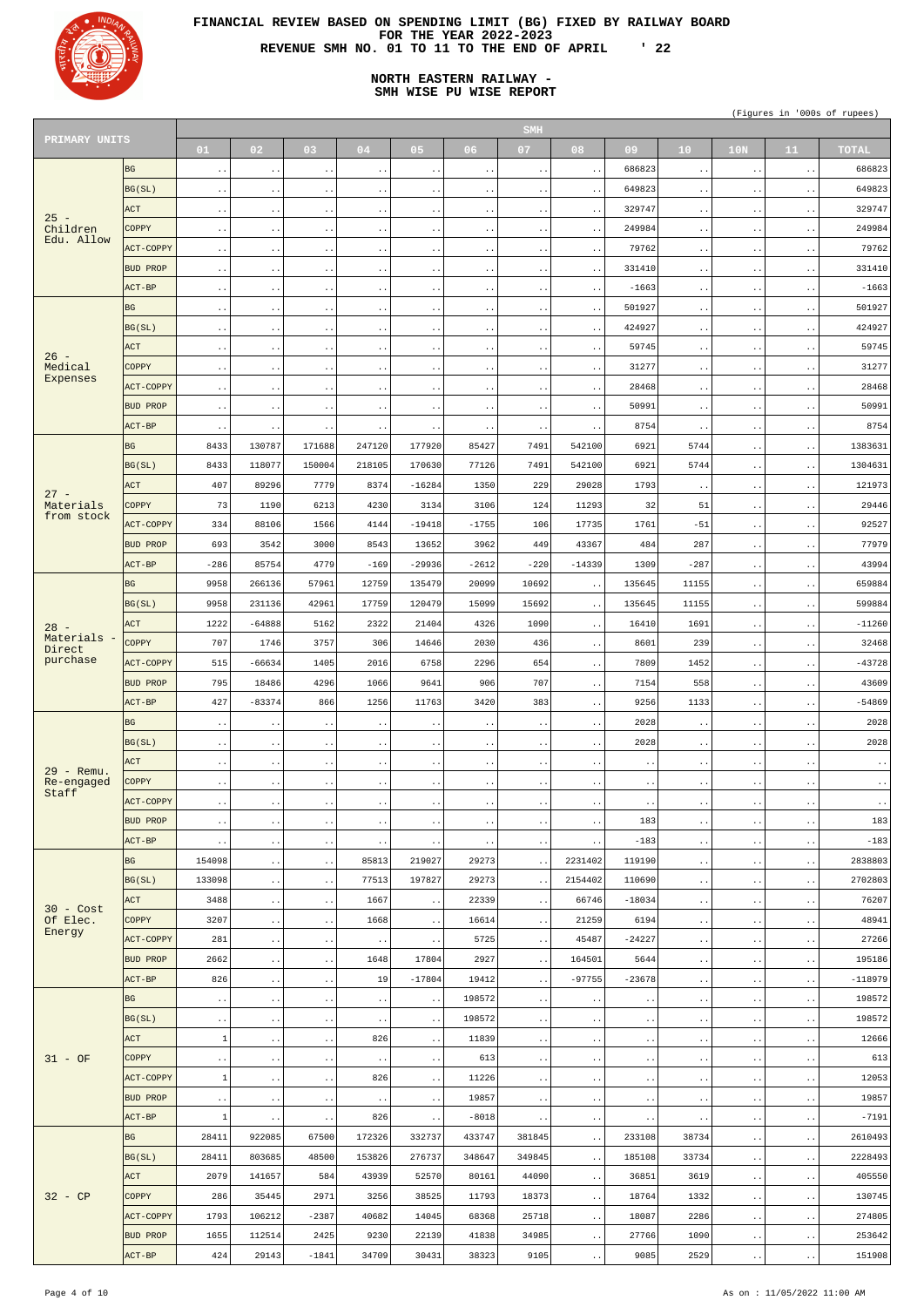

# **NORTH EASTERN RAILWAY - SMH WISE PU WISE REPORT**

| PRIMARY UNITS            |                  |                        |                       |                        |                        |                        |                        | <b>SMH</b>             |                        |                        |                        |                        |                        |                        |
|--------------------------|------------------|------------------------|-----------------------|------------------------|------------------------|------------------------|------------------------|------------------------|------------------------|------------------------|------------------------|------------------------|------------------------|------------------------|
|                          |                  | 01                     | 02 <sub>1</sub>       | 03                     | 04                     | 05                     | 06 <sub>1</sub>        | 07                     | 08                     | 09                     | 10                     | 10 <sub>N</sub>        | 11                     | <b>TOTAL</b>           |
|                          | <b>BG</b>        | $\sim$ $\sim$          | $\ddotsc$             | $\ddotsc$              | $\ddot{\phantom{0}}$ . | $\bullet$ $\bullet$    | $\ddot{\phantom{0}}$   | $\ddot{\phantom{1}}$ . | $\ddot{\phantom{1}}$ . | 686823                 | $\sim$ $\sim$          | $\ddot{\phantom{1}}$ . | $\bullet$ . $\bullet$  | 686823                 |
|                          | BG(SL)           | $\ddot{\phantom{1}}$ . | $\sim$ $\sim$         | $\ddot{\phantom{1}}$ . | $\ddot{\phantom{1}}$ . | $\sim$ $\sim$          | $\ddot{\phantom{1}}$ . | $\ddot{\phantom{1}}$ . | $\ddot{\phantom{1}}$ . | 649823                 | $\sim$ $\sim$          | $\ddot{\phantom{a}}$ . | $\ddot{\phantom{1}}$ . | 649823                 |
|                          | <b>ACT</b>       |                        |                       |                        |                        |                        |                        |                        |                        | 329747                 |                        |                        |                        | 329747                 |
| $25 -$                   |                  | $\ddot{\phantom{1}}$ . | $\sim$ $\sim$         | $\ddot{\phantom{1}}$ . | $\ddot{\phantom{1}}$ . | $\ddot{\phantom{1}}$ . | $\ddot{\phantom{0}}$   | $\ddot{\phantom{1}}$ . | $\ddot{\phantom{1}}$ . |                        | $\ddot{\phantom{1}}$ . | $\ddot{\phantom{1}}$ . | $\bullet$ . $\bullet$  |                        |
| Children<br>Edu. Allow   | COPPY            | $\ddot{\phantom{1}}$ . | $\sim$ $\sim$         | $\ddot{\phantom{a}}$ . | $\ddot{\phantom{1}}$ . | $\sim$ $\sim$          | $\ddot{\phantom{1}}$ . | $\ddot{\phantom{1}}$ . | $\ddot{\phantom{1}}$ . | 249984                 | $\sim$ $\sim$          | $\ddot{\phantom{a}}$ . | $\ddot{\phantom{1}}$ . | 249984                 |
|                          | ACT-COPPY        | $\sim$ $\sim$          | $\sim$ $\sim$         | $\ddot{\phantom{1}}$ . | $\ddot{\phantom{1}}$ . | $\ddot{\phantom{1}}$ . | $\ddot{\phantom{0}}$   | $\ddot{\phantom{1}}$ . | $\ddot{\phantom{1}}$ . | 79762                  | $\ddot{\phantom{1}}$ . | $\ddot{\phantom{1}}$ . | $\bullet$ . $\bullet$  | 79762                  |
|                          | <b>BUD PROP</b>  | $\ddot{\phantom{1}}$ . | $\sim$ $\sim$         | $\ddot{\phantom{a}}$ . | $\ddot{\phantom{1}}$ . | $\sim$ $\sim$          | $\ddot{\phantom{1}}$ . | $\ddot{\phantom{1}}$ . | $\ddot{\phantom{1}}$ . | 331410                 | $\sim$ $\sim$          | $\ddot{\phantom{a}}$ . | $\ddot{\phantom{1}}$ . | 331410                 |
|                          | $ACT-BP$         | $\ddot{\phantom{1}}$ . | $\sim$ $\sim$         | $\ddot{\phantom{1}}$ . | $\ddot{\phantom{1}}$ . | $\ddot{\phantom{1}}$ . | $\ddot{\phantom{0}}$   | $\ddot{\phantom{1}}$ . | $\ddot{\phantom{1}}$ . | $-1663$                | $\ddot{\phantom{1}}$ . | $\ddot{\phantom{1}}$ . | $\bullet$ . $\bullet$  | $-1663$                |
|                          | <b>BG</b>        | $\ddot{\phantom{1}}$ . | $\ddotsc$             | $\ddot{\phantom{a}}$ . | $\ddot{\phantom{1}}$ . | $\ddotsc$              | $\ddot{\phantom{1}}$ . | $\ddot{\phantom{1}}$ . | $\ddot{\phantom{1}}$ . | 501927                 | $\sim$ $\sim$          | $\ddot{\phantom{a}}$ . | $\ddot{\phantom{1}}$ . | 501927                 |
|                          | BG(SL)           | $\sim$ $\sim$          | $\sim$ $\sim$         | $\ddot{\phantom{1}}$ . | $\ddot{\phantom{1}}$ . | $\bullet$ . $\bullet$  | $\ddot{\phantom{0}}$   | $\ddot{\phantom{1}}$ . | $\sim$ $\sim$          | 424927                 | $\ddot{\phantom{1}}$ . | $\ddot{\phantom{1}}$ . | $\bullet$ . $\bullet$  | 424927                 |
|                          | <b>ACT</b>       |                        |                       |                        |                        |                        |                        |                        |                        | 59745                  |                        |                        |                        | 59745                  |
| $26 -$                   |                  | $\ddot{\phantom{1}}$ . | $\ddotsc$             | $\ddot{\phantom{a}}$ . | $\ddot{\phantom{1}}$ . | $\ddotsc$              | $\ddot{\phantom{1}}$ . | $\ddot{\phantom{1}}$ . | $\ddot{\phantom{0}}$   |                        | $\sim$ $\sim$          | $\ddot{\phantom{a}}$ . | $\ddot{\phantom{1}}$ . |                        |
| Medical<br>Expenses      | <b>COPPY</b>     | $\ddot{\phantom{1}}$ . | $\sim$ $\sim$         | $\ddot{\phantom{1}}$ . | $\ddot{\phantom{1}}$ . | $\bullet$ . $\bullet$  | $\ddot{\phantom{0}}$   | $\ddot{\phantom{1}}$ . | $\ddot{\phantom{1}}$ . | 31277                  | $\ddot{\phantom{1}}$ . | $\ddot{\phantom{1}}$ . | $\bullet$ . $\bullet$  | 31277                  |
|                          | ACT-COPPY        | $\ddot{\phantom{1}}$ . | $\ddotsc$             | $\ddot{\phantom{a}}$ . | $\ddot{\phantom{1}}$ . | $\ddotsc$              | $\ddot{\phantom{1}}$ . | $\ddot{\phantom{1}}$ . | $\ddot{\phantom{0}}$   | 28468                  | $\sim$ $\sim$          | $\ddot{\phantom{a}}$ . | $\bullet$ . $\bullet$  | 28468                  |
|                          | <b>BUD PROP</b>  | $\ddot{\phantom{1}}$ . | $\sim$ $\sim$         | $\ddot{\phantom{1}}$ . | $\ddot{\phantom{1}}$ . | $\bullet$ . $\bullet$  | $\ddot{\phantom{0}}$   | $\sim$ $\sim$          | $\sim$ $\sim$          | 50991                  | $\ddot{\phantom{1}}$ . | $\ddot{\phantom{1}}$ . | $\bullet$ . $\bullet$  | 50991                  |
|                          | $ACT-BP$         | $\ddot{\phantom{1}}$ . | $\ddotsc$             | $\ddot{\phantom{0}}$   | $\ddot{\phantom{1}}$ . | $\ddotsc$              | $\ddot{\phantom{0}}$   | $\ddot{\phantom{1}}$ . | $\ddot{\phantom{0}}$   | 8754                   | $\ddot{\phantom{1}}$ . | $\ddot{\phantom{1}}$ . | $\bullet$ . $\bullet$  | 8754                   |
|                          | <b>BG</b>        | 8433                   | 130787                | 171688                 | 247120                 | 177920                 | 85427                  | 7491                   | 542100                 | 6921                   | 5744                   | $\ddot{\phantom{1}}$ . | $\sim$ $\sim$          | 1383631                |
|                          | BG(SL)           | 8433                   | 118077                | 150004                 | 218105                 | 170630                 | 77126                  | 7491                   | 542100                 | 6921                   | 5744                   | $\ddot{\phantom{1}}$ . | $\ddot{\phantom{1}}$ . | 1304631                |
|                          | <b>ACT</b>       | 407                    | 89296                 | 7779                   | 8374                   | $-16284$               | 1350                   | 229                    | 29028                  | 1793                   | $\ddot{\phantom{1}}$ . | $\ddot{\phantom{1}}$ . | $\ddot{\phantom{1}}$ . | 121973                 |
| $27 -$                   |                  | 73                     | 1190                  | 6213                   |                        |                        | 3106                   |                        |                        | 32                     |                        |                        |                        | 29446                  |
| Materials<br>from stock  | COPPY            |                        |                       |                        | 4230                   | 3134                   |                        | 124                    | 11293                  |                        | 51                     | $\ddot{\phantom{1}}$ . | $\ddot{\phantom{1}}$ . |                        |
|                          | ACT-COPPY        | 334                    | 88106                 | 1566                   | 4144                   | $-19418$               | $-1755$                | 106                    | 17735                  | 1761                   | $-51$                  | $\ddot{\phantom{1}}$ . | $\ddot{\phantom{1}}$ . | 92527                  |
|                          | <b>BUD PROP</b>  | 693                    | 3542                  | 3000                   | 8543                   | 13652                  | 3962                   | 449                    | 43367                  | 484                    | 287                    | $\ddot{\phantom{1}}$ . | $\ddot{\phantom{1}}$ . | 77979                  |
|                          | $ACT-BP$         | $-286$                 | 85754                 | 4779                   | $-169$                 | $-29936$               | $-2612$                | $-220$                 | $-14339$               | 1309                   | $-287$                 | $\sim$ $\sim$          | $\ddot{\phantom{1}}$ . | 43994                  |
|                          | <b>BG</b>        | 9958                   | 266136                | 57961                  | 12759                  | 135479                 | 20099                  | 10692                  | $\ddot{\phantom{0}}$   | 135645                 | 11155                  | $\ddot{\phantom{1}}$ . | $\bullet$ . $\bullet$  | 659884                 |
|                          | BG(SL)           | 9958                   | 231136                | 42961                  | 17759                  | 120479                 | 15099                  | 15692                  | $\sim$ $\sim$          | 135645                 | 11155                  | $\ddot{\phantom{a}}$ . | $\ddot{\phantom{1}}$ . | 599884                 |
|                          | <b>ACT</b>       | 1222                   | $-64888$              | 5162                   | 2322                   | 21404                  | 4326                   | 1090                   | $\ddot{\phantom{a}}$   | 16410                  | 1691                   | $\ddot{\phantom{0}}$   | $\ddotsc$              | $-11260$               |
| $28 -$<br>Materials -    | COPPY            | 707                    | 1746                  | 3757                   | 306                    | 14646                  | 2030                   | 436                    |                        | 8601                   | 239                    |                        |                        | 32468                  |
| Direct<br>purchase       |                  |                        |                       |                        |                        |                        |                        |                        | $\ddot{\phantom{1}}$ . |                        |                        | $\ddot{\phantom{1}}$ . | $\ddot{\phantom{1}}$ . |                        |
|                          | ACT-COPPY        | 515                    | -66634                | 1405                   | 2016                   | 6758                   | 2296                   | 654                    | $\ddotsc$              | 7809                   | 1452                   | $\ddot{\phantom{1}}$ . | $\bullet$ . $\bullet$  | $-43728$               |
|                          | <b>BUD PROP</b>  | 795                    | 18486                 | 4296                   | 1066                   | 9641                   | 906                    | 707                    | $\ddot{\phantom{1}}$ . | 7154                   | 558                    | $\sim$ $\sim$          | $\ddot{\phantom{1}}$ . | 43609                  |
|                          | $ACT-BP$         | 427                    | $-83374$              | 866                    | 1256                   | 11763                  | 3420                   | 383                    | $\ddotsc$              | 9256                   | 1133                   | $\ddot{\phantom{1}}$ . | $\bullet$ . $\bullet$  | $-54869$               |
|                          | <b>BG</b>        | $\sim$ $\sim$          | $\bullet$ $\bullet$   | $\ddot{\phantom{1}}$ . | $\ddot{\phantom{1}}$ . | $\sim$ $\sim$          | $\ddot{\phantom{a}}$ . | $\ddot{\phantom{1}}$ . | $\ddot{\phantom{1}}$ . | 2028                   | $\sim$ $\sim$          | $\ddot{\phantom{0}}$ . | $\ddot{\phantom{1}}$ . | 2028                   |
|                          | BG(SL)           | $\sim$ $\sim$          | $\sim$ $\sim$         | $\ddot{\phantom{1}}$ . | $\sim$ .               | $\bullet$ . $\bullet$  | $\ddot{\phantom{0}}$   | $\ddot{\phantom{1}}$ . | $\ddot{\phantom{0}}$   | 2028                   | $\ddot{\phantom{1}}$ . | $\ddot{\phantom{1}}$ . | $\bullet$ . $\bullet$  | 2028                   |
|                          | <b>ACT</b>       | $\sim$ $\sim$          | $\sim$ $\sim$         | $\ddot{\phantom{1}}$ . | $\ddot{\phantom{1}}$ . | $\sim$ $\sim$          | $\ddot{\phantom{a}}$ . | $\ddot{\phantom{1}}$ . | $\ddot{\phantom{1}}$ . | $\ddot{\phantom{1}}$ . | $\ddot{\phantom{1}}$ . | $\ddot{\phantom{a}}$ . | $\bullet$ . $\bullet$  | $\sim$ $\sim$          |
| 29 - Remu.<br>Re-engaged | <b>COPPY</b>     | $\sim$ $\sim$          | $\sim$ $\sim$         | $\ddot{\phantom{1}}$ . | $\ddot{\phantom{1}}$ . | $\bullet$ . $\bullet$  | $\ddot{\phantom{0}}$   | $\ddot{\phantom{1}}$ . | $\ddot{\phantom{1}}$ . | $\ddot{\phantom{0}}$ . | $\ddot{\phantom{1}}$ . | $\ddot{\phantom{1}}$ . | $\bullet$ . $\bullet$  | $\sim$ $\sim$          |
| Staff                    | ACT-COPPY        |                        |                       |                        |                        |                        |                        |                        |                        |                        |                        |                        |                        |                        |
|                          |                  | $\sim$ $\sim$          | $\sim$ $\sim$         | $\ddot{\phantom{1}}$ . | $\ddot{\phantom{1}}$ . | $\sim$ $\sim$          | $\ddot{\phantom{a}}$ . | $\ddot{\phantom{1}}$ . | $\ddot{\phantom{1}}$ . | $\ddot{\phantom{1}}$ . | $\ddot{\phantom{1}}$ . | $\ddot{\phantom{a}}$ . | $\bullet$ . $\bullet$  | $\ddot{\phantom{0}}$ . |
|                          | <b>BUD PROP</b>  | $\sim$ $\sim$          | $\sim$ $\sim$         | $\ddot{\phantom{1}}$ . | $\ddot{\phantom{1}}$ . | $\bullet$ . $\bullet$  | $\ddot{\phantom{0}}$   | $\ddot{\phantom{1}}$ . | $\ddot{\phantom{0}}$   | 183                    | $\ddot{\phantom{1}}$ . | $\ddot{\phantom{1}}$ . | $\bullet$ . $\bullet$  | 183                    |
|                          | $ACT-BP$         | $\sim$ $\sim$          | $\sim$ $\sim$         | $\ddot{\phantom{1}}$ . | $\ddot{\phantom{1}}$ . | $\sim$ $\sim$          | $\ddot{\phantom{0}}$   | $\ddot{\phantom{1}}$ . | $\ddot{\phantom{0}}$   | $-183$                 | $\sim$ $\sim$          | $\ddot{\phantom{1}}$ . | $\ddot{\phantom{1}}$ . | $-183$                 |
|                          | <b>BG</b>        | 154098                 | $\sim$ $\sim$         | $\ddot{\phantom{0}}$   | 85813                  | 219027                 | 29273                  | $\ddot{\phantom{0}}$   | 2231402                | 119190                 | $\ddot{\phantom{1}}$ . | $\ddot{\phantom{1}}$ . | $\sim$ $\sim$          | 2838803                |
|                          | BG(SL)           | 133098                 | $\sim$ $\sim$         | $\ddot{\phantom{1}}$ . | 77513                  | 197827                 | 29273                  | $\sim$ $\sim$          | 2154402                | 110690                 | $\ddot{\phantom{1}}$ . | $\ddot{\phantom{a}}$ . | $\ddot{\phantom{1}}$ . | 2702803                |
|                          | <b>ACT</b>       | 3488                   | $\sim$ $\sim$         | $\ddot{\phantom{1}}$ . | 1667                   | $\ddotsc$              | 22339                  | $\sim$ .               | 66746                  | $-18034$               | $\ddot{\phantom{1}}$ . | $\ddot{\phantom{1}}$ . | $\sim$ $\sim$          | 76207                  |
| $30 - Cost$<br>Of Elec.  | <b>COPPY</b>     | 3207                   | $\sim$ $\sim$         | $\ddotsc$              | 1668                   | $\sim$ $\sim$          | 16614                  | $\ddot{\phantom{1}}$ . | 21259                  | 6194                   | $\ddot{\phantom{1}}$ . | $\ddot{\phantom{0}}$ . | $\ddot{\phantom{1}}$ . | 48941                  |
| Energy                   | ACT-COPPY        | 281                    | $\sim$ $\sim$         | $\ddot{\phantom{1}}$ . | $\ddot{\phantom{1}}$ . | $\ddotsc$              | 5725                   | $\ddot{\phantom{1}}$ . | 45487                  | $-24227$               | $\ddot{\phantom{1}}$ . | $\ddot{\phantom{1}}$ . | $\ddot{\phantom{1}}$ . | 27266                  |
|                          | <b>BUD PROP</b>  | 2662                   |                       |                        | 1648                   | 17804                  | 2927                   |                        | 164501                 | 5644                   |                        |                        |                        | 195186                 |
|                          |                  |                        | $\sim$ $\sim$         | $\ddotsc$              |                        |                        |                        | $\sim$ .               |                        |                        | $\ddot{\phantom{1}}$ . | $\ddotsc$              | $\ddot{\phantom{1}}$ . |                        |
|                          | $ACT-BP$         | 826                    | $\sim$ $\sim$         | $\ddot{\phantom{1}}$ . | 19                     | $-17804$               | 19412                  | $\sim$ .               | $-97755$               | $-23678$               | $\ddot{\phantom{1}}$ . | $\ddot{\phantom{1}}$ . | $\ddot{\phantom{1}}$ . | $-118979$              |
|                          | <b>BG</b>        | $\ddot{\phantom{1}}$ . | $\ddotsc$             | $\ddot{\phantom{1}}$ . | $\sim$ .               | $\ddot{\phantom{1}}$ . | 198572                 | $\sim$ $\sim$          | $\ddot{\phantom{1}}$ . | $\ddot{\phantom{1}}$ . | $\ddot{\phantom{1}}$ . | $\ddotsc$              | $\ddot{\phantom{1}}$ . | 198572                 |
|                          | BG(SL)           | $\sim$ $\sim$          | $\sim$ $\sim$         | $\bullet$ . $\bullet$  | $\ddot{\phantom{0}}$   | $\sim$ $\sim$          | 198572                 | $\ddot{\phantom{1}}$ . | $\ddot{\phantom{1}}$ . | $\bullet$ .            | $\ddot{\phantom{1}}$ . | $\ddot{\phantom{1}}$ . | $\ddot{\phantom{1}}$ . | 198572                 |
|                          | <b>ACT</b>       | $\mathbf{1}$           | $\ddotsc$             | $\ddot{\phantom{1}}$ . | 826                    | $\ddotsc$              | 11839                  | $\ddot{\phantom{1}}$ . | $\ddot{\phantom{1}}$ . | $\bullet$ .            | $\ddot{\phantom{1}}$ . | $\ddot{\phantom{1}}$ . | $\bullet$ . $\bullet$  | 12666                  |
| $31 - OF$                | COPPY            | $\sim$ $\sim$          | $\sim$ $\sim$         | $\ddot{\phantom{1}}$ . | $\ddot{\phantom{1}}$ . | $\bullet$ . $\bullet$  | 613                    | $\sim$ $\sim$          | $\ddot{\phantom{1}}$ . | $\bullet$ .            | $\sim$ $\sim$          | $\ddotsc$              | $\ddot{\phantom{1}}$ . | 613                    |
|                          | <b>ACT-COPPY</b> | $\mathbf{1}$           | $\ddotsc$             | $\ddot{\phantom{1}}$ . | 826                    | $\ddot{\phantom{1}}$ . | 11226                  | $\ddot{\phantom{1}}$ . | $\ddot{\phantom{1}}$ . | $\bullet$ .            | $\ddot{\phantom{1}}$ . | $\ddotsc$              | $\ddot{\phantom{1}}$ . | 12053                  |
|                          | <b>BUD PROP</b>  |                        | $\bullet$ . $\bullet$ | $\ddot{\phantom{0}}$   |                        | $\bullet$ . $\bullet$  | 19857                  |                        | $\ddot{\phantom{0}}$   | $\ddot{\phantom{1}}$ . |                        | $\ddot{\phantom{1}}$ . |                        | 19857                  |
|                          | ACT-BP           | $\ddot{\phantom{1}}$ . |                       |                        | $\ddot{\phantom{1}}$ . |                        |                        | $\ddot{\phantom{1}}$ . |                        |                        | $\ddot{\phantom{1}}$ . |                        | $\ddot{\phantom{1}}$ . |                        |
|                          |                  | $\mathbf{1}$           | $\sim$ $\sim$         | $\ddot{\phantom{1}}$ . | 826                    | $\ddot{\phantom{1}}$ . | $-8018$                | $\sim$ .               | $\ddot{\phantom{1}}$ . | $\bullet$ .            | $\ddot{\phantom{1}}$ . | $\sim$ $\sim$          | $\sim$ $\sim$          | $-7191$                |
|                          | <b>BG</b>        | 28411                  | 922085                | 67500                  | 172326                 | 332737                 | 433747                 | 381845                 | $\ddot{\phantom{1}}$ . | 233108                 | 38734                  | $\ddot{\phantom{1}}$ . | $\ddot{\phantom{1}}$ . | 2610493                |
|                          | BG(SL)           | 28411                  | 803685                | 48500                  | 153826                 | 276737                 | 348647                 | 349845                 | $\ddot{\phantom{1}}$ . | 185108                 | 33734                  | $\sim$ $\sim$          | $\ddot{\phantom{1}}$ . | 2228493                |
|                          | ACT              | 2079                   | 141657                | 584                    | 43939                  | 52570                  | 80161                  | 44090                  | $\ddot{\phantom{1}}$ . | 36851                  | 3619                   | $\ddot{\phantom{a}}$ . | $\ddot{\phantom{1}}$ . | 405550                 |
| $32 - CP$                | COPPY            | 286                    | 35445                 | 2971                   | 3256                   | 38525                  | 11793                  | 18373                  | $\ddot{\phantom{1}}$ . | 18764                  | 1332                   | $\sim$ $\sim$          | $\ddot{\phantom{1}}$ . | 130745                 |
|                          | ACT-COPPY        | 1793                   | 106212                | $-2387$                | 40682                  | 14045                  | 68368                  | 25718                  | $\ddot{\phantom{1}}$ . | 18087                  | 2286                   | $\ddot{\phantom{a}}$ . | $\ddot{\phantom{1}}$ . | 274805                 |
|                          | <b>BUD PROP</b>  | 1655                   | 112514                | 2425                   | 9230                   | 22139                  | 41838                  | 34985                  | $\ddot{\phantom{a}}$ . | 27766                  | 1090                   | $\ddot{\phantom{a}}$ . | $\ddot{\phantom{1}}$ . | 253642                 |
|                          | $ACT-BP$         | 424                    | 29143                 | $-1841$                | 34709                  | 30431                  | 38323                  | 9105                   |                        | 9085                   | 2529                   |                        |                        | 151908                 |
|                          |                  |                        |                       |                        |                        |                        |                        |                        | $\ddot{\phantom{1}}$ . |                        |                        | $\ddot{\phantom{1}}$ . | $\ddot{\phantom{0}}$ . |                        |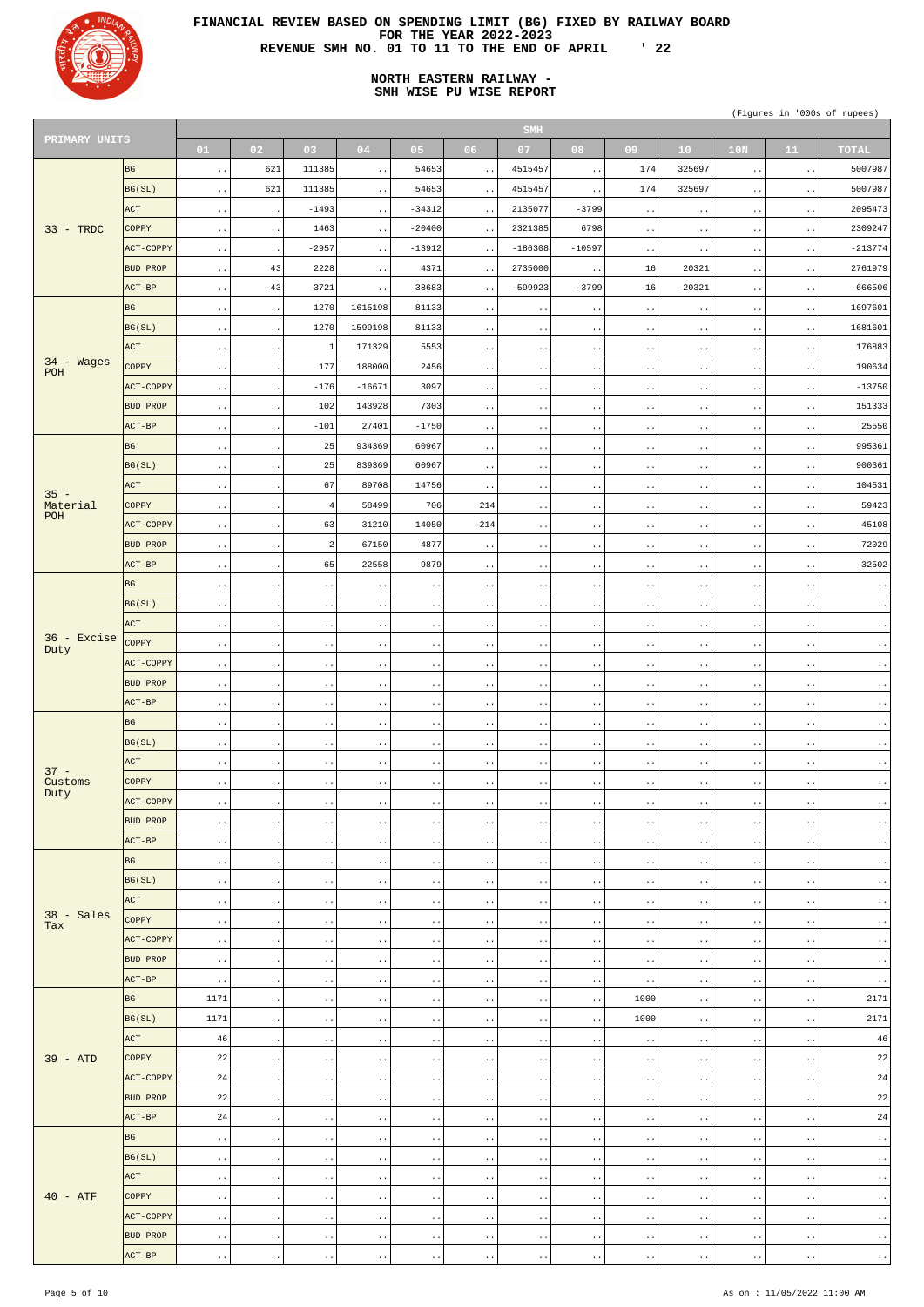

# **NORTH EASTERN RAILWAY - SMH WISE PU WISE REPORT**

|                     |                 |                        |                        |                        |                        |                        |                        | <b>SMH</b>             |                                              |                        |                        |                           |                          |                                              |
|---------------------|-----------------|------------------------|------------------------|------------------------|------------------------|------------------------|------------------------|------------------------|----------------------------------------------|------------------------|------------------------|---------------------------|--------------------------|----------------------------------------------|
| PRIMARY UNITS       |                 | 01                     | 02                     | 03                     | 04                     | 05                     | 06                     | 07                     | 08                                           | 09                     | 10 <sub>1</sub>        | 10 <sub>N</sub>           | 11                       | <b>TOTAL</b>                                 |
|                     | <b>BG</b>       | $\ddot{\phantom{1}}$ . | 621                    | 111385                 | $\sim$ $\sim$          | 54653                  | $\sim$ $\sim$          | 4515457                | $\sim$ $\sim$                                | 174                    | 325697                 | $\sim$ $\sim$             | $\sim$ $\sim$            | 5007987                                      |
|                     | BG(SL)          | $\ddot{\phantom{a}}$ . | 621                    | 111385                 | $\sim$ $\sim$          | 54653                  | $\sim$ $\sim$          | 4515457                | $\sim$ $\sim$                                | 174                    | 325697                 | $\sim$ $\sim$             | $\sim$ $\sim$            | 5007987                                      |
|                     | ACT             | $\sim$ .               | $\sim$ $\sim$          | $-1493$                | $\sim$ $\sim$          | $-34312$               | $\sim$ $\sim$          | 2135077                | $-3799$                                      | $\bullet$ $\bullet$    | $\sim$ $\sim$          | $\sim$ $\sim$             | $\sim$ $\sim$            | 2095473                                      |
| $33 - TRDC$         | <b>COPPY</b>    | $\sim$ $\sim$          | $\ddot{\phantom{1}}$ . | 1463                   | $\sim$ $\sim$          | $-20400$               | $\sim$ $\sim$          | 2321385                | 6798                                         | $\bullet$ $\bullet$    | $\sim$ $\sim$          | $\sim$ $\sim$             | $\sim$ $\sim$            | 2309247                                      |
|                     | ACT-COPPY       |                        |                        | $-2957$                | $\sim$ $\sim$          | $-13912$               | $\sim$ $\sim$          | $-186308$              | $-10597$                                     | $\bullet$ $\bullet$    | $\sim$ $\sim$          |                           |                          | $-213774$                                    |
|                     | <b>BUD PROP</b> | $\sim$ $\sim$          | $\sim$ $\sim$<br>43    | 2228                   |                        | 4371                   |                        | 2735000                |                                              | 16                     | 20321                  | $\sim$ $\sim$             | $\sim$ $\sim$            | 2761979                                      |
|                     |                 | $\ddot{\phantom{a}}$ . |                        |                        | $\sim$ $\sim$          |                        | $\sim$ $\sim$          |                        | $\sim$ $\sim$                                |                        |                        | $\sim$ $\sim$             | $\sim$ $\sim$            |                                              |
|                     | ACT-BP          | $\ddot{\phantom{1}}$ . | $-43$                  | $-3721$                | $\sim$ $\sim$          | $-38683$               | $\sim$ $\sim$          | $-599923$              | $-3799$                                      | $-16$                  | $-20321$               | $\sim$ $\sim$             | $\sim$ $\sim$            | $-666506$                                    |
|                     | <b>BG</b>       | $\ddot{\phantom{a}}$ . | $\ddot{\phantom{1}}$ . | 1270                   | 1615198                | 81133                  | $\sim$ $\sim$          | $\cdot$ .              | $\sim$ $\sim$                                | $\ddot{\phantom{1}}$ . | $\sim$ $\sim$          | $\sim$ $\sim$             | $\sim$ $\sim$            | 1697601                                      |
|                     | BG(SL)          | $\sim$ .               | $\sim$ $\sim$          | 1270                   | 1599198                | 81133                  | $\sim$ $\sim$          | $\sim$ $\sim$          | $\sim$ $\sim$                                | $\bullet$ $\bullet$    | $\sim$ $\sim$          | $\sim$ $\sim$             | $\sim$ $\sim$            | 1681601                                      |
|                     | ACT             | $\ddot{\phantom{a}}$ . | $\ddot{\phantom{1}}$ . | $\mathbf{1}$           | 171329                 | 5553                   | $\sim$ $\sim$          | $\cdot$ .              | $\sim$ $\sim$                                | $\ddot{\phantom{1}}$ . | $\sim$ $\sim$          | $\sim$ $\sim$             | $\sim$ $\sim$            | 176883                                       |
| $34 - Wages$<br>POH | <b>COPPY</b>    | $\sim$ $\sim$          | $\ddot{\phantom{1}}$ . | 177                    | 188000                 | 2456                   | $\sim$ $\sim$          | $\sim$ $\sim$          | $\sim$ $\sim$                                | $\ddot{\phantom{1}}$ . | $\sim$ $\sim$          | $\sim$ $\sim$             | $\sim$ $\sim$            | 190634                                       |
|                     | ACT-COPPY       | $\ddot{\phantom{1}}$ . | $\ddot{\phantom{1}}$ . | $-176$                 | $-16671$               | 3097                   | $\sim$ $\sim$          | $\cdot$ .              | $\sim$ $\sim$                                | $\ddot{\phantom{1}}$ . | $\sim$ $\sim$          | $\sim$ $\sim$             | $\ddot{\phantom{1}}$ .   | $-13750$                                     |
|                     | <b>BUD PROP</b> | $\sim$ $\sim$          | $\ddot{\phantom{1}}$ . | 102                    | 143928                 | 7303                   | $\sim$ $\sim$          | $\sim$ $\sim$          | $\sim$ $\sim$                                | $\ddot{\phantom{1}}$ . | $\sim$ $\sim$          | $\sim$ $\sim$             | $\sim$ $\sim$            | 151333                                       |
|                     | $ACT-BP$        | $\ddot{\phantom{1}}$ . | $\ddot{\phantom{1}}$ . | $-101$                 | 27401                  | $-1750$                | $\sim$ $\sim$          | $\cdot$ .              | $\sim$ $\sim$                                | $\ddot{\phantom{1}}$ . | $\sim$ $\sim$          | $\sim$ $\sim$             | $\sim$ $\sim$            | 25550                                        |
|                     | BG              | $\sim$ $\sim$          | $\ddot{\phantom{1}}$ . | 25                     | 934369                 | 60967                  | $\sim$ $\sim$          | $\sim$ $\sim$          | $\sim$ $\sim$                                | $\ddotsc$              | $\sim$ $\sim$          | $\sim$ $\sim$             | $\sim$ $\sim$            | 995361                                       |
|                     | BG(SL)          | $\ddot{\phantom{1}}$ . | $\ddot{\phantom{1}}$ . | 25                     | 839369                 | 60967                  | $\sim$ $\sim$          | $\cdot$ .              | $\sim$ $\sim$                                | $\ddot{\phantom{1}}$ . | $\sim$ $\sim$          | $\sim$ $\sim$             | $\sim$ $\sim$            | 900361                                       |
|                     | ACT             | $\sim$ $\sim$          | $\ddot{\phantom{1}}$ . | 67                     | 89708                  | 14756                  | $\sim$ $\sim$          | $\sim$ $\sim$          | $\sim$ $\sim$                                | $\ddot{\phantom{1}}$ . | $\sim$ $\sim$          | $\sim$ $\sim$             | $\sim$ $\sim$            | 104531                                       |
| $35 -$<br>Material  | <b>COPPY</b>    | $\ddot{\phantom{1}}$ . | $\ddot{\phantom{1}}$ . | $\overline{4}$         | 58499                  | 706                    | 214                    | $\ddot{\phantom{1}}$ . | $\sim$ $\sim$                                | $\ddot{\phantom{1}}$ . | $\sim$ $\sim$          | $\sim$ $\sim$             | $\bullet$ $\bullet$      | 59423                                        |
| POH                 | ACT-COPPY       | $\sim$ $\sim$          | $\ddot{\phantom{1}}$ . | 63                     | 31210                  | 14050                  | $-214$                 | $\sim$ $\sim$          | $\sim$ $\sim$                                | $\ddot{\phantom{1}}$ . | $\sim$ $\sim$          | $\sim$ $\sim$             | $\sim$ $\sim$            | 45108                                        |
|                     | BUD PROP        | $\ddot{\phantom{1}}$ . | $\ddot{\phantom{1}}$ . | $\overline{c}$         | 67150                  | 4877                   | $\sim$ $\sim$          | $\ddot{\phantom{1}}$ . | $\sim$ $\sim$                                | $\ddot{\phantom{1}}$ . | $\sim$ $\sim$          | $\sim$ $\sim$             | $\sim$ $\sim$            | 72029                                        |
|                     | $ACT-BP$        | $\sim$ $\sim$          | $\ddot{\phantom{1}}$ . | 65                     | 22558                  | 9879                   | $\sim$ $\sim$          | $\cdot$ .              | $\sim$ $\sim$                                | $\ddot{\phantom{1}}$ . | $\sim$ $\sim$          | $\sim$ $\sim$             | $\sim$ $\sim$            | 32502                                        |
|                     | <b>BG</b>       |                        |                        |                        |                        |                        |                        |                        |                                              |                        |                        |                           |                          |                                              |
|                     | BG(SL)          | $\ddot{\phantom{1}}$ . | $\ddot{\phantom{1}}$ . | $\sim$ $\sim$          | $\ddot{\phantom{1}}$ . | $\bullet$ $\bullet$    | $\sim$ $\sim$          | $\cdot$ .              | $\sim$ $\sim$                                | $\ddot{\phantom{1}}$ . | $\sim$ $\sim$          | $\sim$ $\sim$             | $\sim$ $\sim$            | $\sim$ $\sim$                                |
|                     |                 | $\ddot{\phantom{0}}$ . | $\ddot{\phantom{1}}$ . | $\sim$ $\sim$          | $\sim$ $\sim$          | $\ddot{\phantom{0}}$ . | $\sim$ $\sim$          | $\ddot{\phantom{1}}$ . | $\bullet$ $\bullet$                          | $\sim$ $\sim$          | $\ddot{\phantom{1}}$ . | $\sim$ $\sim$             | $\sim$ $\sim$            | $\sim$ $\sim$                                |
| $36$ - Excise       | <b>ACT</b>      | $\bullet$ .            | $\ddotsc$              | $\sim$ $\sim$          | $\ddot{\phantom{1}}$ . | $\ddot{\phantom{1}}$ . | $\sim$ $\sim$          | $\ddot{\phantom{1}}$ . | $\ddot{\phantom{0}}$                         | $\ddot{\phantom{0}}$   | $\ddot{\phantom{a}}$ . | $\bullet\hspace{0.4mm}$ . | $\bullet$ .<br>$\bullet$ | $\ddot{\phantom{1}}$ .                       |
| Duty                | COPPY           | $\sim$ .               | $\ddot{\phantom{1}}$ . | $\cdot$ .              | $\sim$ $\sim$          | $\ddot{\phantom{1}}$ . | $\sim$ $\sim$          | $\cdot$ .              | $\bullet$ $\bullet$                          | $\ddot{\phantom{0}}$   | $\ddot{\phantom{1}}$ . | $\sim$ $\sim$             | $\sim$ $\sim$            | $\ddot{\phantom{1}}$ .                       |
|                     | ACT-COPPY       | $\sim$ .               | $\ddot{\phantom{1}}$ . | $\cdot$ .              | $\ddot{\phantom{1}}$ . | $\ddot{\phantom{1}}$ . | $\ddot{\phantom{1}}$ . | $\ddot{\phantom{1}}$ . | $\bullet\hspace{0.4mm}\bullet\hspace{0.4mm}$ | $\ddot{\phantom{1}}$ . | $\sim$ $\sim$          | $\sim$ $\sim$             | $\sim$ $\sim$            | $\ddot{\phantom{1}}$ .                       |
|                     | <b>BUD PROP</b> | $\ddot{\phantom{a}}$ . | $\ddot{\phantom{1}}$ . | $\sim$ $\sim$          | $\sim$ $\sim$          | $\ddot{\phantom{1}}$ . | $\sim$ $\sim$          | $\sim$ $\sim$          | $\ddot{\phantom{1}}$ .                       | $\ddot{\phantom{1}}$ . | $\sim$ $\sim$          | $\sim$ $\sim$             | $\sim$ $\sim$            | $\ddot{\phantom{a}}$ .                       |
|                     | ACT-BP          | $\ddot{\phantom{a}}$ . | $\ddot{\phantom{1}}$ . | $\cdot$ .              | $\ddot{\phantom{1}}$ . | $\ddot{\phantom{1}}$ . | $\ddot{\phantom{1}}$ . | $\ddot{\phantom{1}}$ . | $\bullet\hspace{0.4mm}\bullet\hspace{0.4mm}$ | $\ddot{\phantom{1}}$ . | $\sim$ $\sim$          | $\sim$ $\sim$             | $\sim$ $\sim$            | $\ddot{\phantom{1}}$ .                       |
|                     | BG              | $\ddot{\phantom{a}}$ . | $\ddot{\phantom{1}}$ . | $\sim$ $\sim$          | $\sim$ $\sim$          | $\ddot{\phantom{1}}$ . | $\sim$ $\sim$          | $\sim$ $\sim$          | $\ddot{\phantom{1}}$ .                       | $\ddot{\phantom{1}}$ . | $\sim$ $\sim$          | $\sim$ $\sim$             | $\sim$ $\sim$            | $\ddot{\phantom{a}}$ .                       |
|                     | BG(SL)          | $\sim$ .               | $\ddot{\phantom{1}}$ . | $\sim$ $\sim$          | $\ddot{\phantom{1}}$ . | $\ddot{\phantom{1}}$ . | $\ddot{\phantom{1}}$ . | $\ddot{\phantom{1}}$ . | $\bullet\hspace{0.4mm}\bullet\hspace{0.4mm}$ | $\ddot{\phantom{1}}$ . | $\sim$ $\sim$          | $\sim$ $\sim$             | $\sim$ $\sim$            | $\ddot{\phantom{1}}$ .                       |
| $37 -$              | ACT             | $\ddot{\phantom{a}}$ . | $\ddot{\phantom{1}}$ . | $\sim$ $\sim$          | $\sim$ $\sim$          | $\ddot{\phantom{1}}$ . | $\sim$ $\sim$          | $\sim$ $\sim$          | $\ddot{\phantom{1}}$ .                       | $\ddot{\phantom{0}}$   | $\sim$ $\sim$          | $\sim$ $\sim$             | $\sim$ $\sim$            | $\ddot{\phantom{a}}$ .                       |
| Customs             | <b>COPPY</b>    | $\sim$ .               | $\ddot{\phantom{1}}$ . | $\sim$ $\sim$          | $\ddot{\phantom{1}}$ . | $\ddot{\phantom{1}}$ . | $\ddot{\phantom{1}}$ . | $\ddot{\phantom{1}}$ . | $\bullet\hspace{0.4mm}\bullet\hspace{0.4mm}$ | $\ddot{\phantom{1}}$ . | $\sim$ $\sim$          | $\sim$ $\sim$             | $\sim$ $\sim$            | $\ddot{\phantom{1}}$ .                       |
| Duty                | ACT-COPPY       | $\sim$ .               | $\ddot{\phantom{1}}$ . | $\sim$ $\sim$          | $\sim$ $\sim$          | $\ddot{\phantom{1}}$ . | $\ddot{\phantom{1}}$ . | $\sim$ $\sim$          | $\ddot{\phantom{1}}$ .                       | $\ddot{\phantom{0}}$   | $\ddot{\phantom{1}}$ . | $\sim$ $\sim$             | $\sim$ $\sim$            | $\ddot{\phantom{1}}$ .                       |
|                     | <b>BUD PROP</b> | $\sim$ .               | $\ddot{\phantom{1}}$ . | $\sim$ $\sim$          | $\ddot{\phantom{1}}$ . | $\ddot{\phantom{1}}$ . | $\ddot{\phantom{1}}$ . | $\sim$ $\sim$          | $\bullet\hspace{0.4mm}\bullet\hspace{0.4mm}$ | $\ddot{\phantom{1}}$ . | $\sim$ $\sim$          | $\sim$ $\sim$             | $\sim$ $\sim$            | $\ddot{\phantom{1}}$ .                       |
|                     | ACT-BP          | $\ddot{\phantom{a}}$ . | $\ddot{\phantom{1}}$ . | $\sim$ $\sim$          | $\ddot{\phantom{1}}$ . | $\ddot{\phantom{1}}$ . | $\ddot{\phantom{1}}$ . | $\sim$ $\sim$          | $\ddot{\phantom{1}}$ .                       | $\ddot{\phantom{0}}$   | $\ddot{\phantom{1}}$ . | $\sim$ $\sim$             | $\sim$ $\sim$            | $\ddot{\phantom{1}}$ .                       |
|                     | BG              | $\sim$ .               | $\ddot{\phantom{1}}$ . | $\sim$ $\sim$          | $\ddot{\phantom{1}}$ . | $\ddot{\phantom{1}}$ . | $\ddot{\phantom{1}}$ . | $\sim$ $\sim$          | $\ddot{\phantom{1}}$ .                       | $\ddot{\phantom{1}}$ . | $\sim$ $\sim$          | $\sim$ $\sim$             | $\sim$ $\sim$            | $\ddot{\phantom{1}}$ .                       |
|                     | BG(SL)          | $\ddot{\phantom{a}}$ . | $\ddot{\phantom{1}}$ . | $\sim$ $\sim$          | $\ddot{\phantom{1}}$ . | $\ddot{\phantom{1}}$ . | $\ddot{\phantom{1}}$ . | $\sim$ $\sim$          | $\ddot{\phantom{1}}$ .                       | $\ddot{\phantom{0}}$   | $\ddot{\phantom{1}}$ . | $\cdot$ .                 | $\sim$ $\sim$            | $\ddot{\phantom{1}}$ .                       |
|                     | <b>ACT</b>      | $\sim$ .               | $\ddot{\phantom{1}}$ . | $\sim$ $\sim$          | $\ddot{\phantom{1}}$ . | $\ddot{\phantom{1}}$ . | $\sim$ $\sim$          | $\sim$ $\sim$          | $\ddot{\phantom{1}}$ .                       | $\ddot{\phantom{1}}$ . | $\sim$ $\sim$          | $\sim$ $\sim$             | $\sim$ $\sim$            | $\ddot{\phantom{1}}$ .                       |
| $38 - Sales$        | COPPY           | $\sim$ .               | $\ddot{\phantom{1}}$ . | $\sim$ $\sim$          | $\ddot{\phantom{1}}$ . | $\ddot{\phantom{1}}$ . | $\ddot{\phantom{1}}$ . | $\sim$ $\sim$          | $\bullet\hspace{0.4mm}\bullet\hspace{0.4mm}$ | $\ddot{\phantom{0}}$   | $\ddot{\phantom{1}}$ . | $\cdot$ .                 | $\sim$ $\sim$            | $\ddot{\phantom{1}}$ .                       |
| Tax                 | ACT-COPPY       | $\sim$ .               | $\ddot{\phantom{1}}$ . | $\sim$ $\sim$          | $\ddot{\phantom{1}}$ . | $\ddot{\phantom{1}}$ . | $\sim$ $\sim$          | $\sim$ $\sim$          | $\ddot{\phantom{1}}$ .                       | $\ddot{\phantom{1}}$ . | $\sim$ $\sim$          | $\sim$ $\sim$             | $\sim$ $\sim$            | $\ddot{\phantom{1}}$ .                       |
|                     | <b>BUD PROP</b> | $\ddot{\phantom{a}}$ . | $\ddot{\phantom{1}}$ . | $\sim$ $\sim$          | $\ddot{\phantom{1}}$ . | $\ddot{\phantom{1}}$ . | $\ddot{\phantom{1}}$ . | $\sim$ $\sim$          | $\bullet\hspace{0.4mm}\bullet\hspace{0.4mm}$ | $\ddot{\phantom{0}}$   | $\ddot{\phantom{1}}$ . | $\cdot$ .                 | $\sim$ $\sim$            | $\ddot{\phantom{1}}$ .                       |
|                     | ACT-BP          | $\ddot{\phantom{a}}$ . | $\ddot{\phantom{1}}$ . | $\sim$ $\sim$          | $\ddot{\phantom{1}}$ . | $\ddot{\phantom{1}}$ . | $\sim$ $\sim$          | $\sim$ $\sim$          | $\ddot{\phantom{1}}$ .                       | $\bullet$ .            | $\sim$ $\sim$          | $\sim$ $\sim$             | $\sim$ $\sim$            | $\ddot{\phantom{1}}$ .                       |
|                     | BG              | 1171                   | $\ddot{\phantom{1}}$ . | $\cdot$ .              | $\ddot{\phantom{1}}$ . | $\ddot{\phantom{1}}$ . | $\ddot{\phantom{1}}$ . | $\sim$ $\sim$          | $\bullet\hspace{0.4mm}\bullet\hspace{0.4mm}$ | 1000                   | $\sim$ $\sim$          |                           | $\sim$ $\sim$            | 2171                                         |
|                     | BG(SL)          | 1171                   |                        |                        |                        |                        |                        |                        |                                              | 1000                   |                        | $\sim$ $\sim$             |                          | 2171                                         |
|                     | ACT             | 46                     | $\ddot{\phantom{1}}$ . | $\sim$ $\sim$          | $\ddot{\phantom{1}}$ . | $\ddot{\phantom{1}}$ . | $\sim$ $\sim$          | $\cdot$ .              | $\ddot{\phantom{1}}$ .                       |                        | $\sim$ $\sim$          | $\sim$ $\sim$             | $\sim$ $\sim$            | 46                                           |
|                     |                 |                        | $\ddot{\phantom{1}}$ . | $\cdot$ .              | $\sim$ $\sim$          | $\ddot{\phantom{1}}$ . | $\ddot{\phantom{1}}$ . | $\ddot{\phantom{1}}$ . | $\bullet\hspace{0.4mm}\bullet\hspace{0.4mm}$ | $\ddot{\phantom{0}}$   | $\ddot{\phantom{1}}$ . | $\sim$ $\sim$             | $\sim$ $\sim$            |                                              |
| $39 - ATP$          | <b>COPPY</b>    | 22                     | $\ddot{\phantom{1}}$ . | $\sim$ $\sim$          | $\ddot{\phantom{1}}$ . | $\ddot{\phantom{1}}$ . | $\sim$ $\sim$          | $\cdot$ .              | $\ddot{\phantom{1}}$ .                       | $\ddot{\phantom{1}}$ . | $\ddot{\phantom{1}}$ . | $\sim$ $\sim$             | $\sim$ $\sim$            | $2\sqrt{2}$                                  |
|                     | ACT-COPPY       | 24                     | $\ddot{\phantom{1}}$ . | $\cdot$ .              | $\ddot{\phantom{1}}$ . | $\ddot{\phantom{1}}$ . | $\ddot{\phantom{1}}$ . | $\ddot{\phantom{1}}$ . | $\bullet\hspace{0.4mm}\bullet\hspace{0.4mm}$ | $\ddot{\phantom{0}}$   | $\ddot{\phantom{1}}$ . | $\sim$ $\sim$             | $\sim$ $\sim$            | 24                                           |
|                     | <b>BUD PROP</b> | $2\sqrt{2}$            | $\ddot{\phantom{1}}$ . | $\bullet$ $\bullet$    | $\sim$ $\sim$          | $\ddot{\phantom{1}}$ . | $\sim$ $\sim$          | $\cdot$ .              | $\ddot{\phantom{0}}$                         | $\ddot{\phantom{1}}$ . | $\ddot{\phantom{1}}$ . | $\sim$ $\sim$             | $\sim$ $\sim$            | $2\sqrt{2}$                                  |
|                     | ACT-BP          | 24                     | $\ddot{\phantom{1}}$ . | $\sim$ $\sim$          | $\sim$ $\sim$          | $\ddot{\phantom{1}}$ . | $\sim$ $\sim$          | $\ddot{\phantom{1}}$ . | $\bullet\hspace{0.4mm}\bullet\hspace{0.4mm}$ | $\bullet$ $\bullet$    | $\bullet$ $\bullet$    | $\sim$ $\sim$             | $\sim$ $\sim$            | $2\sqrt{4}$                                  |
|                     | BG              | $\ddot{\phantom{1}}$ . | $\ddot{\phantom{1}}$ . | $\sim$ $\sim$          | $\sim$ $\sim$          | $\bullet$ $\bullet$    | $\sim$ $\sim$          | $\sim$ $\sim$          | $\sim$ $\sim$                                | $\sim$ $\sim$          | $\sim$ $\sim$          | $\sim$ $\sim$             | $\sim$ $\sim$            | $\sim$ $\sim$                                |
|                     | BG(SL)          | $\ddot{\phantom{1}}$ . | $\ddot{\phantom{1}}$ . | $\sim$ $\sim$          | $\sim$ $\sim$          | $\bullet$ $\bullet$    | $\sim$ $\sim$          | $\sim$ $\sim$          | $\sim$ $\sim$                                | $\bullet$ $\bullet$    | $\sim$ $\sim$          | $\sim$ $\sim$             | $\sim$ $\sim$            | $\sim$ $\sim$                                |
|                     | ACT             | $\ddot{\phantom{1}}$ . | $\ddot{\phantom{1}}$ . | $\sim$ $\sim$          | $\sim$ $\sim$          | $\bullet$ $\bullet$    | $\sim$ $\sim$          | $\sim$ $\sim$          | $\sim$ $\sim$                                | $\bullet$ $\bullet$    | $\sim$ $\sim$          | $\sim$ $\sim$             | $\sim$ $\sim$            | $\sim$ $\sim$                                |
| $40 - ATF$          | <b>COPPY</b>    | $\ddot{\phantom{1}}$ . | $\ddot{\phantom{1}}$ . | $\sim$ $\sim$          | $\sim$ $\sim$          | $\bullet$ $\bullet$    | $\sim$ $\sim$          | $\sim$ $\sim$          | $\sim$ $\sim$                                | $\bullet$ $\bullet$    | $\sim$ $\sim$          | $\sim$ $\sim$             | $\sim$ $\sim$            | $\sim$ $\sim$                                |
|                     | ACT-COPPY       | $\ddot{\phantom{1}}$ . | $\ddot{\phantom{1}}$ . | $\sim$ $\sim$          | $\sim$ $\sim$          | $\ddot{\phantom{1}}$ . | $\sim$ $\sim$          | $\sim$ $\sim$          | $\sim$ $\sim$                                | $\bullet$ $\bullet$    | $\sim$ $\sim$          | $\sim$ $\sim$             | $\sim$ $\sim$            | $\sim$ $\sim$                                |
|                     | BUD PROP        | $\ddot{\phantom{1}}$ . | $\ddot{\phantom{1}}$ . | $\sim$ $\sim$          | $\sim$ $\sim$          | $\bullet$ $\bullet$    | $\sim$ $\sim$          | $\sim$ $\sim$          | $\sim$ $\sim$                                | $\bullet$ $\bullet$    | $\sim$ $\sim$          | $\sim$ $\sim$             | $\sim$ $\sim$            | $\sim$ $\sim$                                |
|                     | ACT-BP          | $\ddot{\phantom{1}}$ . | $\ddot{\phantom{1}}$ . | $\ddot{\phantom{1}}$ . | $\sim$ $\sim$          | $\ddot{\phantom{1}}$ . | $\sim$ $\sim$          | $\cdot$ .              | $\bullet$ $\bullet$                          | $\sim$ $\sim$          | $\ddot{\phantom{1}}$ . | $\sim$ $\sim$             | $\sim$ $\sim$            | $\langle\cdot\,\rangle\langle\cdot\,\rangle$ |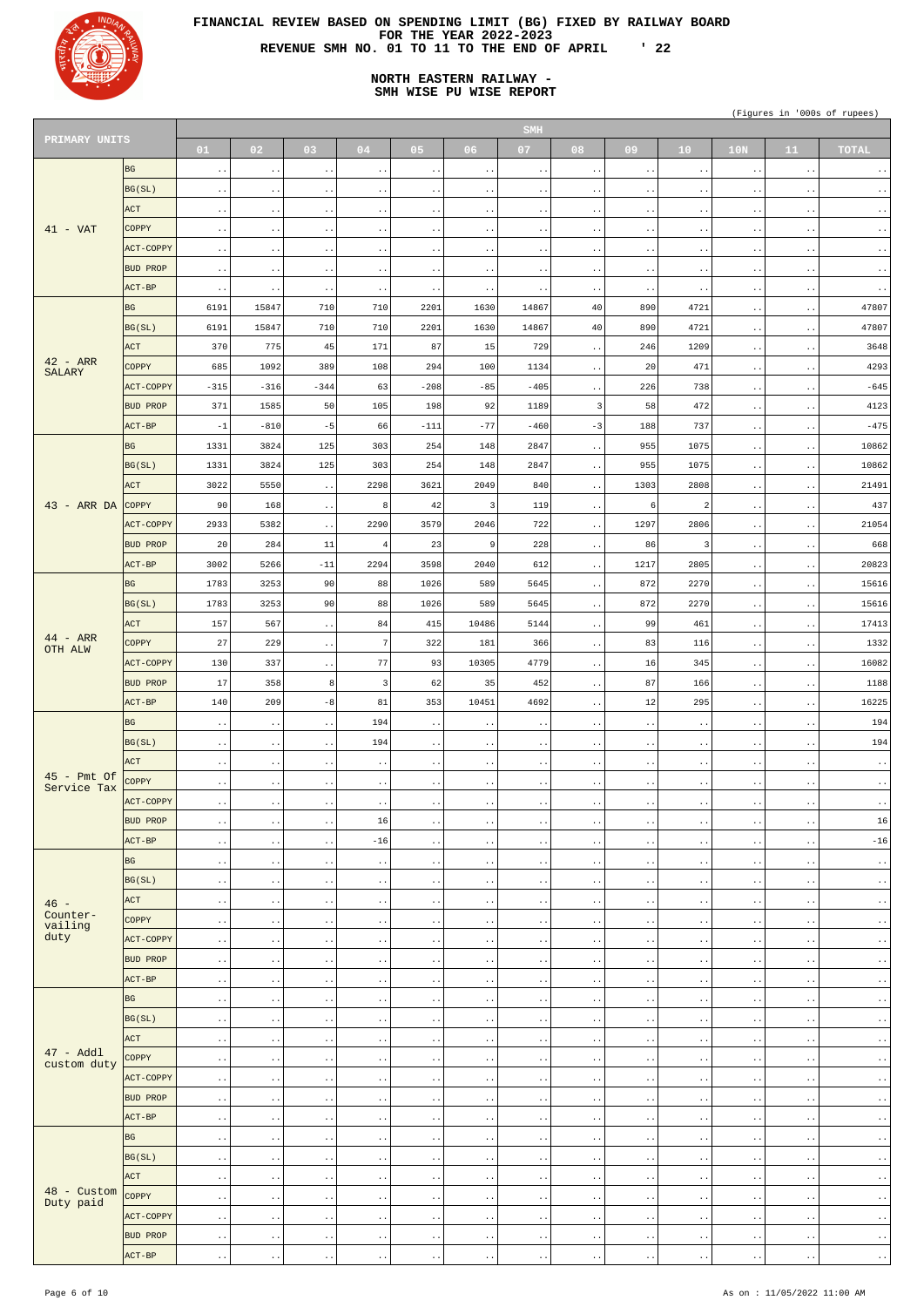

# **NORTH EASTERN RAILWAY - SMH WISE PU WISE REPORT**

|                              |                  |                        |                       |                                              |                         |                        |                        | SMH                    |                                              |                                              |                        |                        |                        |                        |
|------------------------------|------------------|------------------------|-----------------------|----------------------------------------------|-------------------------|------------------------|------------------------|------------------------|----------------------------------------------|----------------------------------------------|------------------------|------------------------|------------------------|------------------------|
| PRIMARY UNITS                |                  | 01                     | 02                    | 03                                           | 04                      | 05                     | 06                     | 07                     | 08                                           | 09                                           | 10 <sup>°</sup>        | 10N                    | 11                     | <b>TOTAL</b>           |
|                              | BG               | $\sim$ $\sim$          | $\bullet$ . $\bullet$ | $\sim$ $\sim$                                | $\sim$ $\sim$           | $\sim$ $\sim$          | $\sim$ $\sim$          | $\bullet$ $\bullet$    | $\sim$ $\sim$                                | $\sim$ $\sim$                                | $\ddot{\phantom{1}}$ . | $\sim$ $\sim$          | $\ddot{\phantom{1}}$ . | $\sim$ $\sim$          |
|                              | BG(SL)           |                        |                       |                                              |                         |                        |                        |                        |                                              |                                              |                        |                        |                        |                        |
|                              |                  | $\sim$ $\sim$          | $\bullet$ $\bullet$   | $\ddot{\phantom{1}}$ .                       | $\sim$ $\sim$           | $\sim$ $\sim$          | $\ddot{\phantom{1}}$ . | $\sim$ $\sim$          | $\cdot$ .                                    | $\ddot{\phantom{1}}$ .                       | $\ddot{\phantom{1}}$ . | $\cdot$ .              | $\ddot{\phantom{1}}$ . | $\ddot{\phantom{1}}$ . |
|                              | ACT              | $\bullet$ $\bullet$    | $\bullet$ $\bullet$   | $\bullet\hspace{0.4mm}\bullet\hspace{0.4mm}$ | $\sim$ $\sim$           | $\ddot{\phantom{1}}$ . | $\ddot{\phantom{1}}$ . | $\bullet$ $\bullet$    | $\cdot$ .                                    | $\bullet$ $\bullet$                          | $\ddot{\phantom{1}}$ . | $\cdot$ .              | $\ddot{\phantom{1}}$ . | $\ddot{\phantom{1}}$ . |
| $41 - VAT$                   | <b>COPPY</b>     | $\sim$ $\sim$          | $\bullet$ $\bullet$   | $\ddot{\phantom{1}}$ .                       | $\sim$ $\sim$           | $\sim$ $\sim$          | $\ddot{\phantom{1}}$ . | $\sim$ $\sim$          | $\sim$ $\sim$                                | $\bullet$ $\bullet$                          | $\ddot{\phantom{1}}$ . | $\cdot$ .              | $\ddot{\phantom{1}}$ . | $\ddot{\phantom{1}}$ . |
|                              | ACT-COPPY        | $\sim$ $\sim$          | $\bullet$ $\bullet$   | $\bullet\hspace{0.4mm}\bullet\hspace{0.4mm}$ | $\sim$ $\sim$           | $\ddot{\phantom{1}}$ . | $\ddot{\phantom{1}}$ . | $\bullet$ $\bullet$    | $\sim$ $\sim$                                | $\bullet$ $\bullet$                          | $\ddot{\phantom{1}}$ . | $\cdot$ .              | $\sim$ $\sim$          | $\ddot{\phantom{1}}$ . |
|                              | <b>BUD PROP</b>  | $\sim$ $\sim$          | $\cdot$ .             | $\ddot{\phantom{1}}$ .                       | $\sim$ $\sim$           | $\sim$ $\sim$          | $\ddot{\phantom{1}}$ . | $\sim$ $\sim$          | $\sim$ $\sim$                                | $\bullet$ $\bullet$                          | $\ddot{\phantom{1}}$ . | $\cdot$ .              | $\ddot{\phantom{1}}$ . | $\ddot{\phantom{1}}$ . |
|                              | ACT-BP           | $\sim$ $\sim$          | $\bullet$ $\bullet$   | $\ddot{\phantom{1}}$ .                       | $\sim$ $\sim$           | $\sim$ $\sim$          | $\ddot{\phantom{1}}$ . | $\ddot{\phantom{1}}$ . | $\cdot$ .                                    | $\sim$ $\sim$                                | $\ddot{\phantom{1}}$ . | $\cdot$ .              | $\sim$ $\sim$          | $\sim$ $\sim$          |
|                              | <b>BG</b>        | 6191                   | 15847                 | 710                                          | 710                     | 2201                   | 1630                   | 14867                  | 40                                           | 890                                          | 4721                   | $\ddot{\phantom{1}}$ . | $\ddot{\phantom{a}}$ . | 47807                  |
|                              | BG(SL)           | 6191                   | 15847                 | 710                                          | 710                     | 2201                   | 1630                   | 14867                  | 40                                           | 890                                          | 4721                   | $\ddot{\phantom{1}}$ . | $\bullet$ $\bullet$    | 47807                  |
|                              | ACT              | 370                    | 775                   | 45                                           | 171                     | 87                     | 15                     | 729                    |                                              | 246                                          | 1209                   |                        |                        | 3648                   |
| $42 - ARR$                   |                  |                        |                       |                                              |                         |                        |                        |                        | $\ddot{\phantom{1}}$ .                       |                                              |                        | $\ddot{\phantom{1}}$ . | $\bullet$ $\bullet$    |                        |
| <b>SALARY</b>                | <b>COPPY</b>     | 685                    | 1092                  | 389                                          | 108                     | 294                    | 100                    | 1134                   | $\ddot{\phantom{1}}$ .                       | 20                                           | 471                    | $\ddot{\phantom{1}}$ . | $\bullet$ $\bullet$    | 4293                   |
|                              | <b>ACT-COPPY</b> | $-315$                 | $-316$                | $-344$                                       | 63                      | $-208$                 | $-85$                  | $-405$                 | $\ddot{\phantom{1}}$ .                       | 226                                          | 738                    | $\ddot{\phantom{1}}$ . | $\bullet$ $\bullet$    | $-645$                 |
|                              | <b>BUD PROP</b>  | 371                    | 1585                  | 50                                           | 105                     | 198                    | 92                     | 1189                   | 3                                            | 58                                           | 472                    | $\ddot{\phantom{1}}$ . | $\sim$ $\sim$          | 4123                   |
|                              | ACT-BP           | $-1$                   | $-810$                | $-5$                                         | 66                      | $-111$                 | $-77$                  | $-460$                 | $-3$                                         | 188                                          | 737                    | $\sim$ $\sim$          | $\bullet$ $\bullet$    | $-475$                 |
|                              | <b>BG</b>        | 1331                   | 3824                  | 125                                          | 303                     | 254                    | 148                    | 2847                   | $\ddot{\phantom{1}}$ .                       | 955                                          | 1075                   | $\sim$ $\sim$          | $\ddot{\phantom{a}}$ . | 10862                  |
|                              | BG(SL)           | 1331                   | 3824                  | 125                                          | 303                     | 254                    | 148                    | 2847                   | $\bullet$ $\bullet$                          | 955                                          | 1075                   | $\sim$ $\sim$          | $\bullet$ $\bullet$    | 10862                  |
|                              | ACT              | 3022                   | 5550                  | $\bullet$ $\bullet$                          | 2298                    | 3621                   | 2049                   | 840                    | $\ddot{\phantom{1}}$ .                       | 1303                                         | 2808                   | $\sim$ $\sim$          | $\cdot$ .              | 21491                  |
| $43$ - ARR DA COPPY          |                  | 90                     | 168                   | $\bullet$ $\bullet$                          | 8                       | 42                     | 3                      | 119                    | $\bullet$ $\bullet$                          | $6 \mid$                                     | $\overline{c}$         | $\sim$ $\sim$          | $\bullet$ $\bullet$    | 437                    |
|                              |                  |                        |                       |                                              |                         |                        |                        |                        |                                              |                                              |                        |                        |                        |                        |
|                              | ACT-COPPY        | 2933                   | 5382                  | $\ddot{\phantom{1}}$ .                       | 2290                    | 3579                   | 2046                   | 722                    | $\ddot{\phantom{1}}$ .                       | 1297                                         | 2806                   | $\sim$ $\sim$          | $\ddot{\phantom{a}}$ . | 21054                  |
|                              | <b>BUD PROP</b>  | 20                     | 284                   | 11                                           | $\overline{4}$          | 23                     | 9                      | 228                    | $\bullet$ $\bullet$                          | 86                                           | $\overline{3}$         | $\sim$ $\sim$          | $\bullet$ $\bullet$    | 668                    |
|                              | ACT-BP           | 3002                   | 5266                  | $-11$                                        | 2294                    | 3598                   | 2040                   | 612                    | $\ddot{\phantom{1}}$ .                       | 1217                                         | 2805                   | $\sim$ $\sim$          | $\ddot{\phantom{a}}$ . | 20823                  |
|                              | <b>BG</b>        | 1783                   | 3253                  | 90                                           | 88                      | 1026                   | 589                    | 5645                   | $\bullet$ $\bullet$                          | 872                                          | 2270                   | $\ddotsc$              | $\bullet$ $\bullet$    | 15616                  |
|                              | BG(SL)           | 1783                   | 3253                  | 90                                           | 88                      | 1026                   | 589                    | 5645                   | $\ddot{\phantom{1}}$ .                       | 872                                          | 2270                   | $\ddotsc$              | $\ddot{\phantom{a}}$ . | 15616                  |
|                              | <b>ACT</b>       | 157                    | 567                   | $\ddot{\phantom{1}}$ .                       | 84                      | 415                    | 10486                  | 5144                   | $\bullet$ .                                  | 99                                           | 461                    | $\ddot{\phantom{1}}$ . | $\sim$ $\sim$          | 17413                  |
| $44 - ARR$<br>OTH ALW        | COPPY            | 27                     | 229                   | $\ddot{\phantom{1}}$ .                       | $7\phantom{.0}$         | 322                    | 181                    | 366                    | $\ddot{\phantom{1}}$ .                       | 83                                           | 116                    | $\ddotsc$              | $\sim$ $\sim$          | 1332                   |
|                              | ACT-COPPY        | 130                    | 337                   | $\bullet$ $\bullet$                          | 77                      | 93                     | 10305                  | 4779                   | $\bullet$ $\bullet$                          | 16                                           | 345                    | $\cdot$ .              | $\ddot{\phantom{1}}$ . | 16082                  |
|                              | <b>BUD PROP</b>  | 17                     | 358                   | 8                                            | $\overline{\mathbf{3}}$ | 62                     | 35                     | 452                    | $\ddot{\phantom{1}}$ .                       | 87                                           | 166                    | $\cdot$ .              | $\ddot{\phantom{1}}$ . | 1188                   |
|                              | ACT-BP           | 140                    | 209                   | $-8$                                         | 81                      | 353                    | 10451                  | 4692                   |                                              | 12                                           | 295                    |                        |                        | 16225                  |
|                              |                  |                        |                       |                                              |                         |                        |                        |                        | $\ddot{\phantom{1}}$ .                       |                                              |                        | $\sim$ $\sim$          | $\ddot{\phantom{1}}$ . |                        |
|                              | <b>BG</b>        | $\sim$ $\sim$          | $\sim$ $\sim$         | $\ddot{\phantom{1}}$ .                       | 194                     | $\sim$ $\sim$          | $\ddot{\phantom{1}}$ . | $\cdot$ .              | $\ddot{\phantom{1}}$ .                       | $\sim$ $\sim$                                | $\ddot{\phantom{1}}$ . | $\ddot{\phantom{1}}$ . | $\ddot{\phantom{1}}$ . | 194                    |
|                              | BG(SL)           | $\ddot{\phantom{1}}$ . | $\sim$ $\sim$         | $\ddot{\phantom{1}}$ .                       | 194                     | $\ddot{\phantom{1}}$ . | $\ddot{\phantom{1}}$ . | $\bullet$ $\bullet$    | $\ddot{\phantom{1}}$ .                       | $\bullet$ $\bullet$                          | $\ddot{\phantom{1}}$ . | $\sim$ $\sim$          | $\ddot{\phantom{1}}$ . | 194                    |
|                              | ACT              | $\sim$ $\sim$          | $\sim$ $\sim$         | $\ddot{\phantom{1}}$ .                       | $\sim$ $\sim$           | $\sim$ $\sim$          | $\ddot{\phantom{a}}$ . | $\sim$ $\sim$          | $\ddot{\phantom{1}}$ .                       | $\ddot{\phantom{a}}$ .                       | $\ddot{\phantom{1}}$ . | $\ddot{\phantom{1}}$ . | $\ddot{\phantom{1}}$ . | $\ddot{\phantom{1}}$ . |
| $45$ - Pmt Of<br>Service Tax | COPPY            | $\ddot{\phantom{1}}$ . | $\sim$ $\sim$         | $\ddot{\phantom{1}}$ .                       | $\sim$ $\sim$           | $\ddot{\phantom{1}}$ . | $\ddot{\phantom{1}}$ . | $\ddot{\phantom{1}}$ . | $\ddot{\phantom{1}}$ .                       | $\bullet\hspace{0.4mm}\bullet\hspace{0.4mm}$ | $\ddot{\phantom{1}}$ . | $\cdot$ .              | $\ddot{\phantom{1}}$ . | $\ddot{\phantom{1}}$ . |
|                              | ACT-COPPY        | $\sim$ $\sim$          | $\sim$ $\sim$         | $\ddot{\phantom{1}}$ .                       | $\sim$ $\sim$           | $\sim$ $\sim$          | $\ddot{\phantom{1}}$ . | $\sim$ $\sim$          | $\ddot{\phantom{1}}$ .                       | $\bullet$ $\bullet$                          | $\ddot{\phantom{1}}$ . | $\ddot{\phantom{1}}$ . | $\ddot{\phantom{1}}$ . | $\ddot{\phantom{1}}$ . |
|                              | <b>BUD PROP</b>  | $\ddot{\phantom{1}}$ . | $\sim$ $\sim$         | $\ddot{\phantom{1}}$ .                       | 16                      | $\ddot{\phantom{1}}$ . | $\ddot{\phantom{1}}$ . | $\ddot{\phantom{1}}$ . | $\ddot{\phantom{1}}$ .                       | $\bullet\hspace{0.4mm}\bullet\hspace{0.4mm}$ | $\ddot{\phantom{1}}$ . | $\cdot$ .              | $\ddot{\phantom{1}}$ . | 16                     |
|                              | ACT-BP           | $\ddot{\phantom{1}}$ . | $\sim$ $\sim$         | $\ddot{\phantom{1}}$ .                       | $-16$                   | $\ddot{\phantom{1}}$ . | $\ddot{\phantom{1}}$ . | $\sim$ $\sim$          | $\ddot{\phantom{1}}$ .                       | $\bullet$ $\bullet$                          | $\ddot{\phantom{1}}$ . | $\ddot{\phantom{1}}$ . | $\ddot{\phantom{1}}$ . | $-16$                  |
|                              | <b>BG</b>        | $\ddot{\phantom{1}}$ . | $\bullet$ $\bullet$   | $\ddot{\phantom{1}}$ .                       | $\sim$ $\sim$           | $\ddot{\phantom{1}}$ . | $\ddot{\phantom{1}}$ . | $\ddot{\phantom{1}}$ . | $\ddot{\phantom{1}}$ .                       | $\bullet\hspace{0.4mm}\bullet\hspace{0.4mm}$ | $\ddot{\phantom{1}}$ . | $\ddotsc$              | $\sim$ $\sim$          | $\ddot{\phantom{1}}$ . |
|                              | BG(SL)           |                        |                       |                                              |                         |                        |                        |                        |                                              |                                              |                        |                        |                        |                        |
|                              |                  | $\sim$ $\sim$          | $\sim$ $\sim$         | $\ddot{\phantom{1}}$ .                       | $\sim$ $\sim$           | $\sim$ $\sim$          | $\ddot{\phantom{1}}$ . | $\sim$ $\sim$          | $\ddot{\phantom{1}}$ .                       | $\bullet$ $\bullet$                          | $\ddot{\phantom{1}}$ . | $\ddot{\phantom{1}}$ . | $\ddot{\phantom{1}}$ . | $\ddot{\phantom{1}}$ . |
| $46 -$<br>Counter-           | ACT              | $\ddot{\phantom{1}}$ . | $\bullet$ $\bullet$   | $\ddot{\phantom{1}}$ .                       | $\ddot{\phantom{1}}$ .  | $\ddot{\phantom{1}}$ . | $\ddot{\phantom{1}}$ . | $\ddot{\phantom{1}}$ . | $\ddot{\phantom{1}}$ .                       | $\bullet\hspace{0.4mm}\bullet\hspace{0.4mm}$ | $\ddot{\phantom{1}}$ . | $\ddotsc$              | $\sim$ $\sim$          | $\ddot{\phantom{1}}$ . |
| vailing                      | <b>COPPY</b>     | $\sim$ $\sim$          | $\sim$ $\sim$         | $\ddot{\phantom{1}}$ .                       | $\sim$ $\sim$           | $\sim$ $\sim$          | $\ddot{\phantom{1}}$ . | $\sim$ $\sim$          | $\ddot{\phantom{1}}$ .                       | $\bullet$ $\bullet$                          | $\ddot{\phantom{1}}$ . | $\ddotsc$              | $\ddot{\phantom{1}}$ . | $\ddot{\phantom{1}}$ . |
| duty                         | ACT-COPPY        | $\ddot{\phantom{1}}$ . | $\bullet$ $\bullet$   | $\ddot{\phantom{1}}$ .                       | $\ddot{\phantom{1}}$ .  | $\ddot{\phantom{1}}$ . | $\ddot{\phantom{1}}$ . | $\ddot{\phantom{1}}$ . | $\cdot$ .                                    | $\bullet\hspace{0.4mm}\bullet\hspace{0.4mm}$ | $\ddot{\phantom{1}}$ . | $\cdot$ .              | $\sim$ $\sim$          | $\ddot{\phantom{1}}$ . |
|                              | <b>BUD PROP</b>  | $\ddot{\phantom{1}}$ . | $\sim$ $\sim$         | $\ddot{\phantom{1}}$ .                       | $\sim$ $\sim$           | $\sim$ $\sim$          | $\ddot{\phantom{1}}$ . | $\sim$ $\sim$          | $\ddot{\phantom{1}}$ .                       | $\bullet$ $\bullet$                          | $\ddot{\phantom{1}}$ . | $\ddotsc$              | $\ddot{\phantom{1}}$ . | $\ddot{\phantom{1}}$ . |
|                              | ACT-BP           | $\ddot{\phantom{1}}$ . | $\bullet$ $\bullet$   | $\ddot{\phantom{1}}$ .                       | $\ddot{\phantom{1}}$ .  | $\ddot{\phantom{1}}$ . | $\ddot{\phantom{1}}$ . | $\ddot{\phantom{1}}$ . | $\cdot$ .                                    | $\bullet\hspace{0.4mm}\bullet\hspace{0.4mm}$ | $\ddot{\phantom{1}}$ . | $\cdot$ .              | $\sim$ $\sim$          | $\ddot{\phantom{1}}$ . |
|                              | BG               | $\ddot{\phantom{1}}$ . | $\sim$ $\sim$         | $\ddot{\phantom{1}}$ .                       | $\sim$ $\sim$           | $\ddot{\phantom{1}}$ . | $\ddot{\phantom{1}}$ . | $\sim$ $\sim$          | $\ddot{\phantom{1}}$ .                       | $\bullet$ $\bullet$                          | $\ddot{\phantom{1}}$ . | $\cdot$ .              | $\ddot{\phantom{1}}$ . | $\ddot{\phantom{1}}$ . |
|                              | BG(SL)           | $\ddot{\phantom{1}}$ . | $\bullet$ $\bullet$   | $\ddot{\phantom{1}}$ .                       | $\ddot{\phantom{1}}$ .  | $\ddot{\phantom{1}}$ . | $\ddot{\phantom{1}}$ . | $\ddot{\phantom{1}}$ . | $\cdot$ .                                    | $\bullet\hspace{0.4mm}\bullet\hspace{0.4mm}$ | $\ddot{\phantom{1}}$ . | $\cdot$ .              | $\sim$ $\sim$          | $\ddot{\phantom{1}}$ . |
|                              | ACT              | $\ddot{\phantom{1}}$ . | $\sim$ $\sim$         | $\ddot{\phantom{1}}$ .                       | $\sim$ $\sim$           | $\ddot{\phantom{1}}$ . | $\ddot{\phantom{1}}$ . | $\bullet$ $\bullet$    | $\ddot{\phantom{1}}$ .                       | $\bullet$ $\bullet$                          | $\ddot{\phantom{1}}$ . | $\sim$ $\sim$          | $\ddot{\phantom{1}}$ . | $\ddot{\phantom{1}}$ . |
| $47 - Add1$                  | COPPY            | $\ddot{\phantom{1}}$ . | $\bullet$ $\bullet$   | $\ddot{\phantom{1}}$ .                       | $\ddot{\phantom{1}}$ .  | $\ddot{\phantom{1}}$ . | $\ddot{\phantom{1}}$ . | $\ddot{\phantom{1}}$ . | $\cdot$ .                                    | $\bullet\hspace{0.4mm}\bullet\hspace{0.4mm}$ | $\ddot{\phantom{1}}$ . | $\cdot$ .              | $\ddot{\phantom{1}}$ . | $\ddot{\phantom{1}}$ . |
| custom duty                  | ACT-COPPY        |                        |                       |                                              |                         |                        |                        |                        |                                              |                                              |                        |                        |                        |                        |
|                              |                  | $\bullet$ $\bullet$    | $\sim$ $\sim$         | $\ddot{\phantom{1}}$ .                       | $\ddot{\phantom{1}}$ .  | $\ddot{\phantom{1}}$ . | $\ddot{\phantom{1}}$ . | $\bullet$ $\bullet$    | $\ddot{\phantom{1}}$ .                       | $\bullet$ $\bullet$                          | $\ddot{\phantom{1}}$ . | $\sim$ $\sim$          | $\ddot{\phantom{1}}$ . | $\ddot{\phantom{1}}$ . |
|                              | <b>BUD PROP</b>  | $\ddot{\phantom{1}}$ . | $\bullet$ $\bullet$   | $\bullet\hspace{0.4mm}\bullet\hspace{0.4mm}$ | $\ddot{\phantom{1}}$ .  | $\ddot{\phantom{1}}$ . | $\ddot{\phantom{1}}$ . | $\ddot{\phantom{1}}$ . | $\ddot{\phantom{1}}$ .                       | $\sim$ $\sim$                                | $\ddot{\phantom{1}}$ . | $\ddot{\phantom{1}}$ . | $\sim$ $\sim$          | $\ddot{\phantom{1}}$ . |
|                              | $ ACT-BP $       | $\bullet$ $\bullet$    | $\bullet$ . $\bullet$ | $\ddot{\phantom{1}}$ .                       | $\ddot{\phantom{a}}$ .  | $\bullet$ $\bullet$    | $\ddot{\phantom{1}}$ . | $\ddot{\phantom{1}}$ . | $\ddot{\phantom{1}}$ .                       | $\bullet\hspace{0.4mm}\bullet\hspace{0.4mm}$ | $\ddot{\phantom{1}}$ . | $\sim$ $\sim$          | $\sim$ $\sim$          | $\sim$ $\sim$          |
|                              | BG               | $\ddot{\phantom{1}}$ . | $\bullet$ $\bullet$   | $\bullet$ $\bullet$                          | $\sim$ $\sim$           | $\ddot{\phantom{1}}$ . | $\ddot{\phantom{1}}$ . | $\sim$ $\sim$          | $\ddot{\phantom{1}}$ .                       | $\sim$ $\sim$                                | $\ddot{\phantom{1}}$ . | $\cdot$ .              | $\sim$ $\sim$          | $\sim$ $\sim$          |
|                              | BG(SL)           | $\bullet$ $\bullet$    | $\bullet$ . $\bullet$ | $\bullet$ $\bullet$                          | $\bullet$ $\bullet$     | $\ddot{\phantom{1}}$ . | $\ddot{\phantom{1}}$ . | $\ddot{\phantom{1}}$ . | $\bullet\hspace{0.4mm}\bullet\hspace{0.4mm}$ | $\bullet$ $\bullet$                          | $\ddot{\phantom{1}}$ . | $\sim$ $\sim$          | $\ddot{\phantom{1}}$ . | $\ddot{\phantom{1}}$ . |
|                              | ACT              | $\ddot{\phantom{1}}$ . | $\bullet$ $\bullet$   | $\bullet\hspace{0.4mm}\bullet\hspace{0.4mm}$ | $\ddot{\phantom{1}}$ .  | $\ddot{\phantom{1}}$ . | $\sim$ $\sim$          | $\bullet$ $\bullet$    | $\ddot{\phantom{1}}$ .                       | $\sim$ $\sim$                                | $\ddot{\phantom{1}}$ . | $\ddot{\phantom{1}}$ . | $\sim$ $\sim$          | $\sim$ $\sim$          |
| 48 - Custom                  | COPPY            | $\bullet$ $\bullet$    | $\bullet$ . $\bullet$ | $\ddot{\phantom{1}}$ .                       | $\bullet$ $\bullet$     | $\ddot{\phantom{1}}$ . | $\ddot{\phantom{1}}$ . | $\ddot{\phantom{1}}$ . | $\ddot{\phantom{1}}$ .                       | $\bullet\hspace{0.4mm}\bullet\hspace{0.4mm}$ | $\ddot{\phantom{1}}$ . | $\sim$ $\sim$          | $\ddot{\phantom{1}}$ . | $\ddot{\phantom{1}}$ . |
| Duty paid                    | ACT-COPPY        | $\ddot{\phantom{1}}$ . | $\bullet$ $\bullet$   | $\bullet\hspace{0.4mm}\bullet\hspace{0.4mm}$ | $\sim$ $\sim$           | $\ddot{\phantom{1}}$ . | $\ddot{\phantom{1}}$ . | $\bullet$ $\bullet$    | $\ddot{\phantom{1}}$ .                       | $\sim$ $\sim$                                | $\ddot{\phantom{1}}$ . | $\ddot{\phantom{1}}$ . | $\sim$ $\sim$          | $\sim$ $\sim$          |
|                              | <b>BUD PROP</b>  |                        |                       |                                              |                         |                        |                        |                        |                                              |                                              |                        |                        |                        |                        |
|                              |                  | $\bullet$ $\bullet$    | $\bullet$ $\bullet$   | $\ddot{\phantom{1}}$ .                       | $\bullet$ $\bullet$     | $\ddot{\phantom{1}}$ . | $\ddot{\phantom{1}}$ . | $\bullet$ $\bullet$    | $\bullet\hspace{0.4mm}\bullet\hspace{0.4mm}$ | $\sim$ $\sim$                                | $\ddot{\phantom{1}}$ . | $\sim$ $\sim$          | $\sim$ $\sim$          | $\sim$ $\sim$          |
|                              | ACT-BP           | $\ddot{\phantom{1}}$ . | $\sim$ $\sim$         | $\bullet$ $\bullet$                          | $\ddot{\phantom{1}}$ .  | $\ddot{\phantom{1}}$ . | $\ddot{\phantom{1}}$ . | $\ddot{\phantom{1}}$ . | $\ddotsc$                                    | $\sim$ $\sim$                                | $\ddot{\phantom{1}}$ . | $\ddot{\phantom{1}}$ . | $\bullet$ $\bullet$    | $\sim$ $\sim$          |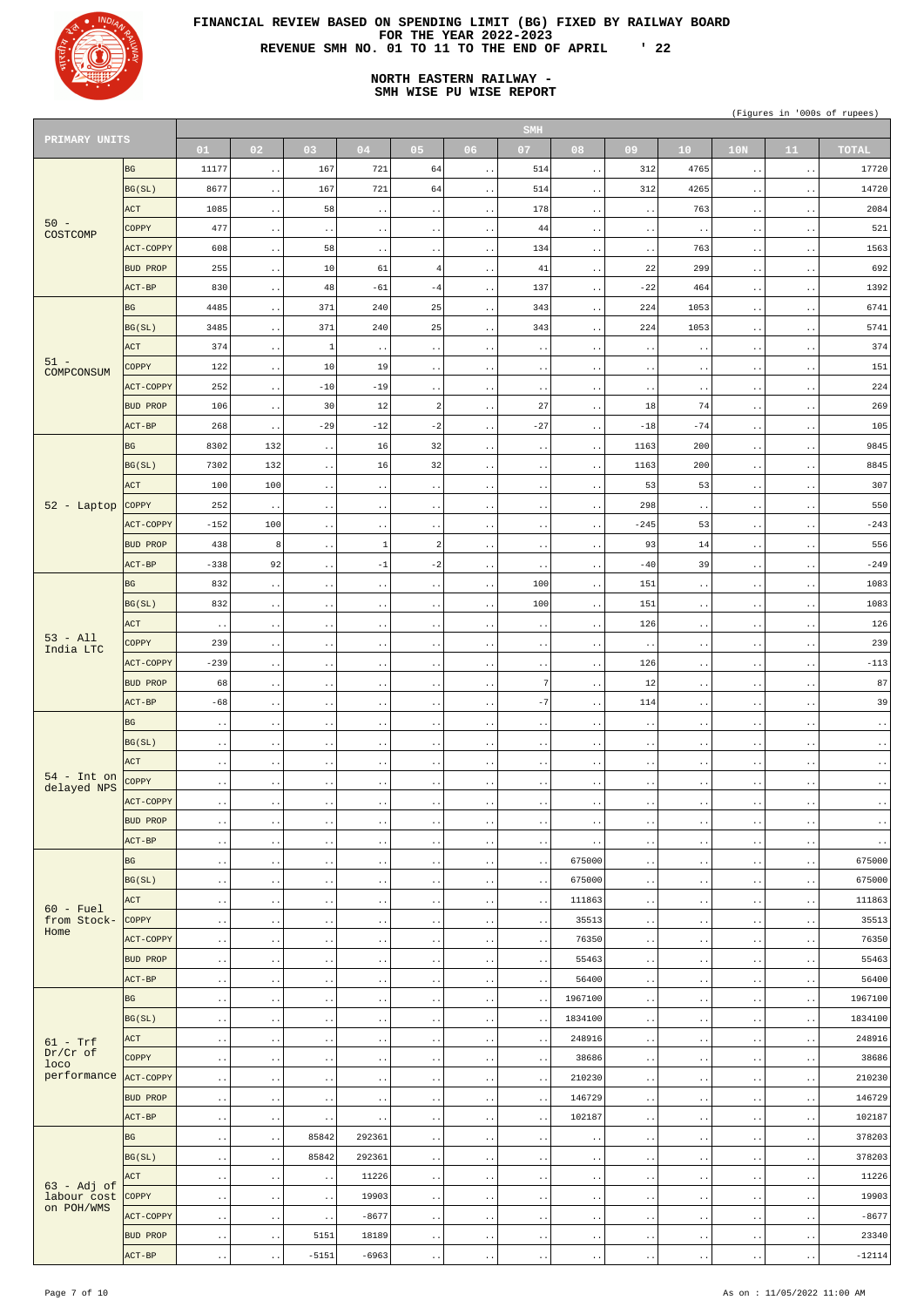

# **NORTH EASTERN RAILWAY - SMH WISE PU WISE REPORT**

| PRIMARY UNITS                   |                  |                        |                        |                        |                              |                                 |                        | <b>SMH</b>             |                        |                     |                        |                        |                        |                           |
|---------------------------------|------------------|------------------------|------------------------|------------------------|------------------------------|---------------------------------|------------------------|------------------------|------------------------|---------------------|------------------------|------------------------|------------------------|---------------------------|
|                                 |                  | 01                     | 02                     | 03                     | 04                           | 05                              | 06                     | 07                     | 08                     | 09                  | 10 <sup>°</sup>        | 10N                    | 11                     | <b>TOTAL</b>              |
|                                 | <b>BG</b>        | 11177                  | $\bullet$ $\bullet$    | 167                    | 721                          | 64                              | $\sim$ $\sim$          | 514                    | $\ddot{\phantom{1}}$ . | 312                 | 4765                   | $\sim$ $\sim$          | $\sim$ $\sim$          | 17720                     |
|                                 | BG(SL)           | 8677                   | $\sim$ $\sim$          | 167                    | 721                          | 64                              | $\bullet$ $\bullet$    | 514                    | $\ddot{\phantom{1}}$ . | 312                 | 4265                   | $\ddot{\phantom{1}}$ . | $\sim$ $\sim$          | 14720                     |
|                                 | ACT              | 1085                   | $\sim$ $\sim$          | 58                     | $\ddot{\phantom{1}}$ .       | $\sim$ $\sim$                   | $\sim$ $\sim$          | 178                    | $\ddot{\phantom{0}}$ . | $\sim$ $\sim$       | 763                    | $\ddot{\phantom{1}}$ . | $\sim$ $\sim$          | 2084                      |
| $50 -$                          | <b>COPPY</b>     | 477                    | $\sim$ $\sim$          | $\bullet$ $\bullet$    | $\ddot{\phantom{0}}$ .       | $\ddot{\phantom{1}}$ .          | $\ddot{\phantom{1}}$ . | 44                     | $\sim$ $\sim$          | $\bullet$ $\bullet$ | $\ddot{\phantom{1}}$ . | $\bullet$ $\bullet$    | $\sim$ $\sim$          | 521                       |
| COSTCOMP                        | ACT-COPPY        | 608                    |                        | 58                     |                              |                                 | $\sim$ $\sim$          | 134                    | $\ddot{\phantom{0}}$ . | $\sim$ $\sim$       | 763                    | $\ddot{\phantom{0}}$ . | $\sim$ $\sim$          | 1563                      |
|                                 | <b>BUD PROP</b>  | 255                    | $\sim$ $\sim$          | 10                     | $\ddot{\phantom{1}}$ .<br>61 | $\sim$ $\sim$<br>$\overline{4}$ |                        | 41                     |                        | 22                  | 299                    |                        |                        | 692                       |
|                                 | ACT-BP           | 830                    | $\sim$ $\sim$          | 48                     | $-61$                        | $-4$                            | $\ddot{\phantom{1}}$ . | 137                    | $\sim$ $\sim$          | $-22$               | 464                    | $\ddot{\phantom{1}}$ . | $\sim$ $\sim$          | 1392                      |
|                                 |                  |                        | $\sim$ $\sim$          |                        |                              |                                 | $\sim$ $\sim$          |                        | $\ddotsc$              |                     |                        | $\ddot{\phantom{1}}$ . | $\sim$ $\sim$          |                           |
|                                 | <b>BG</b>        | 4485                   | $\sim$ $\sim$          | 371                    | 240                          | 25                              | $\sim$ $\sim$          | 343                    | $\sim$ $\sim$          | 224                 | 1053                   | $\ddot{\phantom{1}}$ . | $\sim$ $\sim$          | 6741                      |
|                                 | BG(SL)           | 3485                   | $\sim$ $\sim$          | 371                    | 240                          | 25                              | $\ddot{\phantom{1}}$ . | 343                    | $\ddotsc$              | 224                 | 1053                   | $\ddot{\phantom{a}}$ . | $\sim$ $\sim$          | 5741                      |
| $51 -$                          | ACT              | 374                    | $\sim$ $\sim$          | 1                      | $\ddot{\phantom{1}}$ .       | $\ddot{\phantom{1}}$ .          | $\ddot{\phantom{1}}$ . | $\sim$ $\sim$          | $\ddot{\phantom{1}}$ . | $\bullet$ $\bullet$ | $\ddot{\phantom{1}}$ . | $\ddot{\phantom{1}}$ . | $\sim$ $\sim$          | 374                       |
| COMPCONSUM                      | COPPY            | 122                    | $\cdot$ .              | 10                     | 19                           | $\sim$ $\sim$                   | $\sim$ $\sim$          | $\sim$ $\sim$          | $\ddot{\phantom{1}}$ . | $\sim$ $\sim$       | $\ddot{\phantom{1}}$ . | $\bullet$ $\bullet$    | $\sim$ $\sim$          | 151                       |
|                                 | ACT-COPPY        | 252                    | $\ddot{\phantom{1}}$ . | $-10$                  | $-19$                        | $\sim$ $\sim$                   | $\sim$ $\sim$          | $\sim$ $\sim$          | $\ddot{\phantom{1}}$ . | $\sim$ $\sim$       | $\ddot{\phantom{1}}$ . | $\ddot{\phantom{1}}$ . | $\sim$ $\sim$          | 224                       |
|                                 | <b>BUD PROP</b>  | 106                    | $\ddot{\phantom{1}}$ . | 30                     | 12                           | $\overline{a}$                  | $\ddot{\phantom{a}}$ . | 27                     | $\ddotsc$              | 18                  | 74                     | $\bullet$ $\bullet$    | $\sim$ $\sim$          | 269                       |
|                                 | ACT-BP           | 268                    | $\cdot$ .              | $-29$                  | $-12$                        | $-2$                            | $\ddot{\phantom{a}}$ . | $-27$                  | $\ddotsc$              | $-18$               | $-74$                  | $\ddotsc$              | $\sim$ $\sim$          | 105                       |
|                                 | <b>BG</b>        | 8302                   | 132                    | $\ddot{\phantom{1}}$ . | 16                           | 32                              | $\ddot{\phantom{a}}$ . | $\sim$ $\sim$          | $\ddot{\phantom{1}}$ . | 1163                | 200                    | $\ddot{\phantom{1}}$ . | $\sim$ $\sim$          | 9845                      |
|                                 | BG(SL)           | 7302                   | 132                    | $\bullet$ $\bullet$    | 16                           | 32                              | $\sim$ $\sim$          | $\sim$ $\sim$          | $\ddot{\phantom{1}}$ . | 1163                | 200                    | $\ddotsc$              | $\sim$ $\sim$          | 8845                      |
|                                 | <b>ACT</b>       | 100                    | 100                    | $\bullet$ $\bullet$    | $\ddot{\phantom{1}}$ .       | $\ddot{\phantom{1}}$ .          | $\sim$ $\sim$          | $\ddot{\phantom{1}}$ . | $\ddot{\phantom{1}}$ . | 53                  | 53                     | $\ddot{\phantom{1}}$ . | $\sim$ $\sim$          | 307                       |
| 52 - Laptop                     | <b>COPPY</b>     | 252                    | $\sim$ $\sim$          | $\ddot{\phantom{1}}$ . | $\ddot{\phantom{1}}$ .       | $\sim$ $\sim$                   | $\sim$ $\sim$          | $\sim$ $\sim$          | $\ddot{\phantom{1}}$ . | 298                 | $\ddot{\phantom{1}}$ . | $\ddotsc$              | $\sim$ $\sim$          | 550                       |
|                                 | <b>ACT-COPPY</b> | $-152$                 | 100                    | $\bullet$ $\bullet$    | $\ddot{\phantom{1}}$ .       | $\sim$ $\sim$                   | $\sim$ $\sim$          | $\ddot{\phantom{1}}$ . | $\ddot{\phantom{1}}$ . | $-245$              | 53                     | $\ddot{\phantom{1}}$ . | $\sim$ $\sim$          | $-243$                    |
|                                 | <b>BUD PROP</b>  | 438                    | 8                      | $\bullet$ $\bullet$    | $\mathbf{1}$                 | $\overline{a}$                  | $\sim$ $\sim$          | $\sim$ $\sim$          | $\ddot{\phantom{1}}$ . | 93                  | 14                     | $\ddotsc$              | $\sim$ $\sim$          | 556                       |
|                                 | ACT-BP           | $-338$                 | 92                     | $\ddot{\phantom{1}}$ . | $-1$                         | $-2$                            | $\sim$ $\sim$          | $\ddot{\phantom{1}}$ . | $\ddot{\phantom{1}}$ . | $-40$               | 39                     | $\ddot{\phantom{1}}$ . | $\sim$ $\sim$          | $-249$                    |
|                                 | <b>BG</b>        | 832                    | $\sim$ $\sim$          | $\ddot{\phantom{1}}$ . | $\ddot{\phantom{1}}$ .       | $\sim$ $\sim$                   | $\sim$ $\sim$          | 100                    | $\ddotsc$              | 151                 | $\ddot{\phantom{1}}$ . | $\ddot{\phantom{0}}$ . | $\sim$ $\sim$          | 1083                      |
|                                 | BG(SL)           | 832                    |                        |                        |                              |                                 |                        | 100                    |                        | 151                 |                        |                        |                        | 1083                      |
|                                 | ACT              |                        | $\sim$ $\sim$          | $\bullet$ $\bullet$    | $\ddot{\phantom{1}}$ .       | $\ddot{\phantom{1}}$ .          | $\ddot{\phantom{a}}$ . |                        | $\sim$ $\sim$          | 126                 | $\ddot{\phantom{1}}$ . | $\ddot{\phantom{1}}$ . | $\sim$ $\sim$          | 126                       |
| $53 - A11$                      |                  | $\bullet$ .            | $\ddot{\phantom{1}}$ . | $\ddot{\phantom{0}}$ . | $\ddot{\phantom{0}}$ .       | $\ddot{\phantom{0}}$            | $\bullet$ .            | $\ddot{\phantom{0}}$ . | $\ddot{\phantom{1}}$ . |                     | $\ddot{\phantom{0}}$ . | $\ddot{\phantom{0}}$ . | $\ddot{\phantom{1}}$ . |                           |
| India LTC                       | COPPY            | 239                    | $\sim$ $\sim$          | $\ddot{\phantom{a}}$ . | $\ddot{\phantom{0}}$ .       | $\ddot{\phantom{1}}$ .          | $\ddot{\phantom{a}}$ . | $\sim$ $\sim$          | $\ddotsc$              | $\bullet$ $\bullet$ | $\ddot{\phantom{1}}$ . | $\ddot{\phantom{1}}$ . | $\sim$ $\sim$          | 239                       |
|                                 | ACT-COPPY        | $-239$                 | $\sim$ $\sim$          | $\ddot{\phantom{1}}$ . | $\ddot{\phantom{0}}$ .       | $\sim$ $\sim$                   | $\sim$ $\sim$          | $\sim$ $\sim$          | $\ddotsc$              | 126                 | $\ddot{\phantom{1}}$ . | $\ddot{\phantom{0}}$ . | $\sim$ $\sim$          | $-113$                    |
|                                 | <b>BUD PROP</b>  | 68                     | $\ddot{\phantom{1}}$ . | $\bullet$ $\bullet$    | $\ddot{\phantom{0}}$ .       | $\ddot{\phantom{1}}$ .          | $\sim$ $\sim$          | 7                      | $\sim$ $\sim$          | 12                  | $\ddot{\phantom{1}}$ . | $\ddotsc$              | $\sim$ $\sim$          | 87                        |
|                                 | $ACT-BP$         | $-68$                  | $\bullet$ $\bullet$    | $\ddot{\phantom{1}}$ . | $\ddot{\phantom{0}}$ .       | $\sim$ $\sim$                   | $\sim$ $\sim$          | $-7$                   | $\ddotsc$              | 114                 | $\ddot{\phantom{1}}$ . | $\ddot{\phantom{0}}$ . | $\sim$ $\sim$          | 39                        |
|                                 | <b>BG</b>        | $\sim$ $\sim$          | $\ddot{\phantom{1}}$ . | $\bullet$ $\bullet$    | $\ddot{\phantom{0}}$ .       | $\ddot{\phantom{1}}$ .          | $\ddot{\phantom{a}}$ . | $\sim$ $\sim$          | $\ddotsc$              | $\bullet$ $\bullet$ | $\ddot{\phantom{1}}$ . | $\ddotsc$              | $\ddot{\phantom{1}}$ . | $\langle \cdot \rangle$ . |
|                                 | BG(SL)           | $\ddot{\phantom{1}}$ . | $\bullet$ $\bullet$    | $\ddot{\phantom{1}}$ . | $\ddot{\phantom{0}}$ .       | $\sim$ $\sim$                   | $\sim$ $\sim$          | $\sim$ $\sim$          | $\ddotsc$              | $\sim$ $\sim$       | $\ddot{\phantom{1}}$ . | $\ddot{\phantom{0}}$ . | $\sim$ $\sim$          | $\cdot$ .                 |
|                                 | ACT              | $\sim$ $\sim$          | $\cdot$ .              | $\bullet$ $\bullet$    | $\ddot{\phantom{1}}$ .       | $\sim$ $\sim$                   | $\sim$ $\sim$          | $\sim$ $\sim$          | $\ddotsc$              | $\bullet$ $\bullet$ | $\ddot{\phantom{1}}$ . | $\ddotsc$              | $\ddot{\phantom{1}}$ . | $\langle \cdot \rangle$ . |
| $54$ - Int on<br>delayed NPS    | COPPY            | $\ddot{\phantom{0}}$ . | $\bullet$ $\bullet$    | $\ddot{\phantom{1}}$ . | $\ddot{\phantom{0}}$ .       | $\sim$ $\sim$                   | $\sim$ $\sim$          | $\sim$ $\sim$          | $\ddot{\phantom{0}}$ . | $\sim$ $\sim$       | $\ddot{\phantom{1}}$ . | $\ddot{\phantom{0}}$ . | $\sim$ $\sim$          | $\cdot$ .                 |
|                                 | ACT-COPPY        | $\sim$ $\sim$          | $\cdot$ .              | $\bullet$ $\bullet$    | $\ddot{\phantom{0}}$ .       | $\sim$ $\sim$                   | $\sim$ $\sim$          | $\sim$ $\sim$          | $\ddotsc$              | $\bullet$ $\bullet$ | $\ddot{\phantom{1}}$ . | $\ddotsc$              | $\ddot{\phantom{1}}$ . | $\langle \cdot \rangle$ . |
|                                 | <b>BUD PROP</b>  | $\ddot{\phantom{0}}$ . | $\bullet$ $\bullet$    | $\ddot{\phantom{1}}$ . | $\ddot{\phantom{0}}$ .       | $\sim$ $\sim$                   | $\sim$ $\sim$          | $\sim$ $\sim$          | $\ddot{\phantom{0}}$ . | $\sim$ $\sim$       | $\ddot{\phantom{1}}$ . | $\ddot{\phantom{0}}$ . | $\sim$ $\sim$          | $\langle \cdot \rangle$ . |
|                                 | ACT-BP           | $\ddot{\phantom{0}}$ . | $\cdot$ .              | $\bullet$ $\bullet$    | $\ddot{\phantom{0}}$ .       | $\sim$ $\sim$                   | $\sim$ $\sim$          | $\sim$ $\sim$          | $\ddot{\phantom{1}}$ . | $\bullet$ $\bullet$ | $\ddot{\phantom{1}}$ . | $\ddotsc$              | $\ddot{\phantom{1}}$ . | $\ddot{\phantom{1}}$ .    |
|                                 | <b>BG</b>        | $\ddot{\phantom{0}}$ . | $\sim$ $\sim$          | $\bullet$ $\bullet$    | $\ddot{\phantom{0}}$ .       | $\sim$ $\sim$                   | $\sim$ $\sim$          | $\sim$ $\sim$          | 675000                 | $\bullet$ $\bullet$ | $\ddot{\phantom{1}}$ . | $\ddot{\phantom{0}}$ . | $\sim$ $\sim$          | 675000                    |
|                                 | BG(SL)           | $\ddot{\phantom{0}}$ . | $\sim$ $\sim$          | $\bullet$ $\bullet$    | $\ddot{\phantom{0}}$ .       | $\sim$ $\sim$                   | $\sim$ $\sim$          | $\ddot{\phantom{0}}$ . | 675000                 | $\bullet$ $\bullet$ | $\ddot{\phantom{1}}$ . | $\ddot{\phantom{0}}$ . | $\ddot{\phantom{1}}$ . | 675000                    |
|                                 | ACT              | $\ddot{\phantom{0}}$ . | $\sim$ $\sim$          | $\bullet$ $\bullet$    | $\ddot{\phantom{1}}$ .       | $\sim$ $\sim$                   | $\sim$ $\sim$          | $\ddot{\phantom{1}}$ . | 111863                 | $\bullet$ $\bullet$ | $\ddot{\phantom{1}}$ . | $\ddotsc$              | $\bullet$ $\bullet$    | 111863                    |
| $60$ - Fuel<br>from Stock-      | <b>COPPY</b>     | $\ddot{\phantom{0}}$ . | $\sim$ $\sim$          | $\ddot{\phantom{1}}$ . | $\ddot{\phantom{0}}$ .       | $\sim$ $\sim$                   | $\sim$ $\sim$          | $\ddot{\phantom{0}}$ . | 35513                  | $\bullet$ $\bullet$ | $\ddot{\phantom{1}}$ . | $\ddot{\phantom{0}}$ . | $\sim$ $\sim$          | 35513                     |
| Home                            | ACT-COPPY        | $\sim$ $\sim$          | $\sim$ $\sim$          | $\bullet$ $\bullet$    | $\ddot{\phantom{0}}$ .       | $\sim$ $\sim$                   | $\sim$ $\sim$          | $\ddot{\phantom{0}}$ . | 76350                  | $\bullet$ $\bullet$ | $\ddot{\phantom{1}}$ . | $\ddotsc$              | $\ddot{\phantom{1}}$ . | 76350                     |
|                                 | <b>BUD PROP</b>  | $\ddot{\phantom{0}}$ . | $\bullet$ $\bullet$    | $\ddot{\phantom{1}}$ . | $\ddot{\phantom{0}}$ .       | $\sim$ $\sim$                   | $\sim$ $\sim$          | $\ddot{\phantom{0}}$ . | 55463                  | $\bullet$ $\bullet$ | $\ddot{\phantom{1}}$ . | $\ddot{\phantom{0}}$ . | $\sim$ $\sim$          | 55463                     |
|                                 | ACT-BP           | $\sim$                 | $\cdot$ .              | $\bullet$ $\bullet$    | $\ddot{\phantom{0}}$ .       | $\sim$ $\sim$                   | $\sim$ $\sim$          | $\sim$                 | 56400                  | $\bullet$ $\bullet$ | $\ddot{\phantom{1}}$ . | $\bullet$ $\bullet$    | $\ddot{\phantom{1}}$ . | 56400                     |
|                                 | BG               | $\ddot{\phantom{0}}$ . | $\bullet$ $\bullet$    | $\ddot{\phantom{1}}$ . | $\ddot{\phantom{0}}$ .       | $\sim$ $\sim$                   | $\sim$ $\sim$          | $\sim$ $\sim$          | 1967100                | $\bullet$ $\bullet$ | $\ddot{\phantom{1}}$ . | $\ddot{\phantom{0}}$ . | $\sim$ $\sim$          | 1967100                   |
|                                 | BG(SL)           | $\ddot{\phantom{1}}$ . | $\cdot$ .              | $\bullet$ $\bullet$    | $\ddot{\phantom{0}}$ .       | $\sim$ $\sim$                   | $\sim$ $\sim$          | $\ddot{\phantom{1}}$ . | 1834100                | $\bullet$ $\bullet$ | $\ddot{\phantom{1}}$ . | $\ddot{\phantom{a}}$ . | $\sim$ $\sim$          | 1834100                   |
|                                 | ACT              |                        |                        |                        |                              |                                 |                        |                        | 248916                 |                     |                        |                        |                        | 248916                    |
| $61 - Trf$<br>$Dr/Cr$ of        | <b>COPPY</b>     | $\ddot{\phantom{0}}$ . | $\bullet$ $\bullet$    | $\ddot{\phantom{1}}$ . | $\ddot{\phantom{0}}$ .       | $\sim$ $\sim$                   | $\sim$ $\sim$          | $\sim$ $\sim$          | 38686                  | $\sim$ $\sim$       | $\ddot{\phantom{1}}$ . | $\ddot{\phantom{0}}$ . | $\sim$ $\sim$          | 38686                     |
| loco<br>performance ACT-COPPY   |                  | $\ddot{\phantom{1}}$ . | $\cdot$ .              | $\bullet$ $\bullet$    | $\ddot{\phantom{0}}$ .       | $\sim$ $\sim$                   | $\sim$ $\sim$          | $\ddot{\phantom{1}}$ . |                        | $\bullet$ $\bullet$ | $\ddot{\phantom{1}}$ . | $\ddot{\phantom{a}}$ . | $\sim$ $\sim$          |                           |
|                                 |                  | $\ddot{\phantom{0}}$ . | $\bullet$ $\bullet$    | $\ddot{\phantom{1}}$ . | $\ddot{\phantom{0}}$ .       | $\sim$ $\sim$                   | $\sim$ $\sim$          | $\sim$                 | 210230                 | $\sim$ $\sim$       | $\ddot{\phantom{1}}$ . | $\ddot{\phantom{0}}$ . | $\sim$ $\sim$          | 210230                    |
|                                 | <b>BUD PROP</b>  | $\sim$ $\sim$          | $\ddot{\phantom{1}}$ . | $\bullet$ $\bullet$    | $\ddot{\phantom{0}}$ .       | $\ddot{\phantom{1}}$ .          | $\ddot{\phantom{a}}$ . | $\ddot{\phantom{1}}$ . | 146729                 | $\sim$ $\sim$       | $\ddot{\phantom{1}}$ . | $\bullet$ $\bullet$    | $\sim$ $\sim$          | 146729                    |
|                                 | ACT-BP           | $\ddot{\phantom{0}}$ . | $\cdot$ .              | $\sim$ $\sim$          | $\ddot{\phantom{1}}$ .       | $\sim$ $\sim$                   | $\sim$ $\sim$          | $\ddot{\phantom{0}}$ . | 102187                 | $\sim$ $\sim$       | $\sim$ $\sim$          | $\ddot{\phantom{0}}$ . | $\sim$ $\sim$          | 102187                    |
|                                 | BG               | $\sim$ $\sim$          | $\sim$ $\sim$          | 85842                  | 292361                       | $\ddotsc$                       | $\bullet$ $\bullet$    | $\sim$ $\sim$          | $\sim$ $\sim$          | $\sim$ $\sim$       | $\ddot{\phantom{1}}$ . | $\ddot{\phantom{a}}$ . | $\sim$ $\sim$          | 378203                    |
|                                 | BG(SL)           | $\sim$                 | $\sim$ $\sim$          | 85842                  | 292361                       | $\ddot{\phantom{0}}$ .          | $\sim$ $\sim$          | $\sim$ $\sim$          | $\ddot{\phantom{0}}$ . | $\sim$ $\sim$       | $\sim$ $\sim$          | $\ddot{\phantom{0}}$ . | $\sim$ $\sim$          | 378203                    |
| $63 - Adj$ of                   | ACT              | $\sim$ $\sim$          | $\sim$ $\sim$          | $\bullet$ $\bullet$    | 11226                        | $\sim$ $\sim$                   | $\ddot{\phantom{1}}$ . | $\sim$ $\sim$          | $\ddot{\phantom{1}}$ . | $\sim$ $\sim$       | $\ddot{\phantom{1}}$ . | $\ddot{\phantom{1}}$ . | $\sim$ $\sim$          | 11226                     |
| labour cost COPPY<br>on POH/WMS |                  | $\sim$                 | $\bullet$ $\bullet$    | $\ddot{\phantom{1}}$ . | 19903                        | $\sim$ $\sim$                   | $\sim$ $\sim$          | $\sim$ $\sim$          | $\ddot{\phantom{0}}$ . | $\sim$ $\sim$       | $\sim$ $\sim$          | $\ddot{\phantom{0}}$ . | $\sim$ $\sim$          | 19903                     |
|                                 | ACT-COPPY        | $\sim$ $\sim$          | $\sim$ $\sim$          | $\bullet$ $\bullet$    | $-8677$                      | $\sim$ $\sim$                   | $\ddot{\phantom{1}}$ . | $\sim$ $\sim$          | $\ddot{\phantom{1}}$ . | $\sim$ $\sim$       | $\ddot{\phantom{1}}$ . | $\ddot{\phantom{1}}$ . | $\sim$ $\sim$          | $-8677$                   |
|                                 | <b>BUD PROP</b>  | $\sim$                 | $\sim$ $\sim$          | 5151                   | 18189                        | $\sim$ $\sim$                   | $\sim$ $\sim$          | $\sim$ $\sim$          | $\ddot{\phantom{0}}$ . | $\sim$ $\sim$       | $\ddot{\phantom{1}}$ . | $\ddot{\phantom{0}}$ . | $\sim$ $\sim$          | 23340                     |
|                                 | ACT-BP           | $\ddot{\phantom{0}}$ . | $\sim$ $\sim$          | $-5151$                | $-6963$                      | $\ddot{\phantom{1}}$ .          | $\ddot{\phantom{0}}$ . | $\ddot{\phantom{1}}$ . | $\sim$ $\sim$          | $\sim$ $\sim$       | $\ddot{\phantom{1}}$ . | $\ddot{\phantom{1}}$ . | $\sim$ $\sim$          | $-12114$                  |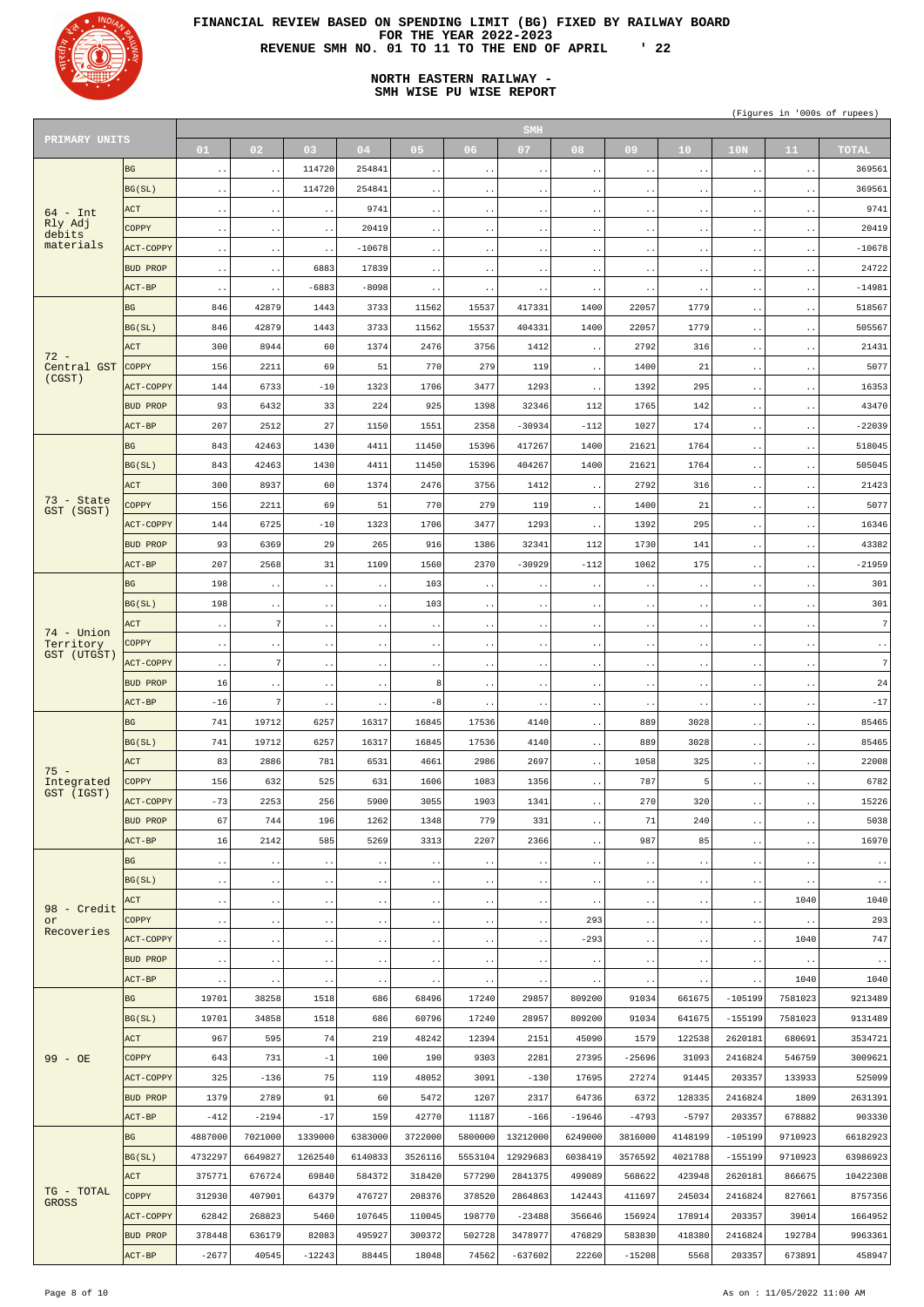

# **NORTH EASTERN RAILWAY - SMH WISE PU WISE REPORT**

| PRIMARY UNITS              |                  |                                 |                              |                                |                        |                                 |                              | <b>SMH</b>                      |                                  |                              |                                  |                                   |                        |                        |
|----------------------------|------------------|---------------------------------|------------------------------|--------------------------------|------------------------|---------------------------------|------------------------------|---------------------------------|----------------------------------|------------------------------|----------------------------------|-----------------------------------|------------------------|------------------------|
|                            |                  | 01                              | 02 <sub>1</sub>              | 03                             | 04                     | 05                              | 06 <sub>1</sub>              | 07                              | 08                               | 09                           | 10 <sub>1</sub>                  | 10 <sub>N</sub>                   | 11                     | <b>TOTAL</b>           |
|                            | <b>BG</b>        | $\ddot{\phantom{0}}$            | $\ddotsc$                    | 114720                         | 254841                 | $\ddot{\phantom{1}}$ .          | $\ddot{\phantom{1}}$ .       | $\ddot{\phantom{1}}$ .          | $\ddot{\phantom{0}}$             | $\ddot{\phantom{1}}$ .       | $\ddot{\phantom{1}}$ .           | $\ddot{\phantom{1}}$ .            | $\sim$ $\sim$          | 369561                 |
|                            | BG(SL)           | $\ddot{\phantom{1}}$ .          | $\ddotsc$                    | 114720                         | 254841                 | $\ddot{\phantom{1}}$ .          | $\bullet$ $\bullet$          | $\ddot{\phantom{1}}$ .          | $\ddot{\phantom{1}}$ .           | $\sim$ $\sim$                | $\ddot{\phantom{1}}$ .           | $\ddot{\phantom{0}}$ .            | $\sim$ $\sim$          | 369561                 |
| $64$ - Int                 | ACT              | $\ddot{\phantom{0}}$ .          | $\sim$ $\sim$                | $\ddot{\phantom{1}}$ .         | 9741                   | $\ddot{\phantom{1}}$ .          | $\bullet$ $\bullet$          | $\ddot{\phantom{1}}$ .          | $\ddot{\phantom{1}}$ .           | $\sim$ $\sim$                | $\ddot{\phantom{1}}$ .           | $\ddot{\phantom{1}}$ .            | $\sim$ $\sim$          | 9741                   |
| Rly Adj                    | <b>COPPY</b>     | $\ddot{\phantom{1}}$ .          | $\bullet$ $\bullet$          | $\ddot{\phantom{1}}$ .         | 20419                  | $\ddot{\phantom{a}}$ .          | $\bullet$ $\bullet$          | $\ddot{\phantom{1}}$ .          | $\ddot{\phantom{1}}$ .           | $\sim$ $\sim$                | $\bullet$ $\bullet$              | $\ddot{\phantom{0}}$ .            | $\sim$ $\sim$          | 20419                  |
| debits<br>materials        | <b>ACT-COPPY</b> | $\ddot{\phantom{1}}$ .          | $\ddot{\phantom{1}}$ .       | $\ddot{\phantom{1}}$ .         | $-10678$               | $\ddot{\phantom{1}}$ .          | $\bullet$ $\bullet$          | $\ddot{\phantom{1}}$ .          | $\ddot{\phantom{1}}$ .           | $\sim$ $\sim$                | $\ddot{\phantom{1}}$ .           | $\ddot{\phantom{1}}$ .            | $\sim$ $\sim$          | $-10678$               |
|                            | <b>BUD PROP</b>  | $\ddot{\phantom{1}}$ .          | $\bullet$ $\bullet$          | 6883                           | 17839                  | $\ddot{\phantom{1}}$ .          | $\bullet$ $\bullet$          | $\ddot{\phantom{1}}$ .          | $\ddot{\phantom{1}}$ .           | $\sim$ $\sim$                | $\sim$ $\sim$                    | $\ddotsc$                         | $\sim$ $\sim$          | 24722                  |
|                            | ACT-BP           | $\ddot{\phantom{1}}$ .          | $\sim$ $\sim$                | $-6883$                        | $-8098$                | $\ddot{\phantom{1}}$ .          | $\sim$ $\sim$                | $\ddot{\phantom{1}}$ .          | $\ddot{\phantom{1}}$ .           | $\sim$ $\sim$                | $\ddot{\phantom{1}}$ .           | $\ddot{\phantom{1}}$ .            | $\sim$ $\sim$          | $-14981$               |
|                            | <b>BG</b>        | 846                             | 42879                        | 1443                           | 3733                   | 11562                           | 15537                        | 417331                          | 1400                             | 22057                        | 1779                             | $\ddot{\phantom{1}}$ .            | $\sim$ $\sim$          | 518567                 |
|                            | BG(SL)           | 846                             | 42879                        | 1443                           | 3733                   | 11562                           | 15537                        | 404331                          | 1400                             | 22057                        | 1779                             | $\ddot{\phantom{1}}$ .            |                        | 505567                 |
|                            | ACT              | 300                             | 8944                         | 60                             | 1374                   | 2476                            | 3756                         | 1412                            |                                  | 2792                         | 316                              |                                   | $\sim$ $\sim$          | 21431                  |
| $72 -$                     |                  |                                 |                              |                                |                        |                                 |                              |                                 | $\ddot{\phantom{0}}$             |                              |                                  | $\ddot{\phantom{1}}$ .            | $\sim$ $\sim$          |                        |
| Central GST<br>(CGST)      | <b>COPPY</b>     | 156                             | 2211                         | 69                             | 51                     | 770                             | 279                          | 119                             | $\ddot{\phantom{1}}$ .           | 1400                         | 21                               | $\ddot{\phantom{1}}$ .            | $\sim$ $\sim$          | 5077                   |
|                            | ACT-COPPY        | 144                             | 6733                         | $-10$                          | 1323                   | 1706                            | 3477                         | 1293                            | $\ddot{\phantom{0}}$             | 1392                         | 295                              | $\ddot{\phantom{1}}$ .            | $\bullet$ $\bullet$    | 16353                  |
|                            | <b>BUD PROP</b>  | 93                              | 6432                         | 33                             | 224                    | 925                             | 1398                         | 32346                           | 112                              | 1765                         | 142                              | $\ddot{\phantom{1}}$ .            | $\sim$ $\sim$          | 43470                  |
|                            | ACT-BP           | 207                             | 2512                         | 27                             | 1150                   | 1551                            | 2358                         | $-30934$                        | $-112$                           | 1027                         | 174                              | $\ddot{\phantom{1}}$ .            | $\sim$ $\sim$          | $-22039$               |
|                            | <b>BG</b>        | 843                             | 42463                        | 1430                           | 4411                   | 11450                           | 15396                        | 417267                          | 1400                             | 21621                        | 1764                             | $\ddot{\phantom{1}}$ .            | $\sim$ $\sim$          | 518045                 |
|                            | BG(SL)           | 843                             | 42463                        | 1430                           | 4411                   | 11450                           | 15396                        | 404267                          | 1400                             | 21621                        | 1764                             | $\ddot{\phantom{1}}$ .            | $\sim$ $\sim$          | 505045                 |
|                            | ACT              | 300                             | 8937                         | 60                             | 1374                   | 2476                            | 3756                         | 1412                            | $\ddot{\phantom{1}}$ .           | 2792                         | 316                              | $\sim$ $\sim$                     | $\sim$ $\sim$          | 21423                  |
| $73 - State$<br>GST (SGST) | <b>COPPY</b>     | 156                             | 2211                         | 69                             | 51                     | 770                             | 279                          | 119                             | $\ddot{\phantom{1}}$ .           | 1400                         | 21                               | $\ddot{\phantom{1}}$ .            | $\sim$ $\sim$          | 5077                   |
|                            | ACT-COPPY        | 144                             | 6725                         | $-10$                          | 1323                   | 1706                            | 3477                         | 1293                            | $\ddot{\phantom{1}}$ .           | 1392                         | 295                              | $\ddot{\phantom{1}}$ .            | $\sim$ $\sim$          | 16346                  |
|                            | <b>BUD PROP</b>  | 93                              | 6369                         | 29                             | 265                    | 916                             | 1386                         | 32341                           | 112                              | 1730                         | 141                              | $\ddot{\phantom{1}}$ .            | $\sim$ $\sim$          | 43382                  |
|                            | ACT-BP           | 207                             | 2568                         | 31                             | 1109                   | 1560                            | 2370                         | $-30929$                        | $-112$                           | 1062                         | 175                              | $\ddotsc$                         | $\sim$ $\sim$          | $-21959$               |
|                            | <b>BG</b>        | 198                             | $\sim$ $\sim$                | $\bullet$ . $\bullet$          | $\ddot{\phantom{1}}$ . | 103                             | $\ddot{\phantom{1}}$ .       | $\ddot{\phantom{1}}$ .          | $\ddot{\phantom{1}}$ .           | $\sim$ $\sim$                | $\ddot{\phantom{1}}$ .           | $\ddot{\phantom{1}}$ .            | $\sim$ $\sim$          | 301                    |
|                            | BG(SL)           | 198                             | $\bullet$ $\bullet$          | $\bullet$ $\bullet$            | $\ddotsc$              | 103                             | $\ddot{\phantom{0}}$ .       | $\ddot{\phantom{1}}$ .          | $\ddot{\phantom{1}}$ .           | $\bullet$ $\bullet$          | $\bullet$ $\bullet$              | $\ddot{\phantom{1}}$ .            | $\sim$ $\sim$          | 301                    |
| 74 - Union                 | ACT              | $\ddot{\phantom{0}}$            | 7                            | $\ddotsc$                      | $\ddot{\phantom{0}}$   |                                 | $\ddotsc$                    | $\ddot{\phantom{0}}$            |                                  | $\ddot{\phantom{1}}$ .       | $\ddot{\phantom{1}}$ .           | $\ddot{\phantom{0}}$              | $\ddot{\phantom{1}}$ . | $7\phantom{.}$         |
| Territory                  | COPPY            | $\ddot{\phantom{1}}$ .          | $\cdot$ .                    | $\ddot{\phantom{1}}$ .         | $\ddot{\phantom{1}}$ . | $\ddot{\phantom{a}}$ .          | $\ddot{\phantom{a}}$ .       | $\ddot{\phantom{1}}$ .          | $\ddot{\phantom{1}}$ .           | $\sim$ $\sim$                | $\ddot{\phantom{1}}$ .           | $\ddot{\phantom{1}}$ .            | $\sim$ $\sim$          | $\ddot{\phantom{0}}$ . |
| GST (UTGST)                | ACT-COPPY        | $\ddot{\phantom{1}}$ .          | 7                            | $\bullet$ . $\bullet$          | $\ddot{\phantom{1}}$ . | $\ddot{\phantom{1}}$ .          | $\ddot{\phantom{1}}$ .       | $\ddot{\phantom{1}}$ .          | $\ddot{\phantom{1}}$ .           | $\ddot{\phantom{1}}$ .       | $\ddot{\phantom{1}}$ .           | $\ddot{\phantom{1}}$ .            | $\sim$ $\sim$          | $7\overline{ }$        |
|                            | <b>BUD PROP</b>  | 16                              | $\sim$ $\sim$                | $\ddot{\phantom{1}}$ .         | $\ddot{\phantom{1}}$ . | 8                               | $\ddot{\phantom{1}}$ .       | $\ddot{\phantom{1}}$ .          | $\ddot{\phantom{1}}$ .           | $\sim$ $\sim$                | $\ddot{\phantom{1}}$ .           | $\ddot{\phantom{1}}$ .            | $\ddot{\phantom{1}}$ . | $2\sqrt{4}$            |
|                            | ACT-BP           | $-16$                           | 7                            | $\ddot{\phantom{1}}$ .         | $\ddot{\phantom{1}}$ . | $-8$                            | $\sim$ $\sim$                | $\ddot{\phantom{1}}$ .          | $\ddot{\phantom{1}}$ .           | $\sim$ $\sim$                | $\ddot{\phantom{1}}$ .           | $\ddot{\phantom{1}}$ .            | $\sim$ $\sim$          | $-17$                  |
|                            | <b>BG</b>        | 741                             | 19712                        | 6257                           | 16317                  | 16845                           | 17536                        | 4140                            | $\ddot{\phantom{1}}$ .           | 889                          | 3028                             | $\ddot{\phantom{0}}$ .            | $\sim$ $\sim$          | 85465                  |
|                            | BG(SL)           | 741                             | 19712                        | 6257                           | 16317                  | 16845                           | 17536                        | 4140                            | $\ddot{\phantom{1}}$ .           | 889                          | 3028                             | $\ddot{\phantom{1}}$ .            | $\sim$ $\sim$          | 85465                  |
|                            | ACT              | 83                              | 2886                         | 781                            | 6531                   | 4661                            | 2986                         | 2697                            | $\ddot{\phantom{1}}$ .           | 1058                         | 325                              | $\ddotsc$                         | $\sim$ $\sim$          | 22008                  |
| $75 -$<br>Integrated       | <b>COPPY</b>     | 156                             | 632                          | 525                            | 631                    | 1606                            | 1083                         | 1356                            | $\ddot{\phantom{1}}$ .           | 787                          | .5                               | $\ddot{\phantom{1}}$ .            | $\sim$ $\sim$          | 6782                   |
| GST (IGST)                 | ACT-COPPY        | $-73$                           | 2253                         | 256                            | 5900                   | 3055                            | 1903                         | 1341                            | $\ddot{\phantom{0}}$             | 270                          | 320                              | $\ddotsc$                         | $\bullet$ $\bullet$    | 15226                  |
|                            | <b>BUD PROP</b>  | 67                              | 744                          | 196                            | 1262                   | 1348                            | 779                          | 331                             | $\ddot{\phantom{1}}$ .           | 71                           | 240                              | $\ddot{\phantom{1}}$ .            | $\sim$ $\sim$          | 5038                   |
|                            | ACT-BP           | 16                              | 2142                         | 585                            | 5269                   | 3313                            | 2207                         | 2366                            | $\ddot{\phantom{0}}$             | 987                          | 85                               | $\ddot{\phantom{1}}$ .            | $\bullet$ $\bullet$    | 16970                  |
|                            | <b>BG</b>        | $\ddot{\phantom{1}}$ .          | $\bullet$ $\bullet$          | $\bullet$ . $\bullet$          | $\ddot{\phantom{1}}$ . | $\ddot{\phantom{1}}$ .          | $\bullet$ $\bullet$          | $\ddot{\phantom{1}}$ .          | $\ddot{\phantom{1}}$ .           | $\ddot{\phantom{1}}$ .       | $\ddot{\phantom{1}}$ .           | $\ddot{\phantom{1}}$ .            | $\sim$ $\sim$          | $\sim$ $\sim$          |
|                            | BG(SL)           | $\ddot{\phantom{1}}$ .          | $\sim$ $\sim$                | $\ddot{\phantom{1}}$ .         | $\ddotsc$              | $\ddot{\phantom{1}}$ .          | $\bullet$ $\bullet$          | $\ddot{\phantom{1}}$ .          | $\ddot{\phantom{1}}$ .           | $\sim$ $\sim$                | $\ddot{\phantom{0}}$ .           | $\ddot{\phantom{1}}$ .            | $\sim$ $\sim$          | $\sim$ $\sim$          |
|                            | ACT              | $\ddot{\phantom{1}}$ .          | $\bullet$ $\bullet$          | $\bullet$ . $\bullet$          | $\ddot{\phantom{1}}$ . | $\ddot{\phantom{a}}$ .          | $\bullet$ $\bullet$          | $\ddot{\phantom{1}}$ .          | $\ddot{\phantom{0}}$             | $\sim$ $\sim$                | $\bullet$ $\bullet$              | $\ddot{\phantom{1}}$ .            | 1040                   | 1040                   |
| 98 - Credit<br>or          | COPPY            |                                 |                              |                                |                        |                                 |                              |                                 | 293                              |                              |                                  | $\ddot{\phantom{0}}$ .            | $\ddot{\phantom{1}}$   | 293                    |
| Recoveries                 | ACT-COPPY        | $\ddot{\phantom{1}}$ .          | $\sim$ $\sim$                | $\ddot{\phantom{1}}$ .         | $\ddotsc$              | $\ddot{\phantom{1}}$ .          | $\bullet$ $\bullet$          | $\ddot{\phantom{1}}$ .          | $-293$                           | $\bullet$ $\bullet$          | $\ddot{\phantom{1}}$ .           |                                   | 1040                   | 747                    |
|                            | <b>BUD PROP</b>  | $\ddot{\phantom{1}}$ .          | $\bullet$ $\bullet$          | $\ddot{\phantom{1}}$ .         | $\ddotsc$              | $\ddot{\phantom{a}}$ .          | $\ddot{\phantom{1}}$ .       | $\ddot{\phantom{1}}$ .          |                                  | $\bullet$ $\bullet$          | $\bullet$ $\bullet$              | $\ddot{\phantom{1}}$ .            |                        |                        |
|                            | ACT-BP           | $\ddot{\phantom{1}}$ .          | $\sim$ $\sim$                | $\ddot{\phantom{1}}$ .         | $\ddotsc$              | $\ddot{\phantom{1}}$ .          | $\bullet$ $\bullet$          | $\ddot{\phantom{1}}$ .          | $\ddot{\phantom{1}}$ .           | $\bullet$ $\bullet$          | $\ddot{\phantom{1}}$ .           | $\ddot{\phantom{0}}$ .            | $\ddotsc$              | $\sim$ $\sim$          |
|                            | <b>BG</b>        | $\ddot{\phantom{1}}$ .<br>19701 | $\bullet$ $\bullet$<br>38258 | $\ddot{\phantom{1}}$ .<br>1518 | $\ddotsc$<br>686       | $\ddot{\phantom{a}}$ .<br>68496 | $\bullet$ $\bullet$<br>17240 | $\ddot{\phantom{1}}$ .<br>29857 | $\ddot{\phantom{1}}$ .<br>809200 | $\bullet$ $\bullet$<br>91034 | $\ddot{\phantom{1}}$ .<br>661675 | $\ddot{\phantom{0}}$<br>$-105199$ | 1040<br>7581023        | 1040<br>9213489        |
|                            |                  |                                 |                              |                                |                        |                                 |                              |                                 |                                  |                              |                                  |                                   |                        |                        |
|                            | BG(SL)           | 19701                           | 34858                        | 1518                           | 686                    | 60796                           | 17240                        | 28957                           | 809200                           | 91034                        | 641675                           | $-155199$                         | 7581023                | 9131489                |
|                            | ACT              | 967                             | 595                          | 74                             | 219                    | 48242                           | 12394                        | 2151                            | 45090                            | 1579                         | 122538                           | 2620181                           | 680691                 | 3534721                |
| $99 - OB$                  | COPPY            | 643                             | 731                          | $-1$                           | 100                    | 190                             | 9303                         | 2281                            | 27395                            | $-25696$                     | 31093                            | 2416824                           | 546759                 | 3009621                |
|                            | ACT-COPPY        | 325                             | $-136$                       | 75                             | 119                    | 48052                           | 3091                         | $-130$                          | 17695                            | 27274                        | 91445                            | 203357                            | 133933                 | 525099                 |
|                            | <b>BUD PROP</b>  | 1379                            | 2789                         | 91                             | 60                     | 5472                            | 1207                         | 2317                            | 64736                            | 6372                         | 128335                           | 2416824                           | 1809                   | 2631391                |
|                            | ACT-BP           | $-412$                          | $-2194$                      | $-17$                          | 159                    | 42770                           | 11187                        | $-166$                          | $-19646$                         | $-4793$                      | $-5797$                          | 203357                            | 678882                 | 903330                 |
|                            | BG               | 4887000                         | 7021000                      | 1339000                        | 6383000                | 3722000                         | 5800000                      | 13212000                        | 6249000                          | 3816000                      | 4148199                          | $-105199$                         | 9710923                | 66182923               |
|                            | BG(SL)           | 4732297                         | 6649827                      | 1262540                        | 6140833                | 3526116                         | 5553104                      | 12929683                        | 6038419                          | 3576592                      | 4021788                          | $-155199$                         | 9710923                | 63986923               |
| TG - TOTAL                 | <b>ACT</b>       | 375771                          | 676724                       | 69840                          | 584372                 | 318420                          | 577290                       | 2841375                         | 499089                           | 568622                       | 423948                           | 2620181                           | 866675                 | 10422308               |
| <b>GROSS</b>               | COPPY            | 312930                          | 407901                       | 64379                          | 476727                 | 208376                          | 378520                       | 2864863                         | 142443                           | 411697                       | 245034                           | 2416824                           | 827661                 | 8757356                |
|                            | ACT-COPPY        | 62842                           | 268823                       | 5460                           | 107645                 | 110045                          | 198770                       | $-23488$                        | 356646                           | 156924                       | 178914                           | 203357                            | 39014                  | 1664952                |
|                            | <b>BUD PROP</b>  | 378448                          | 636179                       | 82083                          | 495927                 | 300372                          | 502728                       | 3478977                         | 476829                           | 583830                       | 418380                           | 2416824                           | 192784                 | 9963361                |
|                            | $ACT-BP$         | $-2677$                         | 40545                        | $-12243$                       | 88445                  | 18048                           | 74562                        | $-637602$                       | 22260                            | $-15208$                     | 5568                             | 203357                            | 673891                 | 458947                 |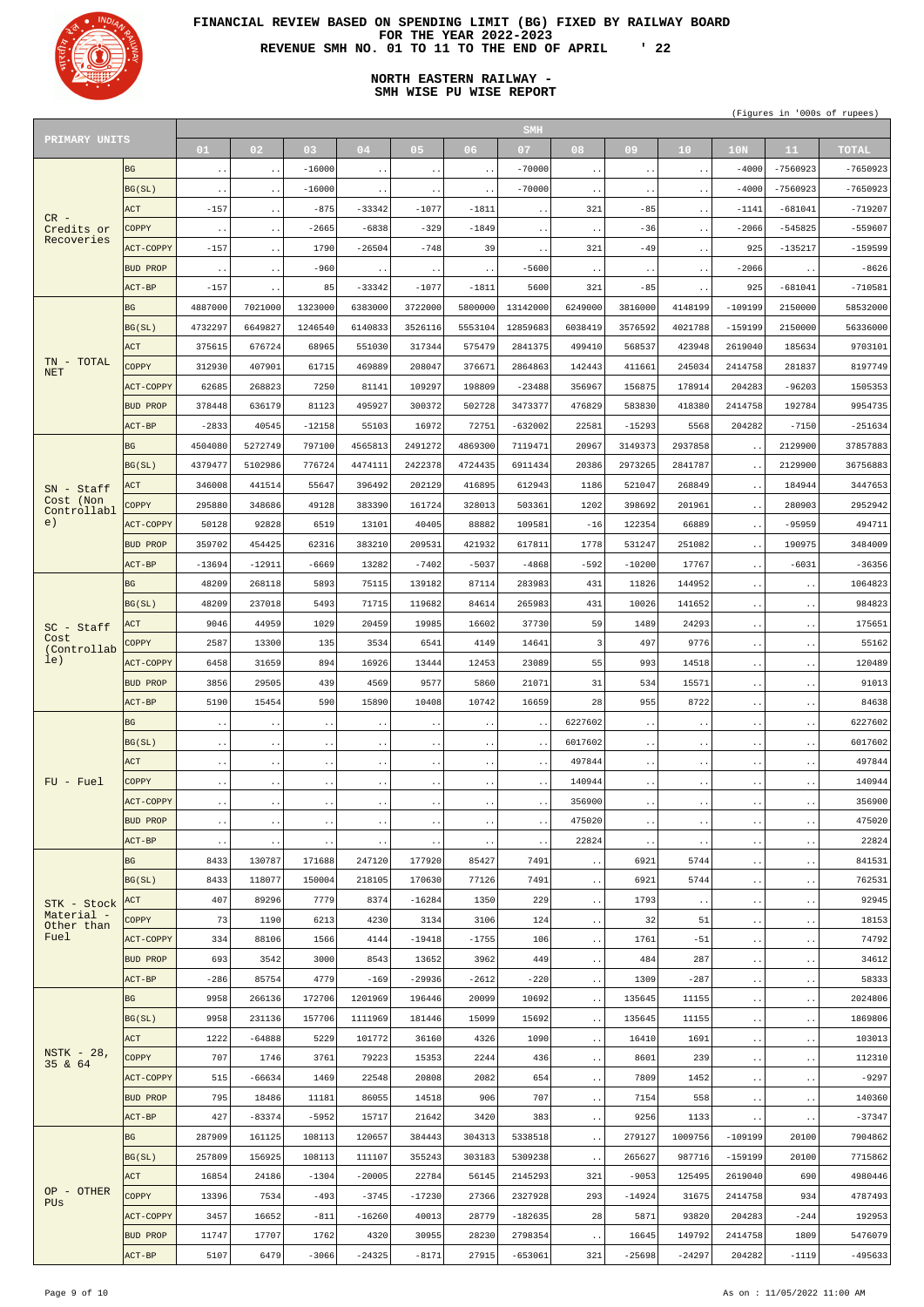

# **NORTH EASTERN RAILWAY - SMH WISE PU WISE REPORT**

| PRIMARY UNITS             |                 |                        |                        |               |                        |                        |               | <b>SMH</b>             |                        |                     |                        |                        |                        |                                     |
|---------------------------|-----------------|------------------------|------------------------|---------------|------------------------|------------------------|---------------|------------------------|------------------------|---------------------|------------------------|------------------------|------------------------|-------------------------------------|
|                           |                 | 01                     | 02                     | 03            | 04                     | 05                     | 06            | 07                     | 08                     | 09                  | 10 <sub>1</sub>        | 10 <sub>N</sub>        | 11                     | <b>TOTAL</b>                        |
|                           | <b>BG</b>       | $\sim$ $\sim$          | $\ddot{\phantom{1}}$ . | $-16000$      | $\ddot{\phantom{1}}$ . | $\ddot{\phantom{1}}$ . | $\sim$ $\sim$ | $-70000$               | $\ddot{\phantom{1}}$ . | $\sim$ $\sim$       | $\ddot{\phantom{1}}$ . | $-4000$                | $-7560923$             | $-7650923$                          |
|                           | BG(SL)          | $\ddot{\phantom{1}}$ . | $\ddot{\phantom{a}}$ . | $-16000$      | $\ddot{\phantom{1}}$ . | $\ddot{\phantom{1}}$ . | $\sim$ $\sim$ | $-70000$               | $\ddot{\phantom{1}}$ . | $\bullet$ $\bullet$ | $\ddot{\phantom{1}}$ . | $-4000$                | $-7560923$             | $-7650923$                          |
|                           | <b>ACT</b>      | $-157$                 | $\ddot{\phantom{a}}$ . | $-875$        | -33342                 | $-1077$                | $-1811$       | $\ddot{\phantom{1}}$ . | 321                    | $-85$               | $\ddot{\phantom{0}}$ . | $-1141$                | $-681041$              | $-719207$                           |
| $CR -$<br>Credits or      | COPPY           |                        |                        | $-2665$       | $-6838$                | $-329$                 | $-1849$       |                        |                        | $-36$               |                        | $-2066$                | $-545825$              | $-559607$                           |
| Recoveries                |                 | $\sim$ $\sim$          | $\bullet$ $\bullet$    |               |                        |                        |               | $\ddot{\phantom{1}}$ . | $\ddot{\phantom{a}}$ . |                     | $\ddot{\phantom{1}}$ . |                        |                        | $-159599$                           |
|                           | ACT-COPPY       | $-157$                 | $\ddot{\phantom{1}}$ . | 1790          | $-26504$               | $-748$                 | 39            | $\ddot{\phantom{1}}$ . | 321                    | $-49$               | $\ddot{\phantom{1}}$ . | 925                    | $-135217$              |                                     |
|                           | BUD PROP        | $\ddot{\phantom{1}}$ . | $\ddot{\phantom{a}}$ . | $-960$        | $\ddot{\phantom{1}}$ . | $\ddot{\phantom{1}}$ . | $\sim$ $\sim$ | $-5600$                | $\ddot{\phantom{1}}$ . | $\bullet$ $\bullet$ | $\ddot{\phantom{1}}$ . | $-2066$                | $\ddot{\phantom{0}}$ . | $-8626$                             |
|                           | $ACT-BP$        | $-157$                 | $\ddot{\phantom{0}}$ . | 85            | $-33342$               | $-1077$                | $-1811$       | 5600                   | 321                    | $-85$               | $\ddot{\phantom{1}}$ . | 925                    | $-681041$              | $-710581$                           |
|                           | <b>BG</b>       | 4887000                | 7021000                | 1323000       | 6383000                | 3722000                | 5800000       | 13142000               | 6249000                | 3816000             | 4148199                | $-109199$              | 2150000                | 58532000                            |
|                           | BG(SL)          | 4732297                | 6649827                | 1246540       | 6140833                | 3526116                | 5553104       | 12859683               | 6038419                | 3576592             | 4021788                | $-159199$              | 2150000                | 56336000                            |
|                           | ACT             | 375615                 | 676724                 | 68965         | 551030                 | 317344                 | 575479        | 2841375                | 499410                 | 568537              | 423948                 | 2619040                | 185634                 | 9703101                             |
| TN - TOTAL<br><b>NET</b>  | <b>COPPY</b>    | 312930                 | 407901                 | 61715         | 469889                 | 208047                 | 376671        | 2864863                | 142443                 | 411661              | 245034                 | 2414758                | 281837                 | 8197749                             |
|                           | ACT-COPPY       | 62685                  | 268823                 | 7250          | 81141                  | 109297                 | 198809        | $-23488$               | 356967                 | 156875              | 178914                 | 204283                 | $-96203$               | 1505353                             |
|                           | <b>BUD PROP</b> | 378448                 | 636179                 | 81123         | 495927                 | 300372                 | 502728        | 3473377                | 476829                 | 583830              | 418380                 | 2414758                | 192784                 | 9954735                             |
|                           | $ACT-BP$        | $-2833$                | 40545                  | $-12158$      | 55103                  | 16972                  | 72751         | $-632002$              | 22581                  | $-15293$            | 5568                   | 204282                 | $-7150$                | $-251634$                           |
|                           | <b>BG</b>       | 4504080                | 5272749                | 797100        | 4565813                | 2491272                | 4869300       | 7119471                | 20967                  | 3149373             | 2937858                | $\ddot{\phantom{1}}$ . | 2129900                | 37857883                            |
|                           | BG(SL)          | 4379477                | 5102986                | 776724        | 4474111                | 2422378                | 4724435       | 6911434                | 20386                  | 2973265             | 2841787                | $\ddot{\phantom{0}}$ . | 2129900                | 36756883                            |
| $SN - Staff$              | ACT             | 346008                 | 441514                 | 55647         | 396492                 | 202129                 | 416895        | 612943                 | 1186                   | 521047              | 268849                 | $\ddot{\phantom{1}}$ . | 184944                 | 3447653                             |
| Cost (Non                 | COPPY           | 295880                 | 348686                 | 49128         | 383390                 | 161724                 | 328013        | 503361                 | 1202                   | 398692              | 201961                 | $\ddotsc$              | 280903                 | 2952942                             |
| Controllabl<br>e)         | ACT-COPPY       | 50128                  | 92828                  | 6519          | 13101                  | 40405                  | 88882         | 109581                 | $-16$                  | 122354              | 66889                  | $\ddot{\phantom{1}}$ . | $-95959$               | 494711                              |
|                           | BUD PROP        | 359702                 | 454425                 | 62316         | 383210                 | 209531                 | 421932        | 617811                 | 1778                   | 531247              | 251082                 |                        | 190975                 | 3484009                             |
|                           | $ACT-BP$        | $-13694$               | $-12911$               | $-6669$       | 13282                  | $-7402$                | $-5037$       | $-4868$                | $-592$                 | $-10200$            | 17767                  | $\ddotsc$              | $-6031$                | $-36356$                            |
|                           |                 |                        |                        |               |                        |                        |               |                        |                        |                     |                        | $\ddot{\phantom{0}}$ . |                        |                                     |
|                           | <b>BG</b>       | 48209                  | 268118                 | 5893          | 75115                  | 139182                 | 87114         | 283983                 | 431                    | 11826               | 144952                 | $\ddotsc$              | $\sim$ $\sim$          | 1064823                             |
|                           | BG(SL)          | 48209                  | 237018                 | 5493          | 71715                  | 119682                 | 84614         | 265983                 | 431                    | 10026               | 141652                 | $\ddotsc$              | $\ddot{\phantom{1}}$ . | 984823                              |
| $SC - Staff$<br>Cost      | ACT             | 9046                   | 44959                  | 1029          | 20459                  | 19985                  | 16602         | 37730                  | 59                     | 1489                | 24293                  | $\ddot{\phantom{0}}$   | $\sim$ $\sim$          | 175651                              |
| (Controllab               | COPPY           | 2587                   | 13300                  | 135           | 3534                   | 6541                   | 4149          | 14641                  | $\overline{3}$         | 497                 | 9776                   | $\sim$ $\sim$          | $\ddot{\phantom{1}}$ . | 55162                               |
| le)                       | ACT-COPPY       | 6458                   | 31659                  | 894           | 16926                  | 13444                  | 12453         | 23089                  | 55                     | 993                 | 14518                  | $\ddot{\phantom{1}}$ . | $\sim$ $\sim$          | 120489                              |
|                           | BUD PROP        | 3856                   | 29505                  | 439           | 4569                   | 9577                   | 5860          | 21071                  | 31                     | 534                 | 15571                  | $\sim$ $\sim$          | $\ddot{\phantom{1}}$ . | 91013                               |
|                           | $ACT-BP$        |                        |                        |               |                        |                        |               | 16659                  |                        |                     |                        |                        |                        |                                     |
|                           |                 | 5190                   | 15454                  | 590           | 15890                  | 10408                  | 10742         |                        | 28                     | 955                 | 8722                   | $\ddot{\phantom{0}}$ . | $\ddot{\phantom{1}}$ . |                                     |
|                           | <b>BG</b>       | $\ddot{\phantom{0}}$ . | $\ddot{\phantom{1}}$ . | $\cdot$ .     | $\ddot{\phantom{1}}$ . | $\ddot{\phantom{1}}$ . | $\sim$ $\sim$ | $\ddot{\phantom{1}}$ . | 6227602                | $\bullet$ $\bullet$ | $\ddot{\phantom{1}}$ . | $\ddotsc$              | $\ddot{\phantom{1}}$ . | 84638<br>6227602                    |
|                           | BG(SL)          | $\sim$ $\sim$          | $\ddot{\phantom{1}}$ . | $\sim$ $\sim$ | $\ddot{\phantom{1}}$ . | $\ddot{\phantom{1}}$ . | $\sim$ $\sim$ | $\ddot{\phantom{1}}$ . | 6017602                | $\sim$ $\sim$       | $\ddot{\phantom{1}}$ . | $\ddot{\phantom{0}}$ . | $\ddot{\phantom{1}}$ . |                                     |
|                           | <b>ACT</b>      | $\ddot{\phantom{1}}$ . | $\ddot{\phantom{a}}$ . | $\cdot$ .     | $\ddot{\phantom{1}}$ . | $\ddot{\phantom{1}}$ . | $\sim$ $\sim$ | $\ddot{\phantom{1}}$ . | 497844                 | $\bullet$ $\bullet$ | $\ddot{\phantom{1}}$ . | $\ddot{\phantom{1}}$ . | $\ddot{\phantom{1}}$ . | 6017602<br>497844                   |
| $FU$ - $Fuel$             | <b>COPPY</b>    | $\sim$ $\sim$          | $\bullet$ .            | $\sim$ $\sim$ | $\ddot{\phantom{1}}$ . | $\ddot{\phantom{1}}$ . | $\sim$ $\sim$ | $\ddot{\phantom{1}}$ . | 140944                 | $\bullet$ $\bullet$ | $\ddot{\phantom{1}}$ . | $\ddot{\phantom{0}}$ . | $\ddot{\phantom{1}}$ . |                                     |
|                           | ACT-COPPY       |                        | $\ddot{\phantom{a}}$ . | $\cdot$ .     |                        | $\ddot{\phantom{1}}$ . | $\sim$ $\sim$ |                        | 356900                 | $\bullet$ $\bullet$ |                        | $\ddot{\phantom{1}}$ . | $\ddot{\phantom{1}}$ . |                                     |
|                           | BUD PROP        | $\ddot{\phantom{1}}$ . |                        |               | $\ddot{\phantom{1}}$ . |                        |               | $\ddot{\phantom{0}}$ . | 475020                 |                     | $\ddot{\phantom{1}}$ . |                        |                        |                                     |
|                           |                 | $\sim$ $\sim$          | $\ddot{\phantom{1}}$ . | $\sim$ $\sim$ | $\ddot{\phantom{1}}$ . | $\ddot{\phantom{1}}$ . | $\sim$ $\sim$ | $\ddot{\phantom{1}}$ . |                        | $\bullet$ $\bullet$ | $\ddot{\phantom{1}}$ . | $\ddot{\phantom{0}}$ . | $\ddot{\phantom{1}}$ . |                                     |
|                           | $ACT-BP$        | $\cdot$ .              | $\ddot{\phantom{1}}$ . | $\cdot$ .     | $\ddot{\phantom{1}}$ . | $\ddot{\phantom{1}}$ . | $\sim$ $\sim$ | $\ddot{\phantom{1}}$ . | 22824                  | $\bullet$ $\bullet$ | $\ddot{\phantom{1}}$ . | $\ddot{\phantom{1}}$ . | $\ddot{\phantom{1}}$ . | 140944<br>356900<br>475020<br>22824 |
|                           | <b>BG</b>       | 8433                   | 130787                 | 171688        | 247120                 | 177920                 | 85427         | 7491                   | $\ddotsc$              | 6921                | 5744                   | $\ddot{\phantom{1}}$ . | $\ddot{\phantom{1}}$ . | 841531                              |
|                           | BG(SL)          | 8433                   | 118077                 | 150004        | 218105                 | 170630                 | 77126         | 7491                   | $\ddot{\phantom{1}}$ . | 6921                | 5744                   | $\ddot{\phantom{1}}$ . | $\ddot{\phantom{1}}$ . | 762531                              |
| STK - Stock<br>Material - | ACT             | 407                    | 89296                  | 7779          | 8374                   | $-16284$               | 1350          | 229                    | $\ddot{\phantom{1}}$ . | 1793                | $\ddot{\phantom{1}}$ . | $\ddotsc$              | $\ddot{\phantom{1}}$ . | 92945                               |
| Other than                | <b>COPPY</b>    | 73                     | 1190                   | 6213          | 4230                   | 3134                   | 3106          | 124                    | $\ddot{\phantom{1}}$ . | 32                  | 51                     | $\ddotsc$              | $\ddot{\phantom{1}}$ . | 18153                               |
| Fuel                      | ACT-COPPY       | 334                    | 88106                  | 1566          | 4144                   | $-19418$               | $-1755$       | 106                    | $\ddot{\phantom{1}}$ . | 1761                | $-51$                  | $\ddot{\phantom{1}}$ . | $\ddot{\phantom{1}}$ . | 74792                               |
|                           | BUD PROP        | 693                    | 3542                   | 3000          | 8543                   | 13652                  | 3962          | 449                    | $\ddot{\phantom{1}}$ . | 484                 | 287                    | $\ddotsc$              | $\ddot{\phantom{1}}$ . | 34612                               |
|                           | $ACT-BP$        | $-286$                 | 85754                  | 4779          | $-169$                 | $-29936$               | $-2612$       | $-220$                 | $\ddot{\phantom{1}}$ . | 1309                | $-287$                 | $\ddot{\phantom{1}}$ . | $\ddot{\phantom{1}}$ . | 58333                               |
|                           | <b>BG</b>       | 9958                   | 266136                 | 172706        | 1201969                | 196446                 | 20099         | 10692                  | $\sim$ $\sim$          | 135645              | 11155                  | $\ddotsc$              | $\ddot{\phantom{1}}$ . | 2024806                             |
|                           | BG(SL)          | 9958                   | 231136                 | 157706        | 1111969                | 181446                 | 15099         | 15692                  | $\ddot{\phantom{a}}$ . | 135645              | 11155                  | $\ddot{\phantom{1}}$ . | $\ddot{\phantom{1}}$ . | 1869806                             |
|                           | ACT             | 1222                   | $-64888$               | 5229          | 101772                 | 36160                  | 4326          | 1090                   | $\ddot{\phantom{1}}$ . | 16410               | 1691                   | $\ddotsc$              | $\ddot{\phantom{1}}$ . | 103013                              |
| $NSTK - 28$ ,<br>35 & 64  | <b>COPPY</b>    | 707                    | 1746                   | 3761          | 79223                  | 15353                  | 2244          | 436                    | $\ddot{\phantom{1}}$ . | 8601                | 239                    | $\ddot{\phantom{a}}$ . | $\ddot{\phantom{1}}$ . | 112310                              |
|                           | ACT-COPPY       | 515                    | $-66634$               | 1469          | 22548                  | 20808                  | 2082          | 654                    | $\ddot{\phantom{a}}$ . | 7809                | 1452                   | $\ddot{\phantom{0}}$ . | $\ddot{\phantom{1}}$ . | $-9297$                             |
|                           | BUD PROP        | 795                    | 18486                  | 11181         | 86055                  | 14518                  | 906           | 707                    | $\ddot{\phantom{a}}$ . | 7154                | 558                    | $\ddot{\phantom{1}}$ . | $\sim$ $\sim$          | 140360                              |
|                           | $ACT-BP$        | 427                    | $-83374$               | $-5952$       | 15717                  | 21642                  | 3420          | 383                    | $\ddot{\phantom{0}}$ . | 9256                | 1133                   | $\bullet$ $\bullet$    | $\ddot{\phantom{1}}$ . | $-37347$                            |
|                           | <b>BG</b>       | 287909                 | 161125                 | 108113        | 120657                 | 384443                 | 304313        | 5338518                | $\ddot{\phantom{a}}$ . | 279127              | 1009756                | $-109199$              | 20100                  | 7904862                             |
|                           | BG(SL)          | 257809                 | 156925                 | 108113        | 111107                 | 355243                 | 303183        | 5309238                | $\sim$ $\sim$          | 265627              | 987716                 | $-159199$              | 20100                  |                                     |
|                           | ACT             | 16854                  | 24186                  | $-1304$       | $-20005$               | 22784                  | 56145         | 2145293                | 321                    | $-9053$             | 125495                 | 2619040                | 690                    |                                     |
| OP - OTHER                | <b>COPPY</b>    | 13396                  | 7534                   | $-493$        | $-3745$                | $-17230$               | 27366         | 2327928                | 293                    | $-14924$            | 31675                  | 2414758                | 934                    | 7715862<br>4980446<br>4787493       |
| <b>PUS</b>                | ACT-COPPY       | 3457                   | 16652                  | $-811$        | $-16260$               | 40013                  | 28779         | $-182635$              | 28                     | 5871                | 93820                  | 204283                 | $-244$                 | 192953                              |
|                           | <b>BUD PROP</b> | 11747                  | 17707                  | 1762          | 4320                   | 30955                  | 28230         | 2798354                |                        | 16645               | 149792                 | 2414758                | 1809                   | 5476079                             |
|                           | $ACT-BP$        | 5107                   | 6479                   | $-3066$       | $-24325$               | $-8171$                | 27915         | $-653061$              | $\sim$ $\sim$<br>321   | $-25698$            | $-24297$               | 204282                 | $-1119$                | $-495633$                           |